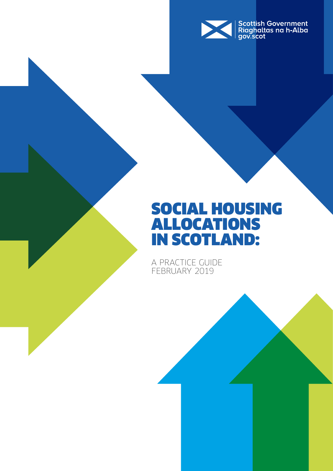

### SOCIAL HOUSING ALLOCATIONS IN SCOTLAND:

A PRACTICE GUIDE FEBRUARY 2019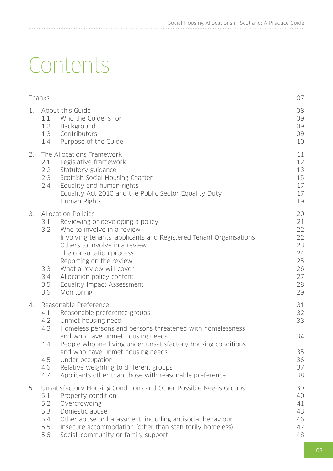# Contents

|    | Thanks                                        |                                                                                                                                                                                                                                                                                                                                                                                                           | 07                                                             |
|----|-----------------------------------------------|-----------------------------------------------------------------------------------------------------------------------------------------------------------------------------------------------------------------------------------------------------------------------------------------------------------------------------------------------------------------------------------------------------------|----------------------------------------------------------------|
| 1. | 1.1<br>1.2<br>1.3<br>1.4                      | About this Guide<br>Who the Guide is for<br>Background<br>Contributors<br>Purpose of the Guide                                                                                                                                                                                                                                                                                                            | 08<br>09<br>09<br>09<br>10                                     |
| 2. | 2.1<br>2.2<br>2.3<br>2.4                      | The Allocations Framework<br>Legislative framework<br>Statutory guidance<br>Scottish Social Housing Charter<br>Equality and human rights<br>Equality Act 2010 and the Public Sector Equality Duty<br>Human Rights                                                                                                                                                                                         | 11<br>12<br>13<br>15<br>17<br>17<br>19                         |
| 3. | 3.1<br>3.2<br>3.3<br>3.4<br>3.5<br>3.6        | <b>Allocation Policies</b><br>Reviewing or developing a policy<br>Who to involve in a review<br>Involving tenants, applicants and Registered Tenant Organisations<br>Others to involve in a review<br>The consultation process<br>Reporting on the review<br>What a review will cover<br>Allocation policy content<br>Equality Impact Assessment<br>Monitoring                                            | 20<br>21<br>22<br>22<br>23<br>24<br>25<br>26<br>27<br>28<br>29 |
| 4. | 4.1<br>4.2<br>4.3<br>4.4<br>4.5<br>4.6<br>4.7 | Reasonable Preference<br>Reasonable preference groups<br>Unmet housing need<br>Homeless persons and persons threatened with homelessness<br>and who have unmet housing needs<br>People who are living under unsatisfactory housing conditions<br>and who have unmet housing needs<br>Under-occupation<br>Relative weighting to different groups<br>Applicants other than those with reasonable preference | 31<br>32<br>33<br>34<br>35<br>36<br>37<br>38                   |
| 5. | 5.1<br>5.2<br>5.3<br>5.4<br>5.5<br>5.6        | Unsatisfactory Housing Conditions and Other Possible Needs Groups<br>Property condition<br>Overcrowding<br>Domestic abuse<br>Other abuse or harassment, including antisocial behaviour<br>Insecure accommodation (other than statutorily homeless)<br>Social, community or family support                                                                                                                 | 39<br>40<br>41<br>43<br>46<br>47<br>48                         |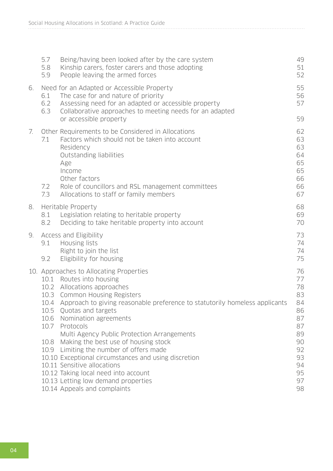|    | 5.7<br>5.8<br>5.9 | Being/having been looked after by the care system<br>Kinship carers, foster carers and those adopting<br>People leaving the armed forces                                                                                                                                                                                                                                                                                                                                                                                                                                                                                                   | 49<br>51<br>52                                                                               |
|----|-------------------|--------------------------------------------------------------------------------------------------------------------------------------------------------------------------------------------------------------------------------------------------------------------------------------------------------------------------------------------------------------------------------------------------------------------------------------------------------------------------------------------------------------------------------------------------------------------------------------------------------------------------------------------|----------------------------------------------------------------------------------------------|
| 6. | 6.1<br>6.2<br>6.3 | Need for an Adapted or Accessible Property<br>The case for and nature of priority<br>Assessing need for an adapted or accessible property<br>Collaborative approaches to meeting needs for an adapted                                                                                                                                                                                                                                                                                                                                                                                                                                      | 55<br>56<br>57                                                                               |
|    |                   | or accessible property                                                                                                                                                                                                                                                                                                                                                                                                                                                                                                                                                                                                                     | 59                                                                                           |
| 7. | 7.1<br>7.2<br>7.3 | Other Requirements to be Considered in Allocations<br>Factors which should not be taken into account<br>Residency<br>Outstanding liabilities<br>Age<br>Income<br>Other factors<br>Role of councillors and RSL management committees<br>Allocations to staff or family members                                                                                                                                                                                                                                                                                                                                                              | 62<br>63<br>63<br>64<br>65<br>65<br>66<br>66<br>67                                           |
| 8. | 8.1<br>8.2        | Heritable Property<br>Legislation relating to heritable property<br>Deciding to take heritable property into account                                                                                                                                                                                                                                                                                                                                                                                                                                                                                                                       | 68<br>69<br>70                                                                               |
| 9. | 9.1<br>9.2        | Access and Eligibility<br>Housing lists<br>Right to join the list<br>Eligibility for housing                                                                                                                                                                                                                                                                                                                                                                                                                                                                                                                                               | 73<br>74<br>74<br>75                                                                         |
|    | 10.7              | 10. Approaches to Allocating Properties<br>10.1 Routes into housing<br>10.2 Allocations approaches<br>10.3 Common Housing Registers<br>10.4 Approach to giving reasonable preference to statutorily homeless applicants<br>10.5 Quotas and targets<br>10.6 Nomination agreements<br>Protocols<br>Multi Agency Public Protection Arrangements<br>10.8 Making the best use of housing stock<br>10.9 Limiting the number of offers made<br>10.10 Exceptional circumstances and using discretion<br>10.11 Sensitive allocations<br>10.12 Taking local need into account<br>10.13 Letting low demand properties<br>10.14 Appeals and complaints | 76<br>77<br>78<br>83<br>84<br>86<br>87<br>87<br>89<br>90<br>92<br>93<br>94<br>95<br>97<br>98 |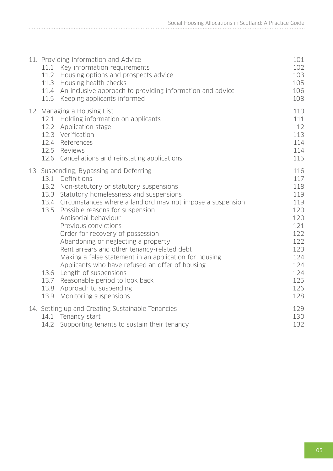| 11. Providing Information and Advice<br>Key information requirements<br>11.1<br>11.2<br>Housing options and prospects advice<br>Housing health checks<br>11.3<br>11.4 An inclusive approach to providing information and advice<br>11.5 Keeping applicants informed                                                                                                                                                                                                                                                                                                                                                                                                                                  | 101<br>102<br>103<br>105<br>106<br>108                                                                              |
|------------------------------------------------------------------------------------------------------------------------------------------------------------------------------------------------------------------------------------------------------------------------------------------------------------------------------------------------------------------------------------------------------------------------------------------------------------------------------------------------------------------------------------------------------------------------------------------------------------------------------------------------------------------------------------------------------|---------------------------------------------------------------------------------------------------------------------|
| 12. Managing a Housing List<br>12.1 Holding information on applicants<br>12.2 Application stage<br>12.3 Verification<br>12.4 References<br>12.5 Reviews<br>12.6 Cancellations and reinstating applications                                                                                                                                                                                                                                                                                                                                                                                                                                                                                           | 110<br>111<br>112<br>113<br>114<br>114<br>115                                                                       |
| 13. Suspending, Bypassing and Deferring<br>13.1 Definitions<br>13.2 Non-statutory or statutory suspensions<br>13.3 Statutory homelessness and suspensions<br>13.4 Circumstances where a landlord may not impose a suspension<br>13.5<br>Possible reasons for suspension<br>Antisocial behaviour<br>Previous convictions<br>Order for recovery of possession<br>Abandoning or neglecting a property<br>Rent arrears and other tenancy-related debt<br>Making a false statement in an application for housing<br>Applicants who have refused an offer of housing<br>13.6<br>Length of suspensions<br>13.7 Reasonable period to look back<br>13.8 Approach to suspending<br>13.9 Monitoring suspensions | 116<br>117<br>118<br>119<br>119<br>120<br>120<br>121<br>122<br>122<br>123<br>124<br>124<br>124<br>125<br>126<br>128 |
| 14. Setting up and Creating Sustainable Tenancies<br>Tenancy start<br>14.1<br>14.2 Supporting tenants to sustain their tenancy                                                                                                                                                                                                                                                                                                                                                                                                                                                                                                                                                                       | 129<br>130<br>132                                                                                                   |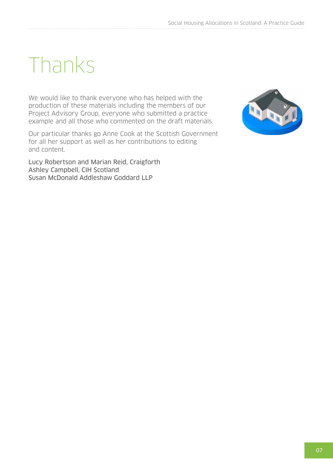# <span id="page-6-0"></span>Thanks

We would like to thank everyone who has helped with the production of these materials including the members of our Project Advisory Group, everyone who submitted a practice example and all those who commented on the draft materials.

Our particular thanks go Anne Cook at the Scottish Government for all her support as well as her contributions to editing and content.

Lucy Robertson and Marian Reid, Craigforth Ashley Campbell, CIH Scotland Susan McDonald Addleshaw Goddard LLP

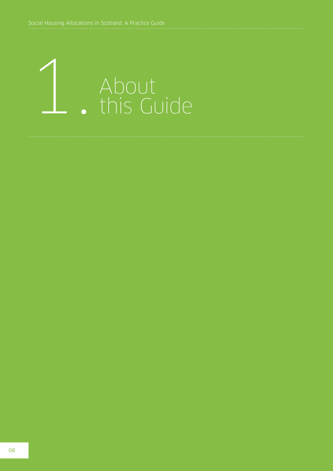<span id="page-7-0"></span>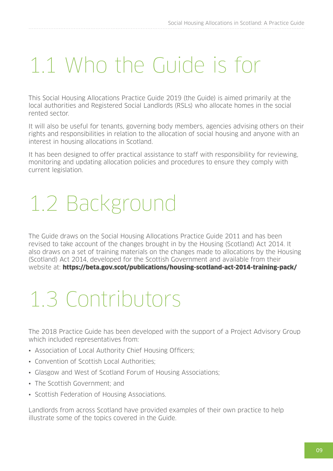### 1.1 Who the Guide is for

This Social Housing Allocations Practice Guide 2019 (the Guide) is aimed primarily at the local authorities and Registered Social Landlords (RSLs) who allocate homes in the social rented sector.

It will also be useful for tenants, governing body members, agencies advising others on their rights and responsibilities in relation to the allocation of social housing and anyone with an interest in housing allocations in Scotland.

It has been designed to offer practical assistance to staff with responsibility for reviewing, monitoring and updating allocation policies and procedures to ensure they comply with current legislation.

# 1.2 Background

The Guide draws on the Social Housing Allocations Practice Guide 2011 and has been revised to take account of the changes brought in by the Housing (Scotland) Act 2014. It also draws on a set of training materials on the changes made to allocations by the Housing (Scotland) Act 2014, developed for the Scottish Government and available from their website at: <https://beta.gov.scot/publications/housing-scotland-act-2014-training-pack/>

# 1.3 Contributors

The 2018 Practice Guide has been developed with the support of a Project Advisory Group which included representatives from:

- Association of Local Authority Chief Housing Officers;
- Convention of Scottish Local Authorities;
- Glasgow and West of Scotland Forum of Housing Associations;
- The Scottish Government; and
- Scottish Federation of Housing Associations.

Landlords from across Scotland have provided examples of their own practice to help illustrate some of the topics covered in the Guide.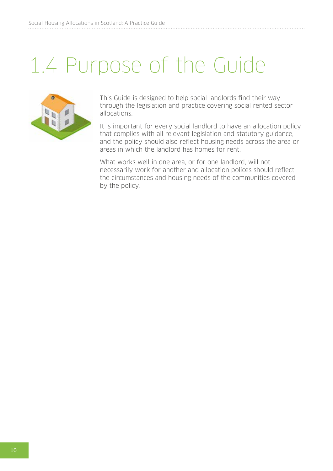### <span id="page-9-0"></span>1.4 Purpose of the Guide



This Guide is designed to help social landlords find their way through the legislation and practice covering social rented sector allocations.

It is important for every social landlord to have an allocation policy that complies with all relevant legislation and statutory guidance, and the policy should also reflect housing needs across the area or areas in which the landlord has homes for rent.

What works well in one area, or for one landlord, will not necessarily work for another and allocation polices should reflect the circumstances and housing needs of the communities covered by the policy.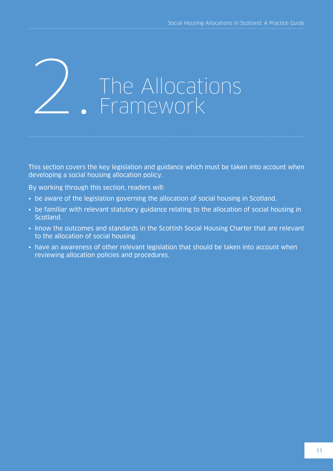# <span id="page-10-0"></span>The Allocations<br>Framework

This section covers the key legislation and guidance which must be taken into account when developing a social housing allocation policy.

By working through this section, readers will:

- be aware of the legislation governing the allocation of social housing in Scotland.
- be familiar with relevant statutory guidance relating to the allocation of social housing in Scotland.
- know the outcomes and standards in the Scottish Social Housing Charter that are relevant to the allocation of social housing.
- have an awareness of other relevant legislation that should be taken into account when reviewing allocation policies and procedures.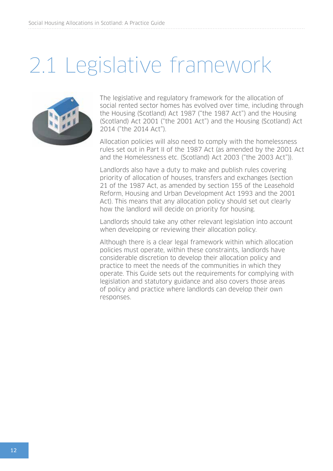### <span id="page-11-0"></span>2.1 Legislative framework



The legislative and regulatory framework for the allocation of social rented sector homes has evolved over time, including through the Housing (Scotland) Act 1987 ("the 1987 Act") and the Housing (Scotland) Act 2001 ("the 2001 Act") and the Housing (Scotland) Act 2014 ("the 2014 Act").

Allocation policies will also need to comply with the homelessness rules set out in Part II of the 1987 Act (as amended by the 2001 Act and the Homelessness etc. (Scotland) Act 2003 ("the 2003 Act")).

Landlords also have a duty to make and publish rules covering priority of allocation of houses, transfers and exchanges (section 21 of the 1987 Act, as amended by section 155 of the Leasehold Reform, Housing and Urban Development Act 1993 and the 2001 Act). This means that any allocation policy should set out clearly how the landlord will decide on priority for housing.

Landlords should take any other relevant legislation into account when developing or reviewing their allocation policy.

Although there is a clear legal framework within which allocation policies must operate, within these constraints, landlords have considerable discretion to develop their allocation policy and practice to meet the needs of the communities in which they operate. This Guide sets out the requirements for complying with legislation and statutory guidance and also covers those areas of policy and practice where landlords can develop their own responses.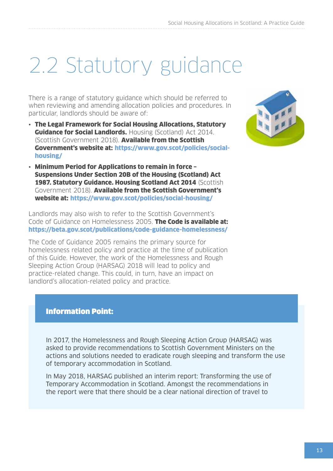### <span id="page-12-0"></span>2.2 Statutory guidance

There is a range of statutory guidance which should be referred to when reviewing and amending allocation policies and procedures. In particular, landlords should be aware of:

• The Legal Framework for Social Housing Allocations, Statutory **Guidance for Social Landlords.** Housing (Scotland) Act 2014. (Scottish Government 2018). Available from the Scottish Government's website at: [https://www.gov.scot/policies/social](https://www.gov.scot/policies/social-housing/)[housing/](https://www.gov.scot/policies/social-housing/)



• Minimum Period for Applications to remain in force – Suspensions Under Section 20B of the Housing (Scotland) Act 1987. Statutory Guidance. Housing Scotland Act 2014 (Scottish Government 2018). Available from the Scottish Government's website at: <https://www.gov.scot/policies/social-housing/>

Landlords may also wish to refer to the Scottish Government's Code of Guidance on Homelessness 2005. The Code is available at: <https://beta.gov.scot/publications/code-guidance-homelessness/>

The Code of Guidance 2005 remains the primary source for homelessness related policy and practice at the time of publication of this Guide. However, the work of the Homelessness and Rough Sleeping Action Group (HARSAG) 2018 will lead to policy and practice-related change. This could, in turn, have an impact on landlord's allocation-related policy and practice.

#### Information Point:

In 2017, the Homelessness and Rough Sleeping Action Group (HARSAG) was asked to provide recommendations to Scottish Government Ministers on the actions and solutions needed to eradicate rough sleeping and transform the use of temporary accommodation in Scotland.

In May 2018, HARSAG published an interim report: Transforming the use of Temporary Accommodation in Scotland. Amongst the recommendations in the report were that there should be a clear national direction of travel to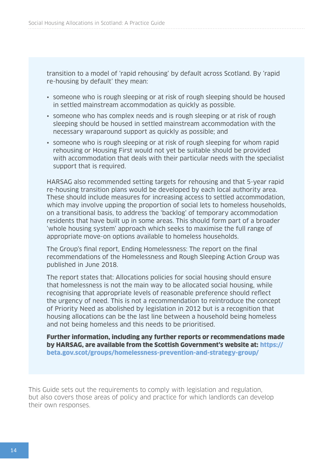transition to a model of 'rapid rehousing' by default across Scotland. By 'rapid re-housing by default' they mean:

- someone who is rough sleeping or at risk of rough sleeping should be housed in settled mainstream accommodation as quickly as possible.
- someone who has complex needs and is rough sleeping or at risk of rough sleeping should be housed in settled mainstream accommodation with the necessary wraparound support as quickly as possible; and
- someone who is rough sleeping or at risk of rough sleeping for whom rapid rehousing or Housing First would not yet be suitable should be provided with accommodation that deals with their particular needs with the specialist support that is required.

HARSAG also recommended setting targets for rehousing and that 5-year rapid re-housing transition plans would be developed by each local authority area. These should include measures for increasing access to settled accommodation, which may involve upping the proportion of social lets to homeless households, on a transitional basis, to address the 'backlog' of temporary accommodation residents that have built up in some areas. This should form part of a broader 'whole housing system' approach which seeks to maximise the full range of appropriate move-on options available to homeless households.

The Group's final report, Ending Homelessness: The report on the final recommendations of the Homelessness and Rough Sleeping Action Group was published in June 2018.

The report states that: Allocations policies for social housing should ensure that homelessness is not the main way to be allocated social housing, while recognising that appropriate levels of reasonable preference should reflect the urgency of need. This is not a recommendation to reintroduce the concept of Priority Need as abolished by legislation in 2012 but is a recognition that housing allocations can be the last line between a household being homeless and not being homeless and this needs to be prioritised.

Further information, including any further reports or recommendations made by HARSAG, are available from the Scottish Government's website at: https:// beta.gov.scot/groups/homelessness-prevention-and-strategy-group/

This Guide sets out the requirements to comply with legislation and regulation, but also covers those areas of policy and practice for which landlords can develop their own responses.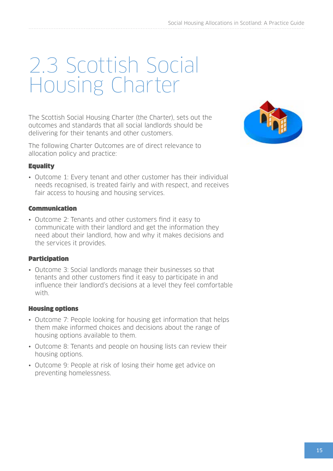### <span id="page-14-0"></span>2.3 Scottish Social Housing Charter

The Scottish Social Housing Charter (the Charter), sets out the outcomes and standards that all social landlords should be delivering for their tenants and other customers.

The following Charter Outcomes are of direct relevance to allocation policy and practice:

#### **Equality**

• Outcome 1: Every tenant and other customer has their individual needs recognised, is treated fairly and with respect, and receives fair access to housing and housing services.

#### Communication

• Outcome 2: Tenants and other customers find it easy to communicate with their landlord and get the information they need about their landlord, how and why it makes decisions and the services it provides.

#### Participation

• Outcome 3: Social landlords manage their businesses so that tenants and other customers find it easy to participate in and influence their landlord's decisions at a level they feel comfortable with.

#### Housing options

- Outcome 7: People looking for housing get information that helps them make informed choices and decisions about the range of housing options available to them.
- Outcome 8: Tenants and people on housing lists can review their housing options.
- Outcome 9: People at risk of losing their home get advice on preventing homelessness.

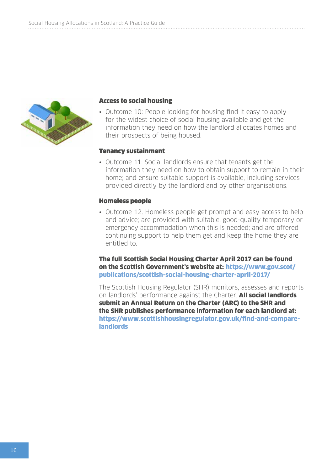

#### Access to social housing

• Outcome 10: People looking for housing find it easy to apply for the widest choice of social housing available and get the information they need on how the landlord allocates homes and their prospects of being housed.

#### Tenancy sustainment

• Outcome 11: Social landlords ensure that tenants get the information they need on how to obtain support to remain in their home; and ensure suitable support is available, including services provided directly by the landlord and by other organisations.

#### Homeless people

• Outcome 12: Homeless people get prompt and easy access to help and advice; are provided with suitable, good-quality temporary or emergency accommodation when this is needed; and are offered continuing support to help them get and keep the home they are entitled to.

The full Scottish Social Housing Charter April 2017 can be found on the Scottish Government's website at: [https://www.gov.scot/](https://www.gov.scot/publications/scottish-social-housing-charter-april-2017/) [publications/scottish-social-housing-charter-april-2017/](https://www.gov.scot/publications/scottish-social-housing-charter-april-2017/)

The Scottish Housing Regulator (SHR) monitors, assesses and reports on landlords' performance against the Charter. **All social landlords** submit an Annual Return on the Charter (ARC) to the SHR and the SHR publishes performance information for each landlord at: [https://www.scottishhousingregulator.gov.uk/find-and-compare](https://www.scottishhousingregulator.gov.uk/find-and-compare-landlords)[landlords](https://www.scottishhousingregulator.gov.uk/find-and-compare-landlords)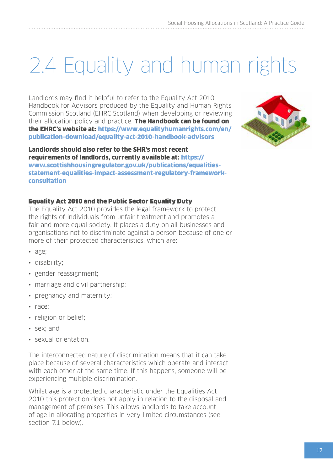# <span id="page-16-0"></span>2.4 Equality and human rights

Landlords may find it helpful to refer to the Equality Act 2010 - Handbook for Advisors produced by the Equality and Human Rights Commission Scotland (EHRC Scotland) when developing or reviewing their allocation policy and practice. The Handbook can be found on the EHRC's website at: [https://www.equalityhumanrights.com/en/](https://www.equalityhumanrights.com/en/publication-download/equality-act-2010-handbook-advisors) [publication-download/equality-act-2010-handbook-advisors](https://www.equalityhumanrights.com/en/publication-download/equality-act-2010-handbook-advisors)



Landlords should also refer to the SHR's most recent requirements of landlords, currently available at: [https://](https://www.scottishhousingregulator.gov.uk/publications/equalities-statement-equalities-impact-assessment-regulatory-framework-consultation) [www.scottishhousingregulator.gov.uk/publications/equalities](https://www.scottishhousingregulator.gov.uk/publications/equalities-statement-equalities-impact-assessment-regulatory-framework-consultation)[statement-equalities-impact-assessment-regulatory-framework](https://www.scottishhousingregulator.gov.uk/publications/equalities-statement-equalities-impact-assessment-regulatory-framework-consultation)[consultation](https://www.scottishhousingregulator.gov.uk/publications/equalities-statement-equalities-impact-assessment-regulatory-framework-consultation)

#### Equality Act 2010 and the Public Sector Equality Duty

The Equality Act 2010 provides the legal framework to protect the rights of individuals from unfair treatment and promotes a fair and more equal society. It places a duty on all businesses and organisations not to discriminate against a person because of one or more of their protected characteristics, which are:

- age;
- disability;
- gender reassignment;
- marriage and civil partnership;
- pregnancy and maternity;
- race;
- religion or belief;
- sex; and
- sexual orientation

The interconnected nature of discrimination means that it can take place because of several characteristics which operate and interact with each other at the same time. If this happens, someone will be experiencing multiple discrimination.

Whilst age is a protected characteristic under the Equalities Act 2010 this protection does not apply in relation to the disposal and management of premises. This allows landlords to take account of age in allocating properties in very limited circumstances (see section 7.1 below).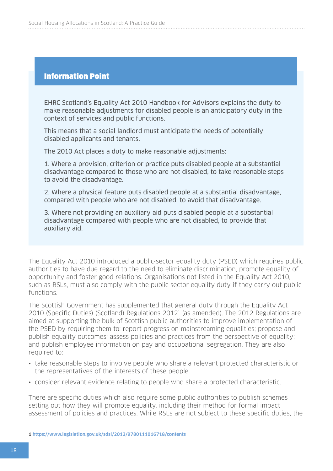#### Information Point

EHRC Scotland's Equality Act 2010 Handbook for Advisors explains the duty to make reasonable adjustments for disabled people is an anticipatory duty in the context of services and public functions.

This means that a social landlord must anticipate the needs of potentially disabled applicants and tenants.

The 2010 Act places a duty to make reasonable adjustments:

1. Where a provision, criterion or practice puts disabled people at a substantial disadvantage compared to those who are not disabled, to take reasonable steps to avoid the disadvantage.

2. Where a physical feature puts disabled people at a substantial disadvantage, compared with people who are not disabled, to avoid that disadvantage.

3. Where not providing an auxiliary aid puts disabled people at a substantial disadvantage compared with people who are not disabled, to provide that auxiliary aid.

The Equality Act 2010 introduced a public-sector equality duty (PSED) which requires public authorities to have due regard to the need to eliminate discrimination, promote equality of opportunity and foster good relations. Organisations not listed in the Equality Act 2010, such as RSLs, must also comply with the public sector equality duty if they carry out public functions.

The Scottish Government has supplemented that general duty through the Equality Act 2010 (Specific Duties) (Scotland) Regulations 20121 (as amended). The 2012 Regulations are aimed at supporting the bulk of Scottish public authorities to improve implementation of the PSED by requiring them to: report progress on mainstreaming equalities; propose and publish equality outcomes; assess policies and practices from the perspective of equality; and publish employee information on pay and occupational segregation. They are also required to:

- take reasonable steps to involve people who share a relevant protected characteristic or the representatives of the interests of these people.
- consider relevant evidence relating to people who share a protected characteristic.

There are specific duties which also require some public authorities to publish schemes setting out how they will promote equality, including their method for formal impact assessment of policies and practices. While RSLs are not subject to these specific duties, the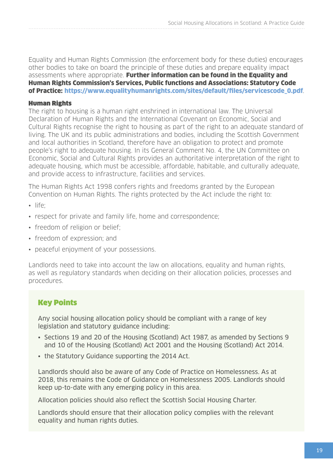<span id="page-18-0"></span>Equality and Human Rights Commission (the enforcement body for these duties) encourages other bodies to take on board the principle of these duties and prepare equality impact assessments where appropriate. Further information can be found in the Equality and Human Rights Commission's Services, Public functions and Associations: Statutory Code of Practice: [https://www.equalityhumanrights.com/sites/default/files/servicescode\\_0.pdf](https://www.equalityhumanrights.com/sites/default/files/servicescode_0.pdf).

#### Human Rights

The right to housing is a human right enshrined in international law. The Universal Declaration of Human Rights and the International Covenant on Economic, Social and Cultural Rights recognise the right to housing as part of the right to an adequate standard of living. The UK and its public administrations and bodies, including the Scottish Government and local authorities in Scotland, therefore have an obligation to protect and promote people's right to adequate housing. In its General Comment No. 4, the UN Committee on Economic, Social and Cultural Rights provides an authoritative interpretation of the right to adequate housing, which must be accessible, affordable, habitable, and culturally adequate, and provide access to infrastructure, facilities and services.

The Human Rights Act 1998 confers rights and freedoms granted by the European Convention on Human Rights. The rights protected by the Act include the right to:

- life;
- respect for private and family life, home and correspondence;
- freedom of religion or belief;
- freedom of expression; and
- peaceful enjoyment of your possessions.

Landlords need to take into account the law on allocations, equality and human rights, as well as regulatory standards when deciding on their allocation policies, processes and procedures.

#### Key Points

Any social housing allocation policy should be compliant with a range of key legislation and statutory guidance including:

- Sections 19 and 20 of the Housing (Scotland) Act 1987, as amended by Sections 9 and 10 of the Housing (Scotland) Act 2001 and the Housing (Scotland) Act 2014.
- the Statutory Guidance supporting the 2014 Act.

Landlords should also be aware of any Code of Practice on Homelessness. As at 2018, this remains the Code of Guidance on Homelessness 2005. Landlords should keep up-to-date with any emerging policy in this area.

Allocation policies should also reflect the Scottish Social Housing Charter.

Landlords should ensure that their allocation policy complies with the relevant equality and human rights duties.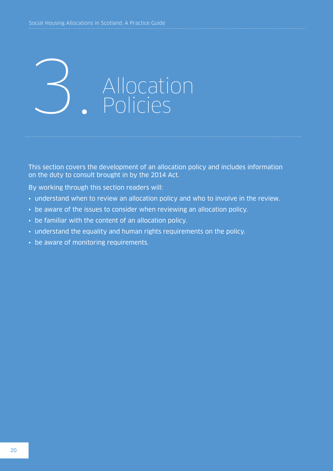<span id="page-19-0"></span>

This section covers the development of an allocation policy and includes information on the duty to consult brought in by the 2014 Act.

By working through this section readers will:

- understand when to review an allocation policy and who to involve in the review.
- be aware of the issues to consider when reviewing an allocation policy.
- be familiar with the content of an allocation policy.
- understand the equality and human rights requirements on the policy.
- be aware of monitoring requirements.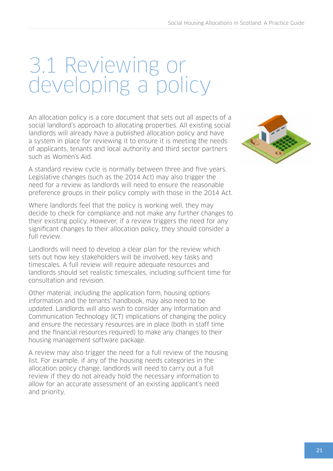### <span id="page-20-0"></span>3.1 Reviewing or developing a policy

An allocation policy is a core document that sets out all aspects of a social landlord's approach to allocating properties. All existing social landlords will already have a published allocation policy and have a system in place for reviewing it to ensure it is meeting the needs of applicants, tenants and local authority and third sector partners such as Women's Aid.

A standard review cycle is normally between three and five years. Legislative changes (such as the 2014 Act) may also trigger the need for a review as landlords will need to ensure the reasonable preference groups in their policy comply with those in the 2014 Act.

Where landlords feel that the policy is working well, they may decide to check for compliance and not make any further changes to their existing policy. However, if a review triggers the need for any significant changes to their allocation policy, they should consider a full review.

Landlords will need to develop a clear plan for the review which sets out how key stakeholders will be involved, key tasks and timescales. A full review will require adequate resources and landlords should set realistic timescales, including sufficient time for consultation and revision.

Other material, including the application form, housing options information and the tenants' handbook, may also need to be updated. Landlords will also wish to consider any Information and Communication Technology (ICT) implications of changing the policy and ensure the necessary resources are in place (both in staff time and the financial resources required) to make any changes to their housing management software package.

A review may also trigger the need for a full review of the housing list. For example, if any of the housing needs categories in the allocation policy change, landlords will need to carry out a full review if they do not already hold the necessary information to allow for an accurate assessment of an existing applicant's need and priority.

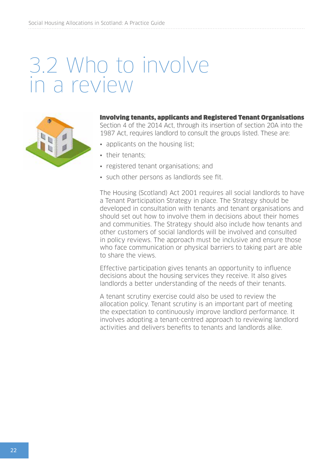### <span id="page-21-0"></span>3.2 Who to involve in a review



Involving tenants, applicants and Registered Tenant Organisations Section 4 of the 2014 Act, through its insertion of section 20A into the 1987 Act, requires landlord to consult the groups listed. These are:

- applicants on the housing list;
- their tenants;
- registered tenant organisations; and
- such other persons as landlords see fit.

The Housing (Scotland) Act 2001 requires all social landlords to have a Tenant Participation Strategy in place. The Strategy should be developed in consultation with tenants and tenant organisations and should set out how to involve them in decisions about their homes and communities. The Strategy should also include how tenants and other customers of social landlords will be involved and consulted in policy reviews. The approach must be inclusive and ensure those who face communication or physical barriers to taking part are able to share the views.

Effective participation gives tenants an opportunity to influence decisions about the housing services they receive. It also gives landlords a better understanding of the needs of their tenants.

A tenant scrutiny exercise could also be used to review the allocation policy. Tenant scrutiny is an important part of meeting the expectation to continuously improve landlord performance. It involves adopting a tenant-centred approach to reviewing landlord activities and delivers benefits to tenants and landlords alike.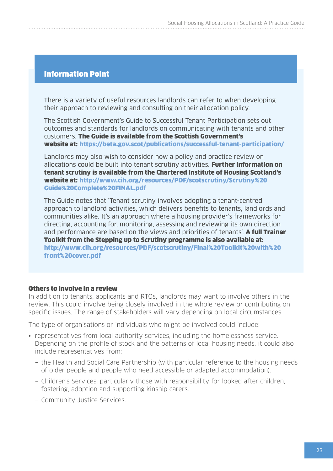#### <span id="page-22-0"></span>Information Point

There is a variety of useful resources landlords can refer to when developing their approach to reviewing and consulting on their allocation policy.

The Scottish Government's Guide to Successful Tenant Participation sets out outcomes and standards for landlords on communicating with tenants and other customers. The Guide is available from the Scottish Government's website at: <https://beta.gov.scot/publications/successful-tenant-participation/>

Landlords may also wish to consider how a policy and practice review on allocations could be built into tenant scrutiny activities. Further information on tenant scrutiny is available from the Chartered Institute of Housing Scotland's website at: [http://www.cih.org/resources/PDF/scotscrutiny/Scrutiny%20](http://www.cih.org/resources/PDF/scotscrutiny/Scrutiny%20Guide%20Complete%20FINAL.pdf) [Guide%20Complete%20FINAL.pdf](http://www.cih.org/resources/PDF/scotscrutiny/Scrutiny%20Guide%20Complete%20FINAL.pdf)

The Guide notes that 'Tenant scrutiny involves adopting a tenant-centred approach to landlord activities, which delivers benefits to tenants, landlords and communities alike. It's an approach where a housing provider's frameworks for directing, accounting for, monitoring, assessing and reviewing its own direction and performance are based on the views and priorities of tenants'. **A full Trainer** Toolkit from the Stepping up to Scrutiny programme is also available at: [http://www.cih.org/resources/PDF/scotscrutiny/Final%20Toolkit%20with%20](http://www.cih.org/resources/PDF/scotscrutiny/Final%20Toolkit%20with%20front%20cover.pdf) [front%20cover.pdf](http://www.cih.org/resources/PDF/scotscrutiny/Final%20Toolkit%20with%20front%20cover.pdf)

#### Others to involve in a review

In addition to tenants, applicants and RTOs, landlords may want to involve others in the review. This could involve being closely involved in the whole review or contributing on specific issues. The range of stakeholders will vary depending on local circumstances.

The type of organisations or individuals who might be involved could include:

- representatives from local authority services, including the homelessness service. Depending on the profile of stock and the patterns of local housing needs, it could also include representatives from:
	- − the Health and Social Care Partnership (with particular reference to the housing needs of older people and people who need accessible or adapted accommodation).
	- − Children's Services, particularly those with responsibility for looked after children, fostering, adoption and supporting kinship carers.
	- − Community Justice Services.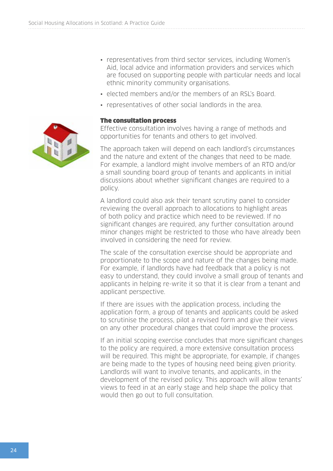- <span id="page-23-0"></span>• representatives from third sector services, including Women's Aid, local advice and information providers and services which are focused on supporting people with particular needs and local ethnic minority community organisations.
- elected members and/or the members of an RSL's Board.
- representatives of other social landlords in the area.

#### The consultation process

Effective consultation involves having a range of methods and opportunities for tenants and others to get involved.

The approach taken will depend on each landlord's circumstances and the nature and extent of the changes that need to be made. For example, a landlord might involve members of an RTO and/or a small sounding board group of tenants and applicants in initial discussions about whether significant changes are required to a policy.

A landlord could also ask their tenant scrutiny panel to consider reviewing the overall approach to allocations to highlight areas of both policy and practice which need to be reviewed. If no significant changes are required, any further consultation around minor changes might be restricted to those who have already been involved in considering the need for review.

The scale of the consultation exercise should be appropriate and proportionate to the scope and nature of the changes being made. For example, if landlords have had feedback that a policy is not easy to understand, they could involve a small group of tenants and applicants in helping re-write it so that it is clear from a tenant and applicant perspective.

If there are issues with the application process, including the application form, a group of tenants and applicants could be asked to scrutinise the process, pilot a revised form and give their views on any other procedural changes that could improve the process.

If an initial scoping exercise concludes that more significant changes to the policy are required, a more extensive consultation process will be required. This might be appropriate, for example, if changes are being made to the types of housing need being given priority. Landlords will want to involve tenants, and applicants, in the development of the revised policy. This approach will allow tenants' views to feed in at an early stage and help shape the policy that would then go out to full consultation.

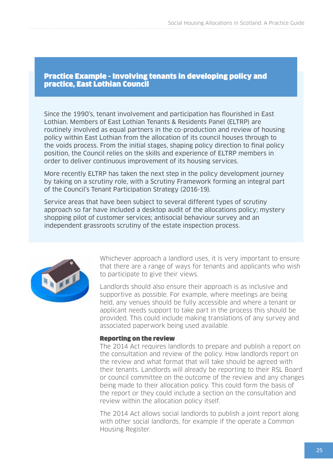#### <span id="page-24-0"></span>Practice Example - Involving tenants in developing policy and practice, East Lothian Council

Since the 1990's, tenant involvement and participation has flourished in East Lothian. Members of East Lothian Tenants & Residents Panel (ELTRP) are routinely involved as equal partners in the co-production and review of housing policy within East Lothian from the allocation of its council houses through to the voids process. From the initial stages, shaping policy direction to final policy position, the Council relies on the skills and experience of ELTRP members in order to deliver continuous improvement of its housing services.

More recently ELTRP has taken the next step in the policy development journey by taking on a scrutiny role, with a Scrutiny Framework forming an integral part of the Council's Tenant Participation Strategy (2016-19).

Service areas that have been subject to several different types of scrutiny approach so far have included a desktop audit of the allocations policy; mystery shopping pilot of customer services; antisocial behaviour survey and an independent grassroots scrutiny of the estate inspection process.



Whichever approach a landlord uses, it is very important to ensure that there are a range of ways for tenants and applicants who wish to participate to give their views.

Landlords should also ensure their approach is as inclusive and supportive as possible. For example, where meetings are being held, any venues should be fully accessible and where a tenant or applicant needs support to take part in the process this should be provided. This could include making translations of any survey and associated paperwork being used available.

#### Reporting on the review

The 2014 Act requires landlords to prepare and publish a report on the consultation and review of the policy. How landlords report on the review and what format that will take should be agreed with their tenants. Landlords will already be reporting to their RSL Board or council committee on the outcome of the review and any changes being made to their allocation policy. This could form the basis of the report or they could include a section on the consultation and review within the allocation policy itself.

The 2014 Act allows social landlords to publish a joint report along with other social landlords, for example if the operate a Common Housing Register.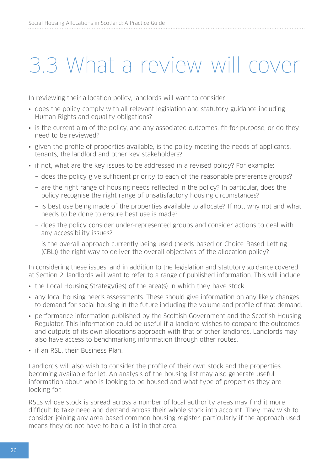### <span id="page-25-0"></span>3.3 What a review will cover

In reviewing their allocation policy, landlords will want to consider:

- does the policy comply with all relevant legislation and statutory guidance including Human Rights and equality obligations?
- is the current aim of the policy, and any associated outcomes, fit-for-purpose, or do they need to be reviewed?
- given the profile of properties available, is the policy meeting the needs of applicants, tenants, the landlord and other key stakeholders?
- if not, what are the key issues to be addressed in a revised policy? For example:
	- − does the policy give sufficient priority to each of the reasonable preference groups?
	- − are the right range of housing needs reflected in the policy? In particular, does the policy recognise the right range of unsatisfactory housing circumstances?
	- − is best use being made of the properties available to allocate? If not, why not and what needs to be done to ensure best use is made?
	- − does the policy consider under-represented groups and consider actions to deal with any accessibility issues?
	- − is the overall approach currently being used (needs-based or Choice-Based Letting (CBL)) the right way to deliver the overall objectives of the allocation policy?

In considering these issues, and in addition to the legislation and statutory guidance covered at Section 2, landlords will want to refer to a range of published information. This will include:

- the Local Housing Strategy(ies) of the area(s) in which they have stock.
- any local housing needs assessments. These should give information on any likely changes to demand for social housing in the future including the volume and profile of that demand.
- performance information published by the Scottish Government and the Scottish Housing Regulator. This information could be useful if a landlord wishes to compare the outcomes and outputs of its own allocations approach with that of other landlords. Landlords may also have access to benchmarking information through other routes.
- if an RSL, their Business Plan.

Landlords will also wish to consider the profile of their own stock and the properties becoming available for let. An analysis of the housing list may also generate useful information about who is looking to be housed and what type of properties they are looking for.

RSLs whose stock is spread across a number of local authority areas may find it more difficult to take need and demand across their whole stock into account. They may wish to consider joining any area-based common housing register, particularly if the approach used means they do not have to hold a list in that area.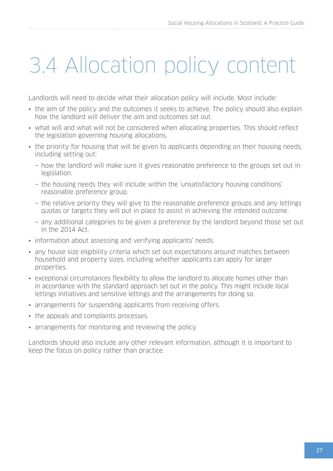# <span id="page-26-0"></span>3.4 Allocation policy content

Landlords will need to decide what their allocation policy will include. Most include:

- the aim of the policy and the outcomes it seeks to achieve. The policy should also explain how the landlord will deliver the aim and outcomes set out.
- what will and what will not be considered when allocating properties. This should reflect the legislation governing housing allocations.
- the priority for housing that will be given to applicants depending on their housing needs, including setting out:
	- − how the landlord will make sure it gives reasonable preference to the groups set out in legislation.
	- − the housing needs they will include within the 'unsatisfactory housing conditions' reasonable preference group.
	- − the relative priority they will give to the reasonable preference groups and any lettings quotas or targets they will put in place to assist in achieving the intended outcome.
	- − any additional categories to be given a preference by the landlord beyond those set out in the 2014 Act.
- information about assessing and verifying applicants' needs.
- any house size eligibility criteria which set out expectations around matches between household and property sizes, including whether applicants can apply for larger properties.
- exceptional circumstances flexibility to allow the landlord to allocate homes other than in accordance with the standard approach set out in the policy. This might include local lettings initiatives and sensitive lettings and the arrangements for doing so.
- arrangements for suspending applicants from receiving offers.
- the appeals and complaints processes.
- arrangements for monitoring and reviewing the policy.

Landlords should also include any other relevant information, although it is important to keep the focus on policy rather than practice.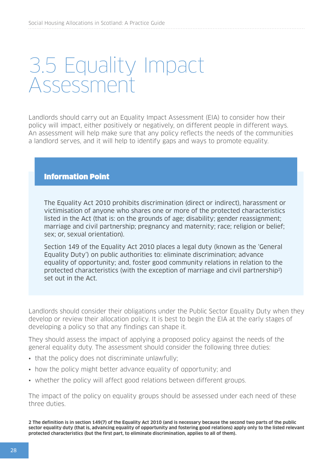### <span id="page-27-0"></span>3.5 Equality Impact Assessment

Landlords should carry out an Equality Impact Assessment (EIA) to consider how their policy will impact, either positively or negatively, on different people in different ways. An assessment will help make sure that any policy reflects the needs of the communities a landlord serves, and it will help to identify gaps and ways to promote equality.

#### Information Point

The Equality Act 2010 prohibits discrimination (direct or indirect), harassment or victimisation of anyone who shares one or more of the protected characteristics listed in the Act (that is: on the grounds of age; disability; gender reassignment; marriage and civil partnership; pregnancy and maternity; race; religion or belief; sex; or, sexual orientation).

Section 149 of the Equality Act 2010 places a legal duty (known as the 'General Equality Duty') on public authorities to: eliminate discrimination; advance equality of opportunity; and, foster good community relations in relation to the protected characteristics (with the exception of marriage and civil partnership2) set out in the Act.

Landlords should consider their obligations under the Public Sector Equality Duty when they develop or review their allocation policy. It is best to begin the EIA at the early stages of developing a policy so that any findings can shape it.

They should assess the impact of applying a proposed policy against the needs of the general equality duty. The assessment should consider the following three duties:

- that the policy does not discriminate unlawfully;
- how the policy might better advance equality of opportunity; and
- whether the policy will affect good relations between different groups.

The impact of the policy on equality groups should be assessed under each need of these three duties.

**2 The definition is in section 149(7) of the Equality Act 2010 (and is necessary because the second two parts of the public sector equality duty (that is, advancing equality of opportunity and fostering good relations) apply only to the listed relevant protected characteristics (but the first part, to eliminate discrimination, applies to all of them).**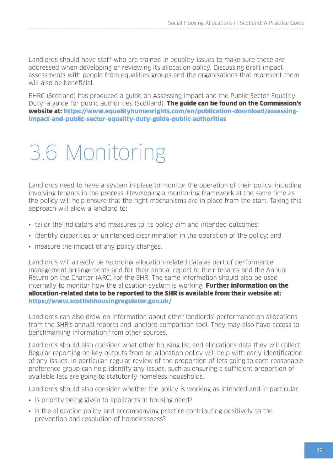<span id="page-28-0"></span>Landlords should have staff who are trained in equality issues to make sure these are addressed when developing or reviewing its allocation policy. Discussing draft impact assessments with people from equalities groups and the organisations that represent them will also be beneficial.

EHRC (Scotland) has produced a guide on Assessing impact and the Public Sector Equality Duty: a guide for public authorities (Scotland). **The guide can be found on the Commission's** website at: [https://www.equalityhumanrights.com/en/publication-download/assessing](https://www.equalityhumanrights.com/en/publication-download/assessing-impact-and-public-sector-equality-duty-guide-public-authorities)[impact-and-public-sector-equality-duty-guide-public-authorities](https://www.equalityhumanrights.com/en/publication-download/assessing-impact-and-public-sector-equality-duty-guide-public-authorities)

# 3.6 Monitoring

Landlords need to have a system in place to monitor the operation of their policy, including involving tenants in the process. Developing a monitoring framework at the same time as the policy will help ensure that the right mechanisms are in place from the start. Taking this approach will allow a landlord to:

- tailor the indicators and measures to its policy aim and intended outcomes;
- identify disparities or unintended discrimination in the operation of the policy; and
- measure the impact of any policy changes.

Landlords will already be recording allocation-related data as part of performance management arrangements and for their annual report to their tenants and the Annual Return on the Charter (ARC) for the SHR. The same information should also be used internally to monitor how the allocation system is working. **Further information on the** allocation-related data to be reported to the SHR is available from their website at: <https://www.scottishhousingregulator.gov.uk/>

Landlords can also draw on information about other landlords' performance on allocations from the SHR's annual reports and landlord comparison tool. They may also have access to benchmarking information from other sources.

Landlords should also consider what other housing list and allocations data they will collect. Regular reporting on key outputs from an allocation policy will help with early identification of any issues. In particular, regular review of the proportion of lets going to each reasonable preference group can help identify any issues, such as ensuring a sufficient proportion of available lets are going to statutorily homeless households.

Landlords should also consider whether the policy is working as intended and in particular:

- is priority being given to applicants in housing need?
- is the allocation policy and accompanying practice contributing positively to the prevention and resolution of homelessness?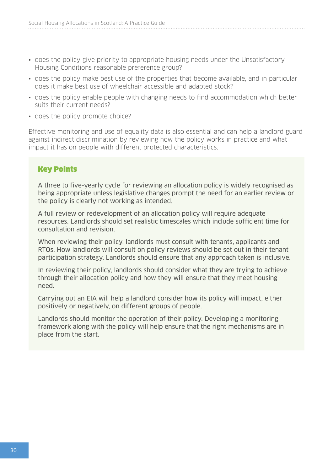- does the policy give priority to appropriate housing needs under the Unsatisfactory Housing Conditions reasonable preference group?
- does the policy make best use of the properties that become available, and in particular does it make best use of wheelchair accessible and adapted stock?
- does the policy enable people with changing needs to find accommodation which better suits their current needs?
- does the policy promote choice?

Effective monitoring and use of equality data is also essential and can help a landlord guard against indirect discrimination by reviewing how the policy works in practice and what impact it has on people with different protected characteristics.

#### Key Points

A three to five-yearly cycle for reviewing an allocation policy is widely recognised as being appropriate unless legislative changes prompt the need for an earlier review or the policy is clearly not working as intended.

A full review or redevelopment of an allocation policy will require adequate resources. Landlords should set realistic timescales which include sufficient time for consultation and revision.

When reviewing their policy, landlords must consult with tenants, applicants and RTOs. How landlords will consult on policy reviews should be set out in their tenant participation strategy. Landlords should ensure that any approach taken is inclusive.

In reviewing their policy, landlords should consider what they are trying to achieve through their allocation policy and how they will ensure that they meet housing need.

Carrying out an EIA will help a landlord consider how its policy will impact, either positively or negatively, on different groups of people.

Landlords should monitor the operation of their policy. Developing a monitoring framework along with the policy will help ensure that the right mechanisms are in place from the start.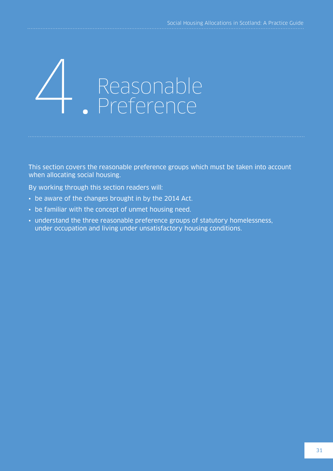# <span id="page-30-0"></span>Reasonable<br>Preference

This section covers the reasonable preference groups which must be taken into account when allocating social housing.

By working through this section readers will:

- be aware of the changes brought in by the 2014 Act.
- be familiar with the concept of unmet housing need.
- understand the three reasonable preference groups of statutory homelessness, under occupation and living under unsatisfactory housing conditions.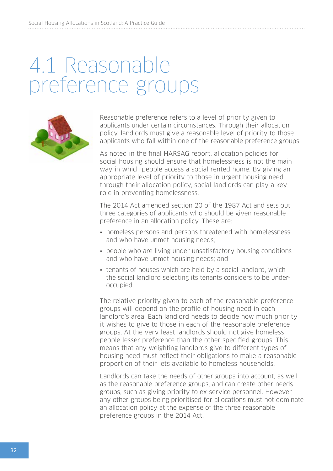### <span id="page-31-0"></span>4.1 Reasonable preference groups



Reasonable preference refers to a level of priority given to applicants under certain circumstances. Through their allocation policy, landlords must give a reasonable level of priority to those applicants who fall within one of the reasonable preference groups.

As noted in the final HARSAG report, allocation policies for social housing should ensure that homelessness is not the main way in which people access a social rented home. By giving an appropriate level of priority to those in urgent housing need through their allocation policy, social landlords can play a key role in preventing homelessness.

The 2014 Act amended section 20 of the 1987 Act and sets out three categories of applicants who should be given reasonable preference in an allocation policy. These are:

- homeless persons and persons threatened with homelessness and who have unmet housing needs;
- people who are living under unsatisfactory housing conditions and who have unmet housing needs; and
- tenants of houses which are held by a social landlord, which the social landlord selecting its tenants considers to be underoccupied.

The relative priority given to each of the reasonable preference groups will depend on the profile of housing need in each landlord's area. Each landlord needs to decide how much priority it wishes to give to those in each of the reasonable preference groups. At the very least landlords should not give homeless people lesser preference than the other specified groups. This means that any weighting landlords give to different types of housing need must reflect their obligations to make a reasonable proportion of their lets available to homeless households.

Landlords can take the needs of other groups into account, as well as the reasonable preference groups, and can create other needs groups, such as giving priority to ex-service personnel. However, any other groups being prioritised for allocations must not dominate an allocation policy at the expense of the three reasonable preference groups in the 2014 Act.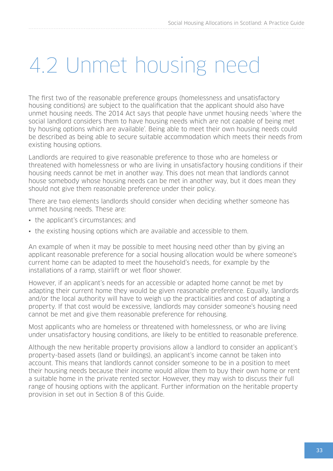### 4.2 Unmet housing need

The first two of the reasonable preference groups (homelessness and unsatisfactory housing conditions) are subject to the qualification that the applicant should also have unmet housing needs. The 2014 Act says that people have unmet housing needs 'where the social landlord considers them to have housing needs which are not capable of being met by housing options which are available'. Being able to meet their own housing needs could be described as being able to secure suitable accommodation which meets their needs from existing housing options.

Landlords are required to give reasonable preference to those who are homeless or threatened with homelessness or who are living in unsatisfactory housing conditions if their housing needs cannot be met in another way. This does not mean that landlords cannot house somebody whose housing needs can be met in another way, but it does mean they should not give them reasonable preference under their policy.

There are two elements landlords should consider when deciding whether someone has unmet housing needs. These are:

- the applicant's circumstances; and
- the existing housing options which are available and accessible to them.

An example of when it may be possible to meet housing need other than by giving an applicant reasonable preference for a social housing allocation would be where someone's current home can be adapted to meet the household's needs, for example by the installations of a ramp, stairlift or wet floor shower.

However, if an applicant's needs for an accessible or adapted home cannot be met by adapting their current home they would be given reasonable preference. Equally, landlords and/or the local authority will have to weigh up the practicalities and cost of adapting a property. If that cost would be excessive, landlords may consider someone's housing need cannot be met and give them reasonable preference for rehousing.

Most applicants who are homeless or threatened with homelessness, or who are living under unsatisfactory housing conditions, are likely to be entitled to reasonable preference.

Although the new heritable property provisions allow a landlord to consider an applicant's property-based assets (land or buildings), an applicant's income cannot be taken into account. This means that landlords cannot consider someone to be in a position to meet their housing needs because their income would allow them to buy their own home or rent a suitable home in the private rented sector. However, they may wish to discuss their full range of housing options with the applicant. Further information on the heritable property provision in set out in Section 8 of this Guide.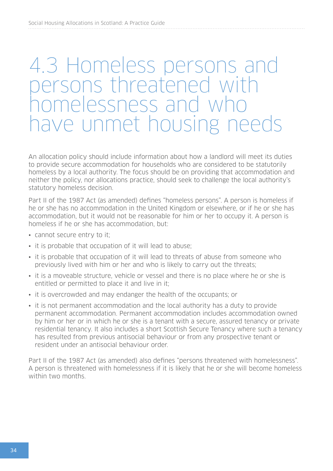### <span id="page-33-0"></span>4.3 Homeless persons and ersons threatened with melessness and ave unmet housing needs

An allocation policy should include information about how a landlord will meet its duties to provide secure accommodation for households who are considered to be statutorily homeless by a local authority. The focus should be on providing that accommodation and neither the policy, nor allocations practice, should seek to challenge the local authority's statutory homeless decision.

Part II of the 1987 Act (as amended) defines "homeless persons". A person is homeless if he or she has no accommodation in the United Kingdom or elsewhere, or if he or she has accommodation, but it would not be reasonable for him or her to occupy it. A person is homeless if he or she has accommodation, but:

- cannot secure entry to it;
- it is probable that occupation of it will lead to abuse;
- it is probable that occupation of it will lead to threats of abuse from someone who previously lived with him or her and who is likely to carry out the threats;
- it is a moveable structure, vehicle or vessel and there is no place where he or she is entitled or permitted to place it and live in it;
- it is overcrowded and may endanger the health of the occupants; or
- it is not permanent accommodation and the local authority has a duty to provide permanent accommodation. Permanent accommodation includes accommodation owned by him or her or in which he or she is a tenant with a secure, assured tenancy or private residential tenancy. It also includes a short Scottish Secure Tenancy where such a tenancy has resulted from previous antisocial behaviour or from any prospective tenant or resident under an antisocial behaviour order.

Part II of the 1987 Act (as amended) also defines "persons threatened with homelessness". A person is threatened with homelessness if it is likely that he or she will become homeless within two months.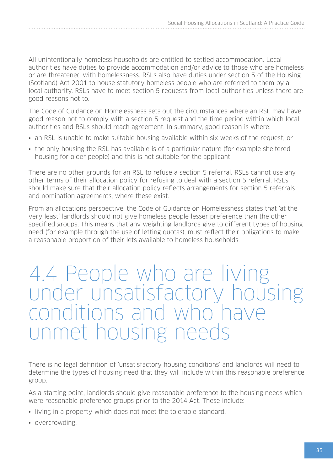<span id="page-34-0"></span>All unintentionally homeless households are entitled to settled accommodation. Local authorities have duties to provide accommodation and/or advice to those who are homeless or are threatened with homelessness. RSLs also have duties under section 5 of the Housing (Scotland) Act 2001 to house statutory homeless people who are referred to them by a local authority. RSLs have to meet section 5 requests from local authorities unless there are good reasons not to.

The Code of Guidance on Homelessness sets out the circumstances where an RSL may have good reason not to comply with a section 5 request and the time period within which local authorities and RSLs should reach agreement. In summary, good reason is where:

- an RSL is unable to make suitable housing available within six weeks of the request; or
- the only housing the RSL has available is of a particular nature (for example sheltered housing for older people) and this is not suitable for the applicant.

There are no other grounds for an RSL to refuse a section 5 referral. RSLs cannot use any other terms of their allocation policy for refusing to deal with a section 5 referral. RSLs should make sure that their allocation policy reflects arrangements for section 5 referrals and nomination agreements, where these exist.

From an allocations perspective, the Code of Guidance on Homelessness states that 'at the very least' landlords should not give homeless people lesser preference than the other specified groups. This means that any weighting landlords give to different types of housing need (for example through the use of letting quotas), must reflect their obligations to make a reasonable proportion of their lets available to homeless households.

### 4.4 People who are living under unsatisfactory housing and itions and who unmet housing needs

There is no legal definition of 'unsatisfactory housing conditions' and landlords will need to determine the types of housing need that they will include within this reasonable preference group.

As a starting point, landlords should give reasonable preference to the housing needs which were reasonable preference groups prior to the 2014 Act. These include:

- living in a property which does not meet the tolerable standard.
- overcrowding.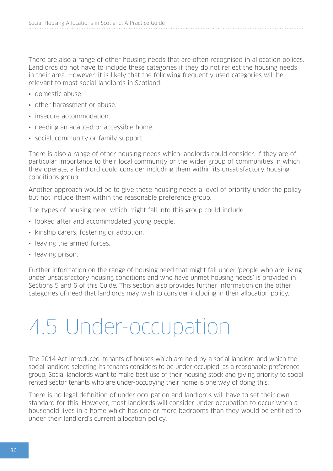There are also a range of other housing needs that are often recognised in allocation polices. Landlords do not have to include these categories if they do not reflect the housing needs in their area. However, it is likely that the following frequently used categories will be relevant to most social landlords in Scotland.

- domestic abuse.
- other harassment or abuse.
- insecure accommodation.
- needing an adapted or accessible home.
- social, community or family support.

There is also a range of other housing needs which landlords could consider. If they are of particular importance to their local community or the wider group of communities in which they operate, a landlord could consider including them within its unsatisfactory housing conditions group.

Another approach would be to give these housing needs a level of priority under the policy but not include them within the reasonable preference group.

The types of housing need which might fall into this group could include:

- looked after and accommodated young people.
- kinship carers, fostering or adoption.
- leaving the armed forces.
- leaving prison.

Further information on the range of housing need that might fall under 'people who are living under unsatisfactory housing conditions and who have unmet housing needs' is provided in Sections 5 and 6 of this Guide. This section also provides further information on the other categories of need that landlords may wish to consider including in their allocation policy.

### 4.5 Under-occupation

The 2014 Act introduced 'tenants of houses which are held by a social landlord and which the social landlord selecting its tenants considers to be under-occupied' as a reasonable preference group. Social landlords want to make best use of their housing stock and giving priority to social rented sector tenants who are under-occupying their home is one way of doing this.

There is no legal definition of under-occupation and landlords will have to set their own standard for this. However, most landlords will consider under-occupation to occur when a household lives in a home which has one or more bedrooms than they would be entitled to under their landlord's current allocation policy.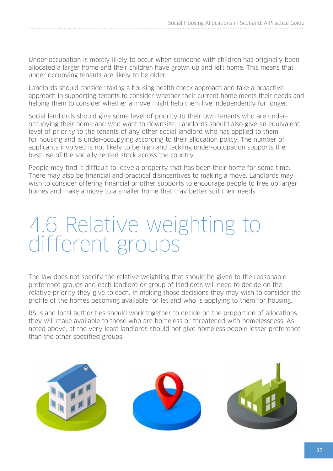Under-occupation is mostly likely to occur when someone with children has originally been allocated a larger home and their children have grown up and left home. This means that under-occupying tenants are likely to be older.

Landlords should consider taking a housing health check approach and take a proactive approach in supporting tenants to consider whether their current home meets their needs and helping them to consider whether a move might help them live independently for longer.

Social landlords should give some level of priority to their own tenants who are underoccupying their home and who want to downsize. Landlords should also give an equivalent level of priority to the tenants of any other social landlord who has applied to them for housing and is under-occupying according to their allocation policy. The number of applicants involved is not likely to be high and tackling under-occupation supports the best use of the socially rented stock across the country.

People may find it difficult to leave a property that has been their home for some time. There may also be financial and practical disincentives to making a move. Landlords may wish to consider offering financial or other supports to encourage people to free up larger homes and make a move to a smaller home that may better suit their needs.

## 4.6 Relative weighting to different groups

The law does not specify the relative weighting that should be given to the reasonable preference groups and each landlord or group of landlords will need to decide on the relative priority they give to each. In making those decisions they may wish to consider the profile of the homes becoming available for let and who is applying to them for housing.

RSLs and local authorities should work together to decide on the proportion of allocations they will make available to those who are homeless or threatened with homelessness. As noted above, at the very least landlords should not give homeless people lesser preference than the other specified groups.

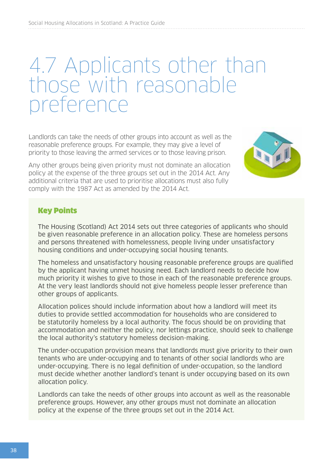## 4.7 Applicants other than those with reasonable preference

Landlords can take the needs of other groups into account as well as the reasonable preference groups. For example, they may give a level of priority to those leaving the armed services or to those leaving prison.

Any other groups being given priority must not dominate an allocation policy at the expense of the three groups set out in the 2014 Act. Any additional criteria that are used to prioritise allocations must also fully comply with the 1987 Act as amended by the 2014 Act.



#### Key Points

The Housing (Scotland) Act 2014 sets out three categories of applicants who should be given reasonable preference in an allocation policy. These are homeless persons and persons threatened with homelessness, people living under unsatisfactory housing conditions and under-occupying social housing tenants.

The homeless and unsatisfactory housing reasonable preference groups are qualified by the applicant having unmet housing need. Each landlord needs to decide how much priority it wishes to give to those in each of the reasonable preference groups. At the very least landlords should not give homeless people lesser preference than other groups of applicants.

Allocation polices should include information about how a landlord will meet its duties to provide settled accommodation for households who are considered to be statutorily homeless by a local authority. The focus should be on providing that accommodation and neither the policy, nor lettings practice, should seek to challenge the local authority's statutory homeless decision-making.

The under-occupation provision means that landlords must give priority to their own tenants who are under-occupying and to tenants of other social landlords who are under-occupying. There is no legal definition of under-occupation, so the landlord must decide whether another landlord's tenant is under occupying based on its own allocation policy.

Landlords can take the needs of other groups into account as well as the reasonable preference groups. However, any other groups must not dominate an allocation policy at the expense of the three groups set out in the 2014 Act.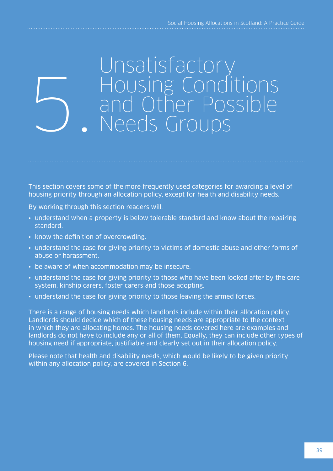## Unsatisfactory Housing Conditions and Other Possible 5. Needs Groups

This section covers some of the more frequently used categories for awarding a level of housing priority through an allocation policy, except for health and disability needs.

By working through this section readers will:

- understand when a property is below tolerable standard and know about the repairing standard.
- know the definition of overcrowding.
- understand the case for giving priority to victims of domestic abuse and other forms of abuse or harassment.
- be aware of when accommodation may be insecure.
- understand the case for giving priority to those who have been looked after by the care system, kinship carers, foster carers and those adopting.
- understand the case for giving priority to those leaving the armed forces.

There is a range of housing needs which landlords include within their allocation policy. Landlords should decide which of these housing needs are appropriate to the context in which they are allocating homes. The housing needs covered here are examples and landlords do not have to include any or all of them. Equally, they can include other types of housing need if appropriate, justifiable and clearly set out in their allocation policy.

Please note that health and disability needs, which would be likely to be given priority within any allocation policy, are covered in Section 6.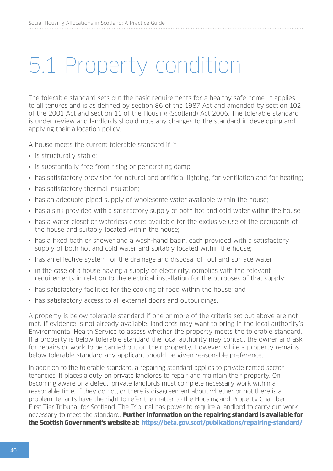## 5.1 Property condition

The tolerable standard sets out the basic requirements for a healthy safe home. It applies to all tenures and is as defined by section 86 of the 1987 Act and amended by section 102 of the 2001 Act and section 11 of the Housing (Scotland) Act 2006. The tolerable standard is under review and landlords should note any changes to the standard in developing and applying their allocation policy.

A house meets the current tolerable standard if it:

- is structurally stable;
- is substantially free from rising or penetrating damp;
- has satisfactory provision for natural and artificial lighting, for ventilation and for heating;
- has satisfactory thermal insulation;
- has an adequate piped supply of wholesome water available within the house;
- has a sink provided with a satisfactory supply of both hot and cold water within the house;
- has a water closet or waterless closet available for the exclusive use of the occupants of the house and suitably located within the house;
- has a fixed bath or shower and a wash-hand basin, each provided with a satisfactory supply of both hot and cold water and suitably located within the house;
- has an effective system for the drainage and disposal of foul and surface water;
- in the case of a house having a supply of electricity, complies with the relevant requirements in relation to the electrical installation for the purposes of that supply;
- has satisfactory facilities for the cooking of food within the house; and
- has satisfactory access to all external doors and outbuildings.

A property is below tolerable standard if one or more of the criteria set out above are not met. If evidence is not already available, landlords may want to bring in the local authority's Environmental Health Service to assess whether the property meets the tolerable standard. If a property is below tolerable standard the local authority may contact the owner and ask for repairs or work to be carried out on their property. However, while a property remains below tolerable standard any applicant should be given reasonable preference.

In addition to the tolerable standard, a repairing standard applies to private rented sector tenancies. It places a duty on private landlords to repair and maintain their property. On becoming aware of a defect, private landlords must complete necessary work within a reasonable time. If they do not, or there is disagreement about whether or not there is a problem, tenants have the right to refer the matter to the Housing and Property Chamber First Tier Tribunal for Scotland. The Tribunal has power to require a landlord to carry out work necessary to meet the standard. Further information on the repairing standard is available for the Scottish Government's website at: <https://beta.gov.scot/publications/repairing-standard/>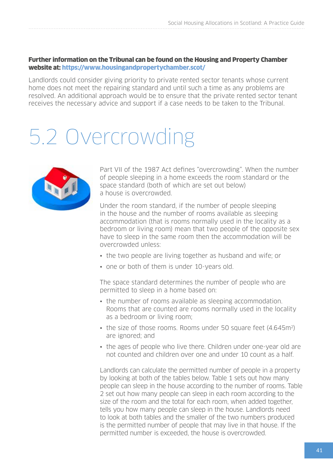Further information on the Tribunal can be found on the Housing and Property Chamber website at:<https://www.housingandpropertychamber.scot/>

Landlords could consider giving priority to private rented sector tenants whose current home does not meet the repairing standard and until such a time as any problems are resolved. An additional approach would be to ensure that the private rented sector tenant receives the necessary advice and support if a case needs to be taken to the Tribunal.

## 5.2 Overcrowding



Part VII of the 1987 Act defines "overcrowding". When the number of people sleeping in a home exceeds the room standard or the space standard (both of which are set out below) a house is overcrowded.

Under the room standard, if the number of people sleeping in the house and the number of rooms available as sleeping accommodation (that is rooms normally used in the locality as a bedroom or living room) mean that two people of the opposite sex have to sleep in the same room then the accommodation will be overcrowded unless:

- the two people are living together as husband and wife; or
- one or both of them is under 10-years old.

The space standard determines the number of people who are permitted to sleep in a home based on:

- the number of rooms available as sleeping accommodation. Rooms that are counted are rooms normally used in the locality as a bedroom or living room;
- the size of those rooms. Rooms under 50 square feet (4.645m<sup>2</sup>) are ignored; and
- the ages of people who live there. Children under one-year old are not counted and children over one and under 10 count as a half.

Landlords can calculate the permitted number of people in a property by looking at both of the tables below. Table 1 sets out how many people can sleep in the house according to the number of rooms. Table 2 set out how many people can sleep in each room according to the size of the room and the total for each room, when added together, tells you how many people can sleep in the house. Landlords need to look at both tables and the smaller of the two numbers produced is the permitted number of people that may live in that house. If the permitted number is exceeded, the house is overcrowded.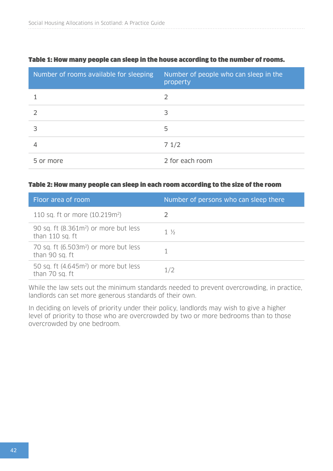| Number of rooms available for sleeping | Number of people who can sleep in the<br>property |
|----------------------------------------|---------------------------------------------------|
|                                        | 2                                                 |
|                                        | 3                                                 |
|                                        | 5                                                 |
|                                        | 71/2                                              |
| 5 or more                              | 2 for each room                                   |

#### Table 1: How many people can sleep in the house according to the number of rooms.

#### Table 2: How many people can sleep in each room according to the size of the room

| Floor area of room                                                   | Number of persons who can sleep there |
|----------------------------------------------------------------------|---------------------------------------|
| 110 sq. ft or more (10.219m <sup>2</sup> )                           |                                       |
| 90 sq. ft (8.361m <sup>2</sup> ) or more but less<br>than 110 sq. ft | $1\frac{1}{2}$                        |
| 70 sq. ft (6.503m <sup>2</sup> ) or more but less<br>than 90 sq. ft  |                                       |
| 50 sq. ft (4.645m <sup>2</sup> ) or more but less<br>than 70 sq. ft  | 1/2                                   |

While the law sets out the minimum standards needed to prevent overcrowding, in practice, landlords can set more generous standards of their own.

In deciding on levels of priority under their policy, landlords may wish to give a higher level of priority to those who are overcrowded by two or more bedrooms than to those overcrowded by one bedroom.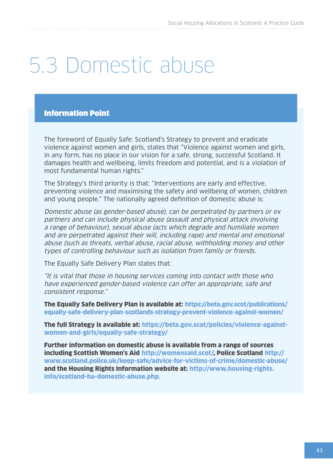## 5.3 Domestic abuse

#### Information Point

The foreword of Equally Safe: Scotland's Strategy to prevent and eradicate violence against women and girls, states that "Violence against women and girls, in any form, has no place in our vision for a safe, strong, successful Scotland. It damages health and wellbeing, limits freedom and potential, and is a violation of most fundamental human rights."

The Strategy's third priority is that: "Interventions are early and effective, preventing violence and maximising the safety and wellbeing of women, children and young people." The nationally agreed definition of domestic abuse is:

Domestic abuse (as gender-based abuse), can be perpetrated by partners or ex partners and can include physical abuse (assault and physical attack involving a range of behaviour), sexual abuse (acts which degrade and humiliate women and are perpetrated against their will, including rape) and mental and emotional abuse (such as threats, verbal abuse, racial abuse, withholding money and other types of controlling behaviour such as isolation from family or friends.

The Equally Safe Delivery Plan states that:

"It is vital that those in housing services coming into contact with those who have experienced gender-based violence can offer an appropriate, safe and consistent response."

The Equally Safe Delivery Plan is available at: [https://beta.gov.scot/publications/](https://beta.gov.scot/publications/equally-safe-delivery-plan-scotlands-strategy-prevent-violence-against-women/) [equally-safe-delivery-plan-scotlands-strategy-prevent-violence-against-women/](https://beta.gov.scot/publications/equally-safe-delivery-plan-scotlands-strategy-prevent-violence-against-women/)

The full Strategy is available at: [https://beta.gov.scot/policies/violence-against](https://beta.gov.scot/policies/violence-against-women-and-girls/equally-safe-strategy/)[women-and-girls/equally-safe-strategy/](https://beta.gov.scot/policies/violence-against-women-and-girls/equally-safe-strategy/)

Further information on domestic abuse is available from a range of sources including Scottish Women's Aid [http://womensaid.scot/,](http://womensaid.scot/) Police Scotland [http://](http://www.scotland.police.uk/keep-safe/advice-for-victims-of-crime/domestic-abuse/) [www.scotland.police.uk/keep-safe/advice-for-victims-of-crime/domestic-abuse/](http://www.scotland.police.uk/keep-safe/advice-for-victims-of-crime/domestic-abuse/) and the Housing Rights Information website at: [http://www.housing-rights.](http://www.housing-rights.info/scotland-ha-domestic-abuse.php) [info/scotland-ha-domestic-abuse.php](http://www.housing-rights.info/scotland-ha-domestic-abuse.php).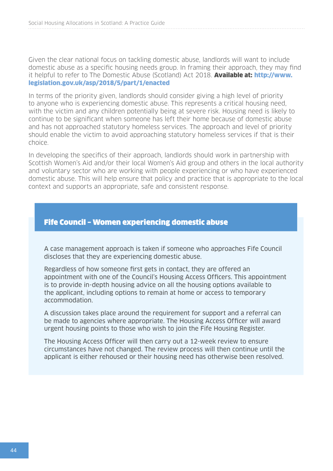Given the clear national focus on tackling domestic abuse, landlords will want to include domestic abuse as a specific housing needs group. In framing their approach, they may find it helpful to refer to The Domestic Abuse (Scotland) Act 2018. Available at: [http://www.](http://www.legislation.gov.uk/asp/2018/5/part/1/enacted) [legislation.gov.uk/asp/2018/5/part/1/enacted](http://www.legislation.gov.uk/asp/2018/5/part/1/enacted)

In terms of the priority given, landlords should consider giving a high level of priority to anyone who is experiencing domestic abuse. This represents a critical housing need, with the victim and any children potentially being at severe risk. Housing need is likely to continue to be significant when someone has left their home because of domestic abuse and has not approached statutory homeless services. The approach and level of priority should enable the victim to avoid approaching statutory homeless services if that is their choice.

In developing the specifics of their approach, landlords should work in partnership with Scottish Women's Aid and/or their local Women's Aid group and others in the local authority and voluntary sector who are working with people experiencing or who have experienced domestic abuse. This will help ensure that policy and practice that is appropriate to the local context and supports an appropriate, safe and consistent response.

#### Fife Council – Women experiencing domestic abuse

A case management approach is taken if someone who approaches Fife Council discloses that they are experiencing domestic abuse.

Regardless of how someone first gets in contact, they are offered an appointment with one of the Council's Housing Access Officers. This appointment is to provide in-depth housing advice on all the housing options available to the applicant, including options to remain at home or access to temporary accommodation.

A discussion takes place around the requirement for support and a referral can be made to agencies where appropriate. The Housing Access Officer will award urgent housing points to those who wish to join the Fife Housing Register.

The Housing Access Officer will then carry out a 12-week review to ensure circumstances have not changed. The review process will then continue until the applicant is either rehoused or their housing need has otherwise been resolved.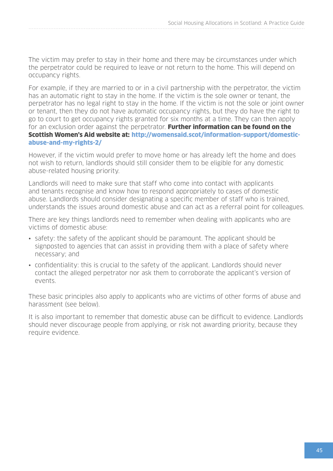The victim may prefer to stay in their home and there may be circumstances under which the perpetrator could be required to leave or not return to the home. This will depend on occupancy rights.

For example, if they are married to or in a civil partnership with the perpetrator, the victim has an automatic right to stay in the home. If the victim is the sole owner or tenant, the perpetrator has no legal right to stay in the home. If the victim is not the sole or joint owner or tenant, then they do not have automatic occupancy rights, but they do have the right to go to court to get occupancy rights granted for six months at a time. They can then apply for an exclusion order against the perpetrator. Further information can be found on the Scottish Women's Aid website at: [http://womensaid.scot/information-support/domestic](http://womensaid.scot/information-support/domestic-abuse-and-my-rights-2/)[abuse-and-my-rights-2/](http://womensaid.scot/information-support/domestic-abuse-and-my-rights-2/)

However, if the victim would prefer to move home or has already left the home and does not wish to return, landlords should still consider them to be eligible for any domestic abuse-related housing priority.

Landlords will need to make sure that staff who come into contact with applicants and tenants recognise and know how to respond appropriately to cases of domestic abuse. Landlords should consider designating a specific member of staff who is trained, understands the issues around domestic abuse and can act as a referral point for colleagues.

There are key things landlords need to remember when dealing with applicants who are victims of domestic abuse:

- safety: the safety of the applicant should be paramount. The applicant should be signposted to agencies that can assist in providing them with a place of safety where necessary; and
- confidentiality: this is crucial to the safety of the applicant. Landlords should never contact the alleged perpetrator nor ask them to corroborate the applicant's version of events.

These basic principles also apply to applicants who are victims of other forms of abuse and harassment (see below).

It is also important to remember that domestic abuse can be difficult to evidence. Landlords should never discourage people from applying, or risk not awarding priority, because they require evidence.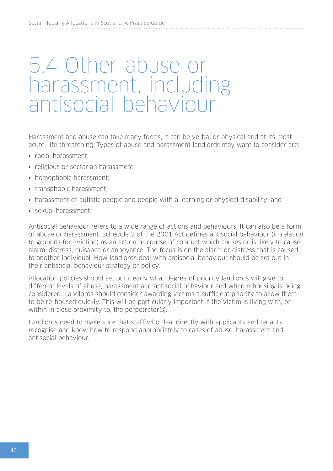## 5.4 Other abuse or harassment, including antisocial behaviour

Harassment and abuse can take many forms, it can be verbal or physical and at its most acute, life threatening. Types of abuse and harassment landlords may want to consider are:

- racial harassment;
- religious or sectarian harassment;
- homophobic harassment;
- transphobic harassment;
- harassment of autistic people and people with a learning or physical disability; and
- sexual harassment.

Antisocial behaviour refers to a wide range of actions and behaviours. It can also be a form of abuse or harassment. Schedule 2 of the 2001 Act defines antisocial behaviour (in relation to grounds for eviction) as an action or course of conduct which causes or is likely to cause alarm, distress, nuisance or annoyance. The focus is on the alarm or distress that is caused to another individual. How landlords deal with antisocial behaviour should be set out in their antisocial behaviour strategy or policy.

Allocation policies should set out clearly what degree of priority landlords will give to different levels of abuse, harassment and antisocial behaviour and when rehousing is being considered. Landlords should consider awarding victims a sufficient priority to allow them to be re-housed quickly. This will be particularly important if the victim is living with, or within in close proximity to, the perpetrator(s).

Landlords need to make sure that staff who deal directly with applicants and tenants recognise and know how to respond appropriately to cases of abuse, harassment and antisocial behaviour.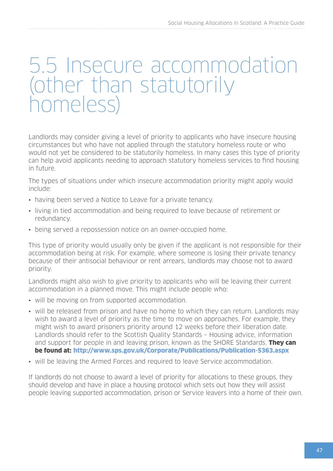## 5.5 Insecure accommodation (other than statutorily homeless)

Landlords may consider giving a level of priority to applicants who have insecure housing circumstances but who have not applied through the statutory homeless route or who would not yet be considered to be statutorily homeless. In many cases this type of priority can help avoid applicants needing to approach statutory homeless services to find housing in future.

The types of situations under which insecure accommodation priority might apply would include:

- having been served a Notice to Leave for a private tenancy.
- living in tied accommodation and being required to leave because of retirement or redundancy.
- being served a repossession notice on an owner-occupied home.

This type of priority would usually only be given if the applicant is not responsible for their accommodation being at risk. For example, where someone is losing their private tenancy because of their antisocial behaviour or rent arrears, landlords may choose not to award priority.

Landlords might also wish to give priority to applicants who will be leaving their current accommodation in a planned move. This might include people who:

- will be moving on from supported accommodation.
- will be released from prison and have no home to which they can return. Landlords may wish to award a level of priority as the time to move on approaches. For example, they might wish to award prisoners priority around 12 weeks before their liberation date. Landlords should refer to the Scottish Quality Standards – Housing advice, information and support for people in and leaving prison, known as the SHORE Standards. They can be found at: <http://www.sps.gov.uk/Corporate/Publications/Publication-5363.aspx>
- will be leaving the Armed Forces and required to leave Service accommodation.

If landlords do not choose to award a level of priority for allocations to these groups, they should develop and have in place a housing protocol which sets out how they will assist people leaving supported accommodation, prison or Service leavers into a home of their own.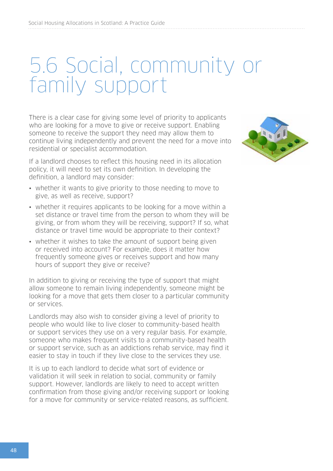## 5.6 Social, community or family support

There is a clear case for giving some level of priority to applicants who are looking for a move to give or receive support. Enabling someone to receive the support they need may allow them to continue living independently and prevent the need for a move into residential or specialist accommodation.

If a landlord chooses to reflect this housing need in its allocation policy, it will need to set its own definition. In developing the definition, a landlord may consider:

- whether it wants to give priority to those needing to move to give, as well as receive, support?
- whether it requires applicants to be looking for a move within a set distance or travel time from the person to whom they will be giving, or from whom they will be receiving, support? If so, what distance or travel time would be appropriate to their context?
- whether it wishes to take the amount of support being given or received into account? For example, does it matter how frequently someone gives or receives support and how many hours of support they give or receive?

In addition to giving or receiving the type of support that might allow someone to remain living independently, someone might be looking for a move that gets them closer to a particular community or services.

Landlords may also wish to consider giving a level of priority to people who would like to live closer to community-based health or support services they use on a very regular basis. For example, someone who makes frequent visits to a community-based health or support service, such as an addictions rehab service, may find it easier to stay in touch if they live close to the services they use.

It is up to each landlord to decide what sort of evidence or validation it will seek in relation to social, community or family support. However, landlords are likely to need to accept written confirmation from those giving and/or receiving support or looking for a move for community or service-related reasons, as sufficient.

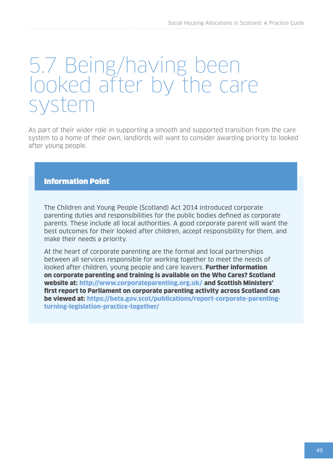## 5.7 Being/having been looked after by the care system

As part of their wider role in supporting a smooth and supported transition from the care system to a home of their own, landlords will want to consider awarding priority to looked after young people.

#### Information Point

The Children and Young People (Scotland) Act 2014 introduced corporate parenting duties and responsibilities for the public bodies defined as corporate parents. These include all local authorities. A good corporate parent will want the best outcomes for their looked after children, accept responsibility for them, and make their needs a priority.

At the heart of corporate parenting are the formal and local partnerships between all services responsible for working together to meet the needs of looked after children, young people and care leavers. Further information on corporate parenting and training is available on the Who Cares? Scotland website at: <http://www.corporateparenting.org.uk/> and Scottish Ministers' first report to Parliament on corporate parenting activity across Scotland can be viewed at: [https://beta.gov.scot/publications/report-corporate-parenting](https://beta.gov.scot/publications/report-corporate-parenting-turning-legislation-practice-together/)[turning-legislation-practice-together/](https://beta.gov.scot/publications/report-corporate-parenting-turning-legislation-practice-together/)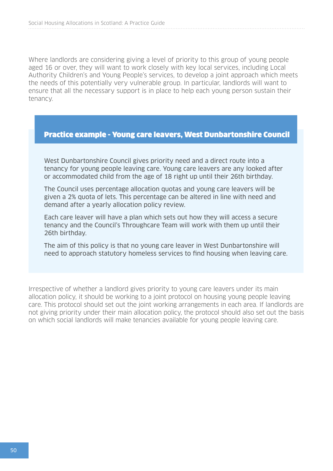Where landlords are considering giving a level of priority to this group of young people aged 16 or over, they will want to work closely with key local services, including Local Authority Children's and Young People's services, to develop a joint approach which meets the needs of this potentially very vulnerable group. In particular, landlords will want to ensure that all the necessary support is in place to help each young person sustain their tenancy.

#### Practice example - Young care leavers, West Dunbartonshire Council

West Dunbartonshire Council gives priority need and a direct route into a tenancy for young people leaving care. Young care leavers are any looked after or accommodated child from the age of 18 right up until their 26th birthday.

The Council uses percentage allocation quotas and young care leavers will be given a 2% quota of lets. This percentage can be altered in line with need and demand after a yearly allocation policy review.

Each care leaver will have a plan which sets out how they will access a secure tenancy and the Council's Throughcare Team will work with them up until their 26th birthday.

The aim of this policy is that no young care leaver in West Dunbartonshire will need to approach statutory homeless services to find housing when leaving care.

Irrespective of whether a landlord gives priority to young care leavers under its main allocation policy, it should be working to a joint protocol on housing young people leaving care. This protocol should set out the joint working arrangements in each area. If landlords are not giving priority under their main allocation policy, the protocol should also set out the basis on which social landlords will make tenancies available for young people leaving care.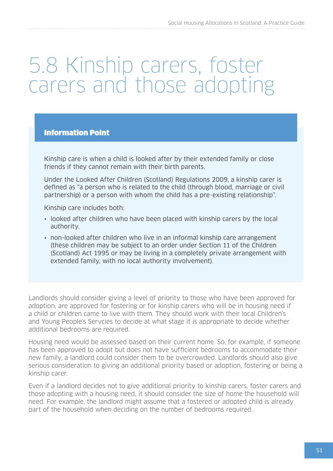## 5.8 Kinship carers, foster carers and those adopting

#### Information Point

Kinship care is when a child is looked after by their extended family or close friends if they cannot remain with their birth parents.

Under the Looked After Children (Scotland) Regulations 2009, a kinship carer is defined as "a person who is related to the child (through blood, marriage or civil partnership) or a person with whom the child has a pre-existing relationship".

Kinship care includes both:

- looked after children who have been placed with kinship carers by the local authority.
- non-looked after children who live in an informal kinship care arrangement (these children may be subject to an order under Section 11 of the Children (Scotland) Act 1995 or may be living in a completely private arrangement with extended family, with no local authority involvement).

Landlords should consider giving a level of priority to those who have been approved for adoption, are approved for fostering or for kinship carers who will be in housing need if a child or children came to live with them. They should work with their local Children's and Young People's Servcies to decide at what stage it is appropriate to decide whether additional bedrooms are required.

Housing need would be assessed based on their current home. So, for example, if someone has been approved to adopt but does not have sufficient bedrooms to accommodate their new family, a landlord could consider them to be overcrowded. Landlords should also give serious consideration to giving an additional priority based or adoption, fostering or being a kinship carer.

Even if a landlord decides not to give additional priority to kinship carers, foster carers and those adopting with a housing need, it should consider the size of home the household will need. For example, the landlord might assume that a fostered or adopted child is already part of the household when deciding on the number of bedrooms required.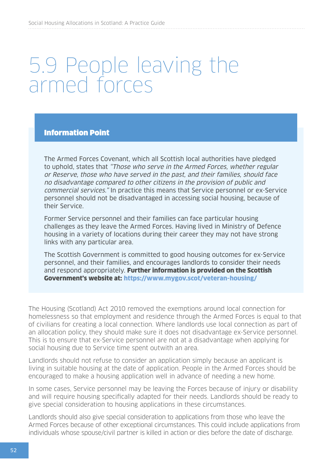## 5.9 People leaving the armed forces

#### Information Point

The Armed Forces Covenant, which all Scottish local authorities have pledged to uphold, states that "Those who serve in the Armed Forces, whether regular or Reserve, those who have served in the past, and their families, should face no disadvantage compared to other citizens in the provision of public and commercial services." In practice this means that Service personnel or ex-Service personnel should not be disadvantaged in accessing social housing, because of their Service.

Former Service personnel and their families can face particular housing challenges as they leave the Armed Forces. Having lived in Ministry of Defence housing in a variety of locations during their career they may not have strong links with any particular area.

The Scottish Government is committed to good housing outcomes for ex-Service personnel, and their families, and encourages landlords to consider their needs and respond appropriately. Further information is provided on the Scottish Government's website at: <https://www.mygov.scot/veteran-housing/>

The Housing (Scotland) Act 2010 removed the exemptions around local connection for homelessness so that employment and residence through the Armed Forces is equal to that of civilians for creating a local connection. Where landlords use local connection as part of an allocation policy, they should make sure it does not disadvantage ex-Service personnel. This is to ensure that ex-Service personnel are not at a disadvantage when applying for social housing due to Service time spent outwith an area.

Landlords should not refuse to consider an application simply because an applicant is living in suitable housing at the date of application. People in the Armed Forces should be encouraged to make a housing application well in advance of needing a new home.

In some cases, Service personnel may be leaving the Forces because of injury or disability and will require housing specifically adapted for their needs. Landlords should be ready to give special consideration to housing applications in these circumstances.

Landlords should also give special consideration to applications from those who leave the Armed Forces because of other exceptional circumstances. This could include applications from individuals whose spouse/civil partner is killed in action or dies before the date of discharge.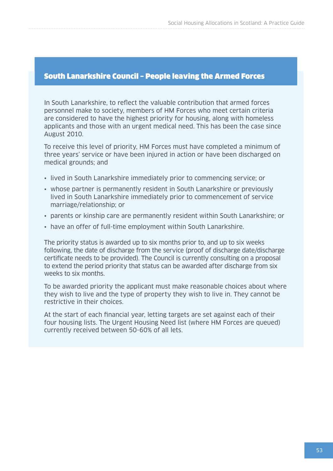#### South Lanarkshire Council – People leaving the Armed Forces

In South Lanarkshire, to reflect the valuable contribution that armed forces personnel make to society, members of HM Forces who meet certain criteria are considered to have the highest priority for housing, along with homeless applicants and those with an urgent medical need. This has been the case since August 2010.

To receive this level of priority, HM Forces must have completed a minimum of three years' service or have been injured in action or have been discharged on medical grounds; and

- lived in South Lanarkshire immediately prior to commencing service; or
- whose partner is permanently resident in South Lanarkshire or previously lived in South Lanarkshire immediately prior to commencement of service marriage/relationship; or
- parents or kinship care are permanently resident within South Lanarkshire; or
- have an offer of full-time employment within South Lanarkshire.

The priority status is awarded up to six months prior to, and up to six weeks following, the date of discharge from the service (proof of discharge date/discharge certificate needs to be provided). The Council is currently consulting on a proposal to extend the period priority that status can be awarded after discharge from six weeks to six months.

To be awarded priority the applicant must make reasonable choices about where they wish to live and the type of property they wish to live in. They cannot be restrictive in their choices.

At the start of each financial year, letting targets are set against each of their four housing lists. The Urgent Housing Need list (where HM Forces are queued) currently received between 50-60% of all lets.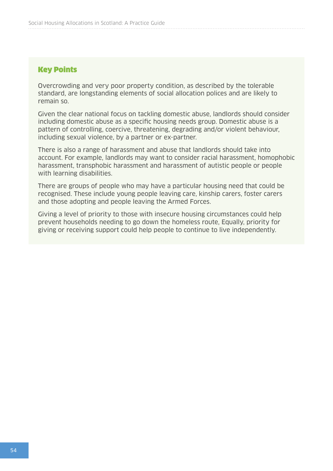#### Key Points

Overcrowding and very poor property condition, as described by the tolerable standard, are longstanding elements of social allocation polices and are likely to remain so.

Given the clear national focus on tackling domestic abuse, landlords should consider including domestic abuse as a specific housing needs group. Domestic abuse is a pattern of controlling, coercive, threatening, degrading and/or violent behaviour, including sexual violence, by a partner or ex-partner.

There is also a range of harassment and abuse that landlords should take into account. For example, landlords may want to consider racial harassment, homophobic harassment, transphobic harassment and harassment of autistic people or people with learning disabilities.

There are groups of people who may have a particular housing need that could be recognised. These include young people leaving care, kinship carers, foster carers and those adopting and people leaving the Armed Forces.

Giving a level of priority to those with insecure housing circumstances could help prevent households needing to go down the homeless route, Equally, priority for giving or receiving support could help people to continue to live independently.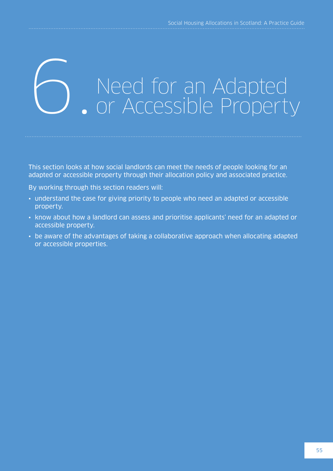## Need for an Adapted<br>Or Accessible Property

This section looks at how social landlords can meet the needs of people looking for an adapted or accessible property through their allocation policy and associated practice.

By working through this section readers will:

- understand the case for giving priority to people who need an adapted or accessible property.
- know about how a landlord can assess and prioritise applicants' need for an adapted or accessible property.
- be aware of the advantages of taking a collaborative approach when allocating adapted or accessible properties.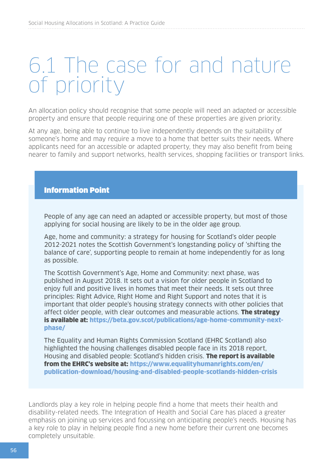## 6.1 The case for and nature of priority

An allocation policy should recognise that some people will need an adapted or accessible property and ensure that people requiring one of these properties are given priority.

At any age, being able to continue to live independently depends on the suitability of someone's home and may require a move to a home that better suits their needs. Where applicants need for an accessible or adapted property, they may also benefit from being nearer to family and support networks, health services, shopping facilities or transport links.

#### Information Point

People of any age can need an adapted or accessible property, but most of those applying for social housing are likely to be in the older age group.

Age, home and community: a strategy for housing for Scotland's older people 2012-2021 notes the Scottish Government's longstanding policy of 'shifting the balance of care', supporting people to remain at home independently for as long as possible.

The Scottish Government's Age, Home and Community: next phase, was published in August 2018. It sets out a vision for older people in Scotland to enjoy full and positive lives in homes that meet their needs. It sets out three principles: Right Advice, Right Home and Right Support and notes that it is important that older people's housing strategy connects with other policies that affect older people, with clear outcomes and measurable actions. The strategy is available at: [https://beta.gov.scot/publications/age-home-community-next](https://beta.gov.scot/publications/age-home-community-next-phase/)[phase/](https://beta.gov.scot/publications/age-home-community-next-phase/)

The Equality and Human Rights Commission Scotland (EHRC Scotland) also highlighted the housing challenges disabled people face in its 2018 report, Housing and disabled people: Scotland's hidden crisis. **The report is available** from the EHRC's website at: [https://www.equalityhumanrights.com/en/](https://www.equalityhumanrights.com/en/publication-download/housing-and-disabled-people-scotlands-hidden-crisis) [publication-download/housing-and-disabled-people-scotlands-hidden-crisis](https://www.equalityhumanrights.com/en/publication-download/housing-and-disabled-people-scotlands-hidden-crisis)

Landlords play a key role in helping people find a home that meets their health and disability-related needs. The Integration of Health and Social Care has placed a greater emphasis on joining up services and focussing on anticipating people's needs. Housing has a key role to play in helping people find a new home before their current one becomes completely unsuitable.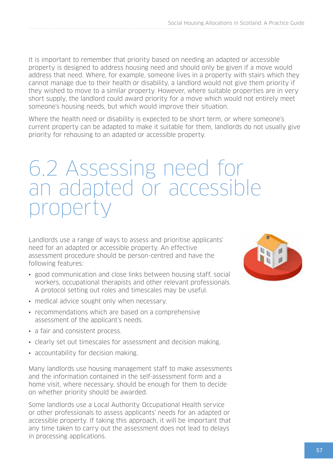It is important to remember that priority based on needing an adapted or accessible property is designed to address housing need and should only be given if a move would address that need. Where, for example, someone lives in a property with stairs which they cannot manage due to their health or disability, a landlord would not give them priority if they wished to move to a similar property. However, where suitable properties are in very short supply, the landlord could award priority for a move which would not entirely meet someone's housing needs, but which would improve their situation.

Where the health need or disability is expected to be short term, or where someone's current property can be adapted to make it suitable for them, landlords do not usually give priority for rehousing to an adapted or accessible property.

## 6.2 Assessing need for an adapted or accessible property

Landlords use a range of ways to assess and prioritise applicants' need for an adapted or accessible property. An effective assessment procedure should be person-centred and have the following features:

- good communication and close links between housing staff, social workers, occupational therapists and other relevant professionals. A protocol setting out roles and timescales may be useful.
- medical advice sought only when necessary.
- recommendations which are based on a comprehensive assessment of the applicant's needs.
- a fair and consistent process.
- clearly set out timescales for assessment and decision making.
- accountability for decision making.

Many landlords use housing management staff to make assessments and the information contained in the self-assessment form and a home visit, where necessary, should be enough for them to decide on whether priority should be awarded.

Some landlords use a Local Authority Occupational Health service or other professionals to assess applicants' needs for an adapted or accessible property. If taking this approach, it will be important that any time taken to carry out the assessment does not lead to delays in processing applications.

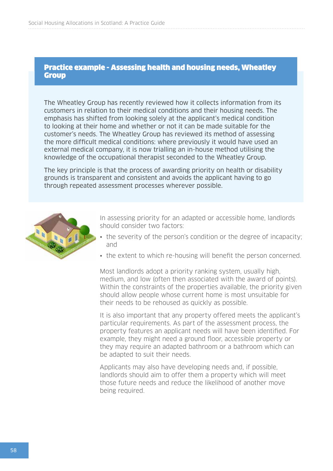#### Practice example - Assessing health and housing needs, Wheatley Group

The Wheatley Group has recently reviewed how it collects information from its customers in relation to their medical conditions and their housing needs. The emphasis has shifted from looking solely at the applicant's medical condition to looking at their home and whether or not it can be made suitable for the customer's needs. The Wheatley Group has reviewed its method of assessing the more difficult medical conditions: where previously it would have used an external medical company, it is now trialling an in-house method utilising the knowledge of the occupational therapist seconded to the Wheatley Group.

The key principle is that the process of awarding priority on health or disability grounds is transparent and consistent and avoids the applicant having to go through repeated assessment processes wherever possible.



In assessing priority for an adapted or accessible home, landlords should consider two factors:

- the severity of the person's condition or the degree of incapacity; and
- the extent to which re-housing will benefit the person concerned.

Most landlords adopt a priority ranking system, usually high, medium, and low (often then associated with the award of points). Within the constraints of the properties available, the priority given should allow people whose current home is most unsuitable for their needs to be rehoused as quickly as possible.

It is also important that any property offered meets the applicant's particular requirements. As part of the assessment process, the property features an applicant needs will have been identified. For example, they might need a ground floor, accessible property or they may require an adapted bathroom or a bathroom which can be adapted to suit their needs.

Applicants may also have developing needs and, if possible, landlords should aim to offer them a property which will meet those future needs and reduce the likelihood of another move being required.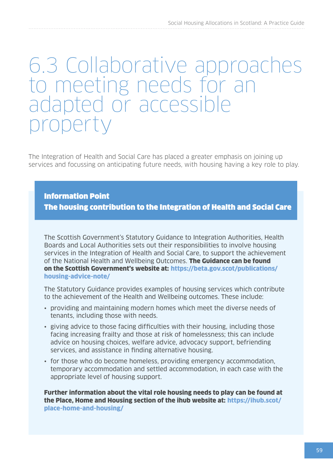## 6.3 Collaborative approaches to meeting needs for an adapted or accessible property

The Integration of Health and Social Care has placed a greater emphasis on joining up services and focussing on anticipating future needs, with housing having a key role to play.

Information Point

The housing contribution to the Integration of Health and Social Care

The Scottish Government's Statutory Guidance to Integration Authorities, Health Boards and Local Authorities sets out their responsibilities to involve housing services in the Integration of Health and Social Care, to support the achievement of the National Health and Wellbeing Outcomes. The Guidance can be found on the Scottish Government's website at: [https://beta.gov.scot/publications/](https://beta.gov.scot/publications/housing-advice-note/) [housing-advice-note/](https://beta.gov.scot/publications/housing-advice-note/)

The Statutory Guidance provides examples of housing services which contribute to the achievement of the Health and Wellbeing outcomes. These include:

- providing and maintaining modern homes which meet the diverse needs of tenants, including those with needs.
- giving advice to those facing difficulties with their housing, including those facing increasing frailty and those at risk of homelessness; this can include advice on housing choices, welfare advice, advocacy support, befriending services, and assistance in finding alternative housing.
- for those who do become homeless, providing emergency accommodation, temporary accommodation and settled accommodation, in each case with the appropriate level of housing support.

Further information about the vital role housing needs to play can be found at the Place, Home and Housing section of the ihub website at: [https://ihub.scot/](https://ihub.scot/place-home-and-housing/) [place-home-and-housing/](https://ihub.scot/place-home-and-housing/)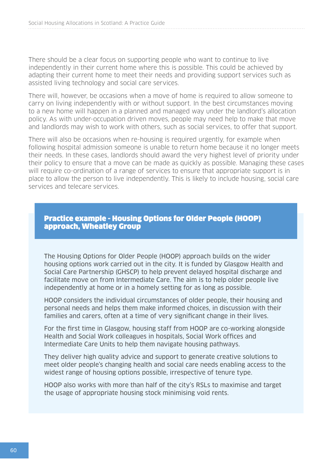There should be a clear focus on supporting people who want to continue to live independently in their current home where this is possible. This could be achieved by adapting their current home to meet their needs and providing support services such as assisted living technology and social care services.

There will, however, be occasions when a move of home is required to allow someone to carry on living independently with or without support. In the best circumstances moving to a new home will happen in a planned and managed way under the landlord's allocation policy. As with under-occupation driven moves, people may need help to make that move and landlords may wish to work with others, such as social services, to offer that support.

There will also be occasions when re-housing is required urgently, for example when following hospital admission someone is unable to return home because it no longer meets their needs. In these cases, landlords should award the very highest level of priority under their policy to ensure that a move can be made as quickly as possible. Managing these cases will require co-ordination of a range of services to ensure that appropriate support is in place to allow the person to live independently. This is likely to include housing, social care services and telecare services.

#### Practice example - Housing Options for Older People (HOOP) approach, Wheatley Group

The Housing Options for Older People (HOOP) approach builds on the wider housing options work carried out in the city. It is funded by Glasgow Health and Social Care Partnership (GHSCP) to help prevent delayed hospital discharge and facilitate move on from Intermediate Care. The aim is to help older people live independently at home or in a homely setting for as long as possible.

HOOP considers the individual circumstances of older people, their housing and personal needs and helps them make informed choices, in discussion with their families and carers, often at a time of very significant change in their lives.

For the first time in Glasgow, housing staff from HOOP are co-working alongside Health and Social Work colleagues in hospitals, Social Work offices and Intermediate Care Units to help them navigate housing pathways.

They deliver high quality advice and support to generate creative solutions to meet older people's changing health and social care needs enabling access to the widest range of housing options possible, irrespective of tenure type.

HOOP also works with more than half of the city's RSLs to maximise and target the usage of appropriate housing stock minimising void rents.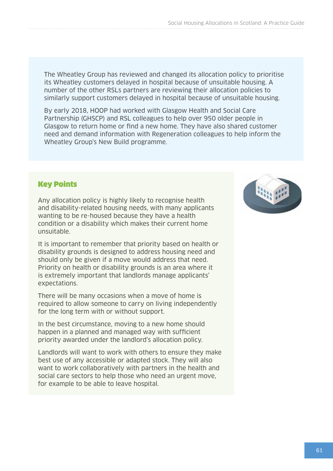The Wheatley Group has reviewed and changed its allocation policy to prioritise its Wheatley customers delayed in hospital because of unsuitable housing. A number of the other RSLs partners are reviewing their allocation policies to similarly support customers delayed in hospital because of unsuitable housing.

By early 2018, HOOP had worked with Glasgow Health and Social Care Partnership (GHSCP) and RSL colleagues to help over 950 older people in Glasgow to return home or find a new home. They have also shared customer need and demand information with Regeneration colleagues to help inform the Wheatley Group's New Build programme.

### Key Points

Any allocation policy is highly likely to recognise health and disability-related housing needs, with many applicants wanting to be re-housed because they have a health condition or a disability which makes their current home unsuitable.

It is important to remember that priority based on health or disability grounds is designed to address housing need and should only be given if a move would address that need. Priority on health or disability grounds is an area where it is extremely important that landlords manage applicants' expectations.

There will be many occasions when a move of home is required to allow someone to carry on living independently for the long term with or without support.

In the best circumstance, moving to a new home should happen in a planned and managed way with sufficient priority awarded under the landlord's allocation policy.

Landlords will want to work with others to ensure they make best use of any accessible or adapted stock. They will also want to work collaboratively with partners in the health and social care sectors to help those who need an urgent move, for example to be able to leave hospital.

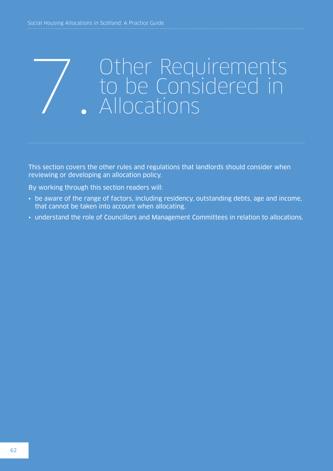# Other Requirements to be Considered in 7. Allocations

This section covers the other rules and regulations that landlords should consider when reviewing or developing an allocation policy.

By working through this section readers will:

- be aware of the range of factors, including residency, outstanding debts, age and income, that cannot be taken into account when allocating.
- understand the role of Councillors and Management Committees in relation to allocations.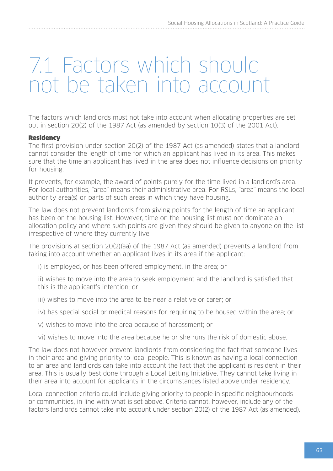## 7.1 Factors which should not be taken into account

The factors which landlords must not take into account when allocating properties are set out in section 20(2) of the 1987 Act (as amended by section 10(3) of the 2001 Act).

#### **Residency**

The first provision under section 20(2) of the 1987 Act (as amended) states that a landlord cannot consider the length of time for which an applicant has lived in its area. This makes sure that the time an applicant has lived in the area does not influence decisions on priority for housing.

It prevents, for example, the award of points purely for the time lived in a landlord's area. For local authorities, "area" means their administrative area. For RSLs, "area" means the local authority area(s) or parts of such areas in which they have housing.

The law does not prevent landlords from giving points for the length of time an applicant has been on the housing list. However, time on the housing list must not dominate an allocation policy and where such points are given they should be given to anyone on the list irrespective of where they currently live.

The provisions at section 20(2)(aa) of the 1987 Act (as amended) prevents a landlord from taking into account whether an applicant lives in its area if the applicant:

- i) is employed, or has been offered employment, in the area; or
- ii) wishes to move into the area to seek employment and the landlord is satisfied that this is the applicant's intention; or
- iii) wishes to move into the area to be near a relative or carer; or
- iv) has special social or medical reasons for requiring to be housed within the area; or
- v) wishes to move into the area because of harassment; or
- vi) wishes to move into the area because he or she runs the risk of domestic abuse.

The law does not however prevent landlords from considering the fact that someone lives in their area and giving priority to local people. This is known as having a local connection to an area and landlords can take into account the fact that the applicant is resident in their area. This is usually best done through a Local Letting Initiative. They cannot take living in their area into account for applicants in the circumstances listed above under residency.

Local connection criteria could include giving priority to people in specific neighbourhoods or communities, in line with what is set above. Criteria cannot, however, include any of the factors landlords cannot take into account under section 20(2) of the 1987 Act (as amended).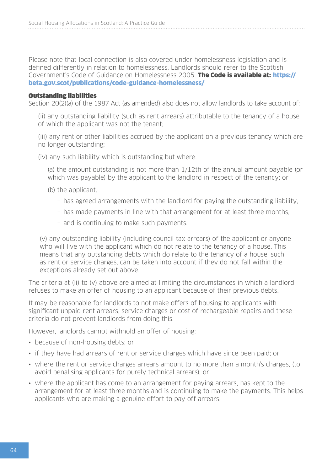Please note that local connection is also covered under homelessness legislation and is defined differently in relation to homelessness. Landlords should refer to the Scottish Government's Code of Guidance on Homelessness 2005. The Code is available at: [https://](https://beta.gov.scot/publications/code-guidance-homelessness/) [beta.gov.scot/publications/code-guidance-homelessness/](https://beta.gov.scot/publications/code-guidance-homelessness/)

#### Outstanding liabilities

Section 20(2)(a) of the 1987 Act (as amended) also does not allow landlords to take account of:

(ii) any outstanding liability (such as rent arrears) attributable to the tenancy of a house of which the applicant was not the tenant;

(iii) any rent or other liabilities accrued by the applicant on a previous tenancy which are no longer outstanding;

(iv) any such liability which is outstanding but where:

(a) the amount outstanding is not more than 1/12th of the annual amount payable (or which was payable) by the applicant to the landlord in respect of the tenancy; or

- (b) the applicant:
	- − has agreed arrangements with the landlord for paying the outstanding liability;
	- − has made payments in line with that arrangement for at least three months;
	- − and is continuing to make such payments.

(v) any outstanding liability (including council tax arrears) of the applicant or anyone who will live with the applicant which do not relate to the tenancy of a house. This means that any outstanding debts which do relate to the tenancy of a house, such as rent or service charges, can be taken into account if they do not fall within the exceptions already set out above.

The criteria at (ii) to (v) above are aimed at limiting the circumstances in which a landlord refuses to make an offer of housing to an applicant because of their previous debts.

It may be reasonable for landlords to not make offers of housing to applicants with significant unpaid rent arrears, service charges or cost of rechargeable repairs and these criteria do not prevent landlords from doing this.

However, landlords cannot withhold an offer of housing:

- because of non-housing debts; or
- if they have had arrears of rent or service charges which have since been paid; or
- where the rent or service charges arrears amount to no more than a month's charges, (to avoid penalising applicants for purely technical arrears); or
- where the applicant has come to an arrangement for paying arrears, has kept to the arrangement for at least three months and is continuing to make the payments. This helps applicants who are making a genuine effort to pay off arrears.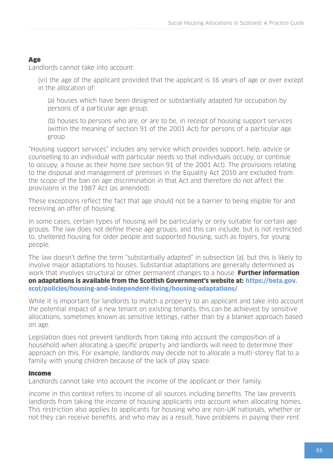#### Age

Landlords cannot take into account:

(vi) the age of the applicant provided that the applicant is 16 years of age or over except in the allocation of:

(a) houses which have been designed or substantially adapted for occupation by persons of a particular age group;

(b) houses to persons who are, or are to be, in receipt of housing support services (within the meaning of section 91 of the 2001 Act) for persons of a particular age group.

"Housing support services" includes any service which provides support, help, advice or counselling to an individual with particular needs so that individuals occupy, or continue to occupy, a house as their home (see section 91 of the 2001 Act). The provisions relating to the disposal and management of premises in the Equality Act 2010 are excluded from the scope of the ban on age discrimination in that Act and therefore do not affect the provisions in the 1987 Act (as amended).

These exceptions reflect the fact that age should not be a barrier to being eligible for and receiving an offer of housing.

In some cases, certain types of housing will be particularly or only suitable for certain age groups. The law does not define these age groups, and this can include, but is not restricted to, sheltered housing for older people and supported housing, such as foyers, for young people.

The law doesn't define the term "substantially adapted" in subsection (a), but this is likely to involve major adaptations to houses. Substantial adaptations are generally determined as work that involves structural or other permanent changes to a house. Further information on adaptations is available from the Scottish Government's website at: [https://beta.gov.](https://beta.gov.scot/policies/housing-and-independent-living/housing-adaptations/) [scot/policies/housing-and-independent-living/housing-adaptations/](https://beta.gov.scot/policies/housing-and-independent-living/housing-adaptations/)

While it is important for landlords to match a property to an applicant and take into account the potential impact of a new tenant on existing tenants, this can be achieved by sensitive allocations, sometimes known as sensitive lettings, rather than by a blanket approach based on age.

Legislation does not prevent landlords from taking into account the composition of a household when allocating a specific property and landlords will need to determine their approach on this. For example, landlords may decide not to allocate a multi-storey flat to a family with young children because of the lack of play space.

#### Income

Landlords cannot take into account the income of the applicant or their family.

Income in this context refers to income of all sources including benefits. The law prevents landlords from taking the income of housing applicants into account when allocating homes. This restriction also applies to applicants for housing who are non-UK nationals, whether or not they can receive benefits, and who may as a result, have problems in paying their rent.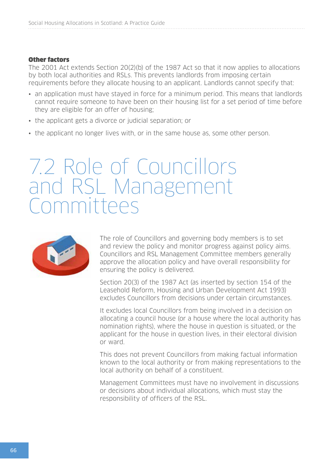#### Other factors

The 2001 Act extends Section 20(2)(b) of the 1987 Act so that it now applies to allocations by both local authorities and RSLs. This prevents landlords from imposing certain requirements before they allocate housing to an applicant. Landlords cannot specify that:

- an application must have stayed in force for a minimum period. This means that landlords cannot require someone to have been on their housing list for a set period of time before they are eligible for an offer of housing;
- the applicant gets a divorce or judicial separation; or
- the applicant no longer lives with, or in the same house as, some other person.

## 7.2 Role of Councillors and RSL Management Committees



The role of Councillors and governing body members is to set and review the policy and monitor progress against policy aims. Councillors and RSL Management Committee members generally approve the allocation policy and have overall responsibility for ensuring the policy is delivered.

Section 20(3) of the 1987 Act (as inserted by section 154 of the Leasehold Reform, Housing and Urban Development Act 1993) excludes Councillors from decisions under certain circumstances.

It excludes local Councillors from being involved in a decision on allocating a council house (or a house where the local authority has nomination rights), where the house in question is situated, or the applicant for the house in question lives, in their electoral division or ward.

This does not prevent Councillors from making factual information known to the local authority or from making representations to the local authority on behalf of a constituent.

Management Committees must have no involvement in discussions or decisions about individual allocations, which must stay the responsibility of officers of the RSL.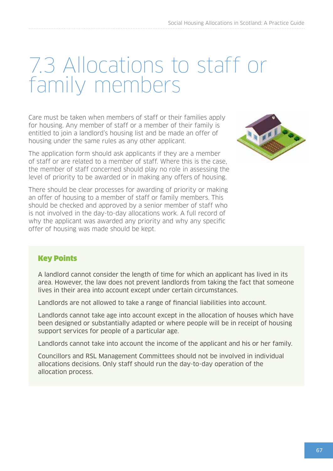## 7.3 Allocations to staff or family members

Care must be taken when members of staff or their families apply for housing. Any member of staff or a member of their family is entitled to join a landlord's housing list and be made an offer of housing under the same rules as any other applicant.

The application form should ask applicants if they are a member of staff or are related to a member of staff. Where this is the case, the member of staff concerned should play no role in assessing the level of priority to be awarded or in making any offers of housing.



There should be clear processes for awarding of priority or making an offer of housing to a member of staff or family members. This should be checked and approved by a senior member of staff who is not involved in the day-to-day allocations work. A full record of why the applicant was awarded any priority and why any specific offer of housing was made should be kept.

### Key Points

A landlord cannot consider the length of time for which an applicant has lived in its area. However, the law does not prevent landlords from taking the fact that someone lives in their area into account except under certain circumstances.

Landlords are not allowed to take a range of financial liabilities into account.

Landlords cannot take age into account except in the allocation of houses which have been designed or substantially adapted or where people will be in receipt of housing support services for people of a particular age.

Landlords cannot take into account the income of the applicant and his or her family.

Councillors and RSL Management Committees should not be involved in individual allocations decisions. Only staff should run the day-to-day operation of the allocation process.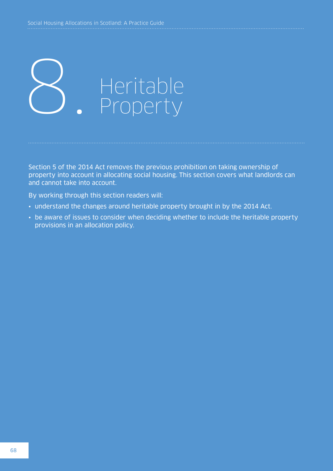

Section 5 of the 2014 Act removes the previous prohibition on taking ownership of property into account in allocating social housing. This section covers what landlords can and cannot take into account.

By working through this section readers will:

- understand the changes around heritable property brought in by the 2014 Act.
- be aware of issues to consider when deciding whether to include the heritable property provisions in an allocation policy.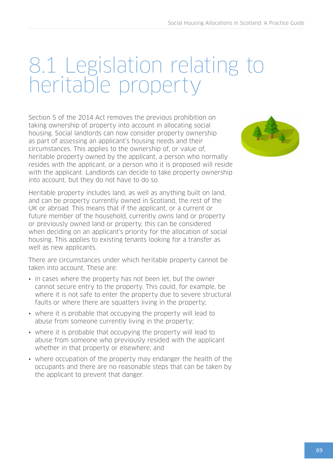## 8.1 Legislation relating to heritable property

Section 5 of the 2014 Act removes the previous prohibition on taking ownership of property into account in allocating social housing. Social landlords can now consider property ownership as part of assessing an applicant's housing needs and their circumstances. This applies to the ownership of, or value of, heritable property owned by the applicant, a person who normally resides with the applicant, or a person who it is proposed will reside with the applicant. Landlords can decide to take property ownership into account, but they do not have to do so.

Heritable property includes land, as well as anything built on land, and can be property currently owned in Scotland, the rest of the UK or abroad. This means that if the applicant, or a current or future member of the household, currently owns land or property or previously owned land or property, this can be considered when deciding on an applicant's priority for the allocation of social housing. This applies to existing tenants looking for a transfer as well as new applicants.

There are circumstances under which heritable property cannot be taken into account. These are:

- in cases where the property has not been let, but the owner cannot secure entry to the property. This could, for example, be where it is not safe to enter the property due to severe structural faults or where there are squatters living in the property;
- where it is probable that occupying the property will lead to abuse from someone currently living in the property;
- where it is probable that occupying the property will lead to abuse from someone who previously resided with the applicant whether in that property or elsewhere; and
- where occupation of the property may endanger the health of the occupants and there are no reasonable steps that can be taken by the applicant to prevent that danger.

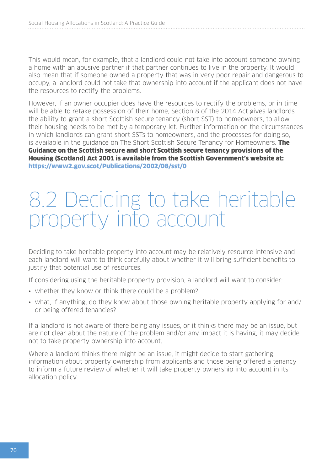This would mean, for example, that a landlord could not take into account someone owning a home with an abusive partner if that partner continues to live in the property. It would also mean that if someone owned a property that was in very poor repair and dangerous to occupy, a landlord could not take that ownership into account if the applicant does not have the resources to rectify the problems.

However, if an owner occupier does have the resources to rectify the problems, or in time will be able to retake possession of their home, Section 8 of the 2014 Act gives landlords the ability to grant a short Scottish secure tenancy (short SST) to homeowners, to allow their housing needs to be met by a temporary let. Further information on the circumstances in which landlords can grant short SSTs to homeowners, and the processes for doing so, is available in the guidance on The Short Scottish Secure Tenancy for Homeowners. **The** Guidance on the Scottish secure and short Scottish secure tenancy provisions of the Housing (Scotland) Act 2001 is available from the Scottish Government's website at: <https://www2.gov.scot/Publications/2002/08/sst/0>

## 8.2 Deciding to take heritable property into account

Deciding to take heritable property into account may be relatively resource intensive and each landlord will want to think carefully about whether it will bring sufficient benefits to justify that potential use of resources.

If considering using the heritable property provision, a landlord will want to consider:

- whether they know or think there could be a problem?
- what, if anything, do they know about those owning heritable property applying for and/ or being offered tenancies?

If a landlord is not aware of there being any issues, or it thinks there may be an issue, but are not clear about the nature of the problem and/or any impact it is having, it may decide not to take property ownership into account.

Where a landlord thinks there might be an issue, it might decide to start gathering information about property ownership from applicants and those being offered a tenancy to inform a future review of whether it will take property ownership into account in its allocation policy.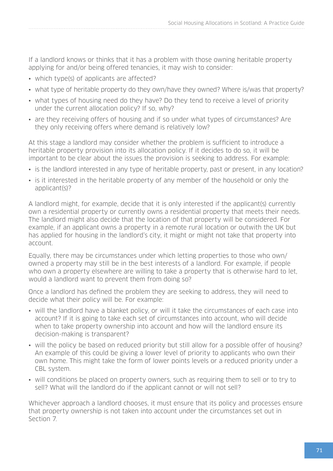If a landlord knows or thinks that it has a problem with those owning heritable property applying for and/or being offered tenancies, it may wish to consider:

- which type(s) of applicants are affected?
- what type of heritable property do they own/have they owned? Where is/was that property?
- what types of housing need do they have? Do they tend to receive a level of priority under the current allocation policy? If so, why?
- are they receiving offers of housing and if so under what types of circumstances? Are they only receiving offers where demand is relatively low?

At this stage a landlord may consider whether the problem is sufficient to introduce a heritable property provision into its allocation policy. If it decides to do so, it will be important to be clear about the issues the provision is seeking to address. For example:

- is the landlord interested in any type of heritable property, past or present, in any location?
- is it interested in the heritable property of any member of the household or only the applicant(s)?

A landlord might, for example, decide that it is only interested if the applicant(s) currently own a residential property or currently owns a residential property that meets their needs. The landlord might also decide that the location of that property will be considered. For example, if an applicant owns a property in a remote rural location or outwith the UK but has applied for housing in the landlord's city, it might or might not take that property into account.

Equally, there may be circumstances under which letting properties to those who own/ owned a property may still be in the best interests of a landlord. For example, if people who own a property elsewhere are willing to take a property that is otherwise hard to let, would a landlord want to prevent them from doing so?

Once a landlord has defined the problem they are seeking to address, they will need to decide what their policy will be. For example:

- will the landlord have a blanket policy, or will it take the circumstances of each case into account? If it is going to take each set of circumstances into account, who will decide when to take property ownership into account and how will the landlord ensure its decision-making is transparent?
- will the policy be based on reduced priority but still allow for a possible offer of housing? An example of this could be giving a lower level of priority to applicants who own their own home. This might take the form of lower points levels or a reduced priority under a CBL system.
- will conditions be placed on property owners, such as requiring them to sell or to try to sell? What will the landlord do if the applicant cannot or will not sell?

Whichever approach a landlord chooses, it must ensure that its policy and processes ensure that property ownership is not taken into account under the circumstances set out in Section 7.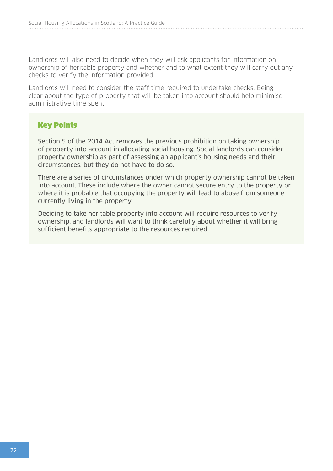Landlords will also need to decide when they will ask applicants for information on ownership of heritable property and whether and to what extent they will carry out any checks to verify the information provided.

Landlords will need to consider the staff time required to undertake checks. Being clear about the type of property that will be taken into account should help minimise administrative time spent.

## Key Points

Section 5 of the 2014 Act removes the previous prohibition on taking ownership of property into account in allocating social housing. Social landlords can consider property ownership as part of assessing an applicant's housing needs and their circumstances, but they do not have to do so.

There are a series of circumstances under which property ownership cannot be taken into account. These include where the owner cannot secure entry to the property or where it is probable that occupying the property will lead to abuse from someone currently living in the property.

Deciding to take heritable property into account will require resources to verify ownership, and landlords will want to think carefully about whether it will bring sufficient benefits appropriate to the resources required.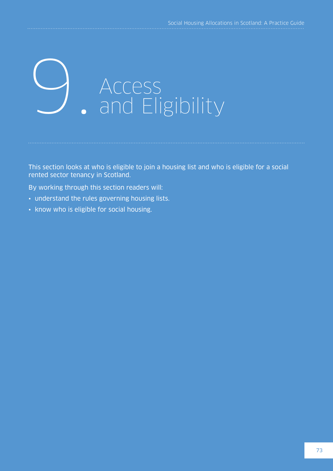## Access<br>
• and Eligibility

This section looks at who is eligible to join a housing list and who is eligible for a social rented sector tenancy in Scotland.

By working through this section readers will:

- understand the rules governing housing lists.
- know who is eligible for social housing.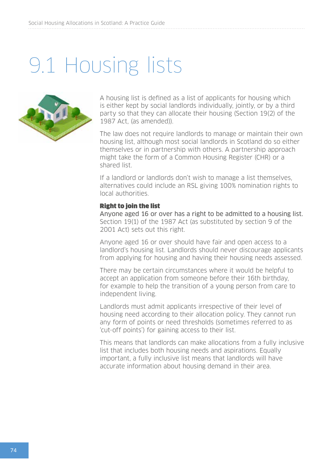## 9.1 Housing lists



A housing list is defined as a list of applicants for housing which is either kept by social landlords individually, jointly, or by a third party so that they can allocate their housing (Section 19(2) of the 1987 Act, (as amended)).

The law does not require landlords to manage or maintain their own housing list, although most social landlords in Scotland do so either themselves or in partnership with others. A partnership approach might take the form of a Common Housing Register (CHR) or a shared list.

If a landlord or landlords don't wish to manage a list themselves, alternatives could include an RSL giving 100% nomination rights to local authorities.

#### Right to join the list

Anyone aged 16 or over has a right to be admitted to a housing list. Section 19(1) of the 1987 Act (as substituted by section 9 of the 2001 Act) sets out this right.

Anyone aged 16 or over should have fair and open access to a landlord's housing list. Landlords should never discourage applicants from applying for housing and having their housing needs assessed.

There may be certain circumstances where it would be helpful to accept an application from someone before their 16th birthday, for example to help the transition of a young person from care to independent living.

Landlords must admit applicants irrespective of their level of housing need according to their allocation policy. They cannot run any form of points or need thresholds (sometimes referred to as 'cut-off points') for gaining access to their list.

This means that landlords can make allocations from a fully inclusive list that includes both housing needs and aspirations. Equally important, a fully inclusive list means that landlords will have accurate information about housing demand in their area.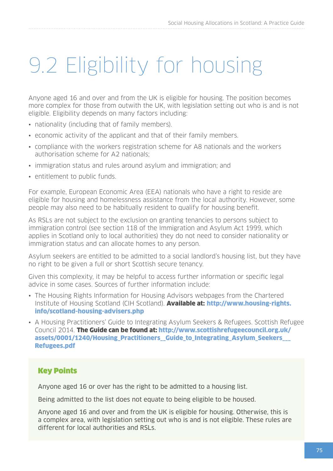## 9.2 Eligibility for housing

Anyone aged 16 and over and from the UK is eligible for housing. The position becomes more complex for those from outwith the UK, with legislation setting out who is and is not eligible. Eligibility depends on many factors including:

- nationality (including that of family members).
- economic activity of the applicant and that of their family members.
- compliance with the workers registration scheme for A8 nationals and the workers authorisation scheme for A2 nationals;
- immigration status and rules around asylum and immigration; and
- entitlement to public funds.

For example, European Economic Area (EEA) nationals who have a right to reside are eligible for housing and homelessness assistance from the local authority. However, some people may also need to be habitually resident to qualify for housing benefit.

As RSLs are not subject to the exclusion on granting tenancies to persons subject to immigration control (see section 118 of the Immigration and Asylum Act 1999, which applies in Scotland only to local authorities) they do not need to consider nationality or immigration status and can allocate homes to any person.

Asylum seekers are entitled to be admitted to a social landlord's housing list, but they have no right to be given a full or short Scottish secure tenancy.

Given this complexity, it may be helpful to access further information or specific legal advice in some cases. Sources of further information include:

- The Housing Rights Information for Housing Advisors webpages from the Chartered Institute of Housing Scotland (CIH Scotland). Available at: [http://www.housing-rights.](http://www.housing-rights.info/scotland-housing-advisers.php) [info/scotland-housing-advisers.php](http://www.housing-rights.info/scotland-housing-advisers.php)
- A Housing Practitioners' Guide to Integrating Asylum Seekers & Refugees. Scottish Refugee Council 2014. The Guide can be found at: [http://www.scottishrefugeecouncil.org.uk/](http://www.scottishrefugeecouncil.org.uk/assets/0001/1240/Housing_Practitioners__Guide_to_Integrating_Asylum_Seekers___Refugees.pdf) [assets/0001/1240/Housing\\_Practitioners\\_\\_Guide\\_to\\_Integrating\\_Asylum\\_Seekers\\_\\_\\_](http://www.scottishrefugeecouncil.org.uk/assets/0001/1240/Housing_Practitioners__Guide_to_Integrating_Asylum_Seekers___Refugees.pdf) [Refugees.pdf](http://www.scottishrefugeecouncil.org.uk/assets/0001/1240/Housing_Practitioners__Guide_to_Integrating_Asylum_Seekers___Refugees.pdf)

#### Key Points

Anyone aged 16 or over has the right to be admitted to a housing list.

Being admitted to the list does not equate to being eligible to be housed.

Anyone aged 16 and over and from the UK is eligible for housing. Otherwise, this is a complex area, with legislation setting out who is and is not eligible. These rules are different for local authorities and RSLs.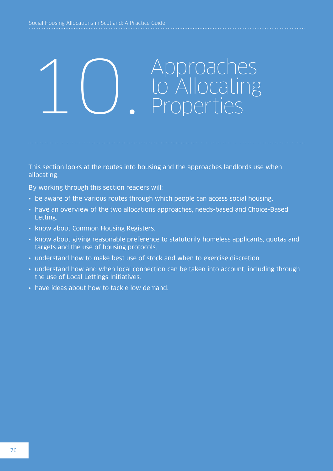## 1 C Approaches<br> **C** Allocating<br>
Properties

This section looks at the routes into housing and the approaches landlords use when allocating.

By working through this section readers will:

- be aware of the various routes through which people can access social housing.
- have an overview of the two allocations approaches, needs-based and Choice-Based Letting.
- know about Common Housing Registers.
- know about giving reasonable preference to statutorily homeless applicants, quotas and targets and the use of housing protocols.
- understand how to make best use of stock and when to exercise discretion.
- understand how and when local connection can be taken into account, including through the use of Local Lettings Initiatives.
- have ideas about how to tackle low demand.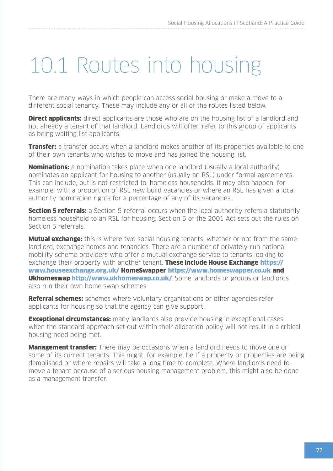## 10.1 Routes into housing

There are many ways in which people can access social housing or make a move to a different social tenancy. These may include any or all of the routes listed below.

**Direct applicants:** direct applicants are those who are on the housing list of a landlord and not already a tenant of that landlord. Landlords will often refer to this group of applicants as being waiting list applicants.

**Transfer:** a transfer occurs when a landlord makes another of its properties available to one of their own tenants who wishes to move and has joined the housing list.

**Nominations:** a nomination takes place when one landlord (usually a local authority) nominates an applicant for housing to another (usually an RSL) under formal agreements. This can include, but is not restricted to, homeless households. It may also happen, for example, with a proportion of RSL new build vacancies or where an RSL has given a local authority nomination rights for a percentage of any of its vacancies.

**Section 5 referrals:** a Section 5 referral occurs when the local authority refers a statutorily homeless household to an RSL for housing. Section 5 of the 2001 Act sets out the rules on Section 5 referrals.

**Mutual exchange:** this is where two social housing tenants, whether or not from the same landlord, exchange homes and tenancies. There are a number of privately-run national mobility scheme providers who offer a mutual exchange service to tenants looking to exchange their property with another tenant. These include House Exchange [https://](https://www.houseexchange.org.uk/) [www.houseexchange.org.uk/](https://www.houseexchange.org.uk/) HomeSwapper <https://www.homeswapper.co.uk> and Ukhomeswap<http://www.ukhomeswap.co.uk/>. Some landlords or groups or landlords also run their own home swap schemes.

**Referral schemes:** schemes where voluntary organisations or other agencies refer applicants for housing so that the agency can give support.

**Exceptional circumstances:** many landlords also provide housing in exceptional cases when the standard approach set out within their allocation policy will not result in a critical housing need being met.

**Management transfer:** There may be occasions when a landlord needs to move one or some of its current tenants. This might, for example, be if a property or properties are being demolished or where repairs will take a long time to complete. Where landlords need to move a tenant because of a serious housing management problem, this might also be done as a management transfer.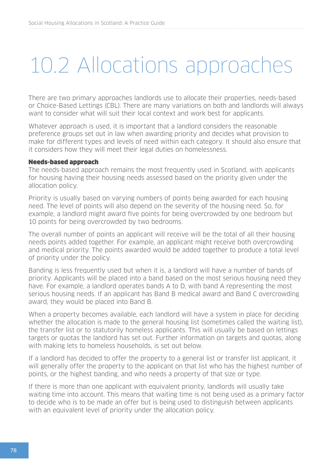## 10.2 Allocations approaches

There are two primary approaches landlords use to allocate their properties, needs-based or Choice-Based Lettings (CBL). There are many variations on both and landlords will always want to consider what will suit their local context and work best for applicants.

Whatever approach is used, it is important that a landlord considers the reasonable preference groups set out in law when awarding priority and decides what provision to make for different types and levels of need within each category. It should also ensure that it considers how they will meet their legal duties on homelessness.

#### Needs-based approach

The needs-based approach remains the most frequently used in Scotland, with applicants for housing having their housing needs assessed based on the priority given under the allocation policy.

Priority is usually based on varying numbers of points being awarded for each housing need. The level of points will also depend on the severity of the housing need. So, for example, a landlord might award five points for being overcrowded by one bedroom but 10 points for being overcrowded by two bedrooms.

The overall number of points an applicant will receive will be the total of all their housing needs points added together. For example, an applicant might receive both overcrowding and medical priority. The points awarded would be added together to produce a total level of priority under the policy.

Banding is less frequently used but when it is, a landlord will have a number of bands of priority. Applicants will be placed into a band based on the most serious housing need they have. For example, a landlord operates bands A to D, with band A representing the most serious housing needs. If an applicant has Band B medical award and Band C overcrowding award, they would be placed into Band B.

When a property becomes available, each landlord will have a system in place for deciding whether the allocation is made to the general housing list (sometimes called the waiting list), the transfer list or to statutorily homeless applicants. This will usually be based on lettings targets or quotas the landlord has set out. Further information on targets and quotas, along with making lets to homeless households, is set out below.

If a landlord has decided to offer the property to a general list or transfer list applicant, it will generally offer the property to the applicant on that list who has the highest number of points, or the highest banding, and who needs a property of that size or type.

If there is more than one applicant with equivalent priority, landlords will usually take waiting time into account. This means that waiting time is not being used as a primary factor to decide who is to be made an offer but is being used to distinguish between applicants with an equivalent level of priority under the allocation policy.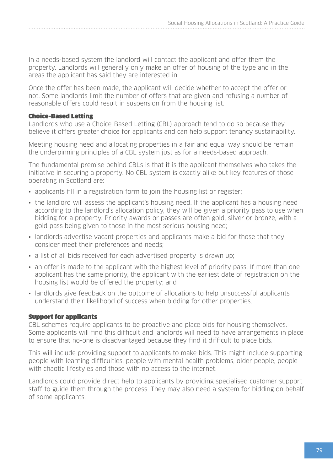In a needs-based system the landlord will contact the applicant and offer them the property. Landlords will generally only make an offer of housing of the type and in the areas the applicant has said they are interested in.

Once the offer has been made, the applicant will decide whether to accept the offer or not. Some landlords limit the number of offers that are given and refusing a number of reasonable offers could result in suspension from the housing list.

#### Choice-Based Letting

Landlords who use a Choice-Based Letting (CBL) approach tend to do so because they believe it offers greater choice for applicants and can help support tenancy sustainability.

Meeting housing need and allocating properties in a fair and equal way should be remain the underpinning principles of a CBL system just as for a needs-based approach.

The fundamental premise behind CBLs is that it is the applicant themselves who takes the initiative in securing a property. No CBL system is exactly alike but key features of those operating in Scotland are:

- applicants fill in a registration form to join the housing list or register;
- the landlord will assess the applicant's housing need. If the applicant has a housing need according to the landlord's allocation policy, they will be given a priority pass to use when bidding for a property. Priority awards or passes are often gold, silver or bronze, with a gold pass being given to those in the most serious housing need;
- landlords advertise vacant properties and applicants make a bid for those that they consider meet their preferences and needs;
- a list of all bids received for each advertised property is drawn up;
- an offer is made to the applicant with the highest level of priority pass. If more than one applicant has the same priority, the applicant with the earliest date of registration on the housing list would be offered the property; and
- landlords give feedback on the outcome of allocations to help unsuccessful applicants understand their likelihood of success when bidding for other properties.

#### Support for applicants

CBL schemes require applicants to be proactive and place bids for housing themselves. Some applicants will find this difficult and landlords will need to have arrangements in place to ensure that no-one is disadvantaged because they find it difficult to place bids.

This will include providing support to applicants to make bids. This might include supporting people with learning difficulties, people with mental health problems, older people, people with chaotic lifestyles and those with no access to the internet.

Landlords could provide direct help to applicants by providing specialised customer support staff to guide them through the process. They may also need a system for bidding on behalf of some applicants.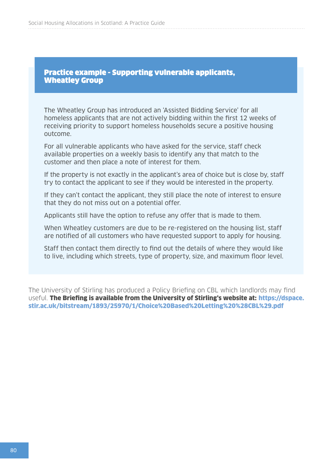#### Practice example - Supporting vulnerable applicants, Wheatley Group

The Wheatley Group has introduced an 'Assisted Bidding Service' for all homeless applicants that are not actively bidding within the first 12 weeks of receiving priority to support homeless households secure a positive housing outcome.

For all vulnerable applicants who have asked for the service, staff check available properties on a weekly basis to identify any that match to the customer and then place a note of interest for them.

If the property is not exactly in the applicant's area of choice but is close by, staff try to contact the applicant to see if they would be interested in the property.

If they can't contact the applicant, they still place the note of interest to ensure that they do not miss out on a potential offer.

Applicants still have the option to refuse any offer that is made to them.

When Wheatley customers are due to be re-registered on the housing list, staff are notified of all customers who have requested support to apply for housing.

Staff then contact them directly to find out the details of where they would like to live, including which streets, type of property, size, and maximum floor level.

The University of Stirling has produced a Policy Briefing on CBL which landlords may find useful. The Briefing is available from the University of Stirling's website at: [https://dspace.](https://dspace.stir.ac.uk/bitstream/1893/25970/1/Choice%20Based%20Letting%20%28CBL%29.pdf) [stir.ac.uk/bitstream/1893/25970/1/Choice%20Based%20Letting%20%28CBL%29.pdf](https://dspace.stir.ac.uk/bitstream/1893/25970/1/Choice%20Based%20Letting%20%28CBL%29.pdf)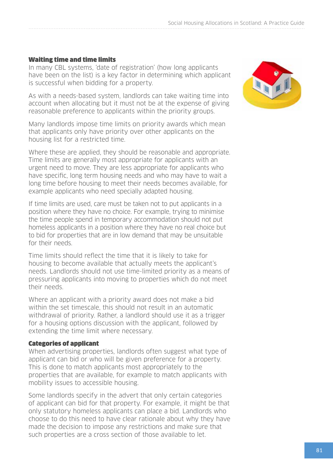#### Waiting time and time limits

In many CBL systems, 'date of registration' (how long applicants have been on the list) is a key factor in determining which applicant is successful when bidding for a property.

As with a needs-based system, landlords can take waiting time into account when allocating but it must not be at the expense of giving reasonable preference to applicants within the priority groups.

Many landlords impose time limits on priority awards which mean that applicants only have priority over other applicants on the housing list for a restricted time.

Where these are applied, they should be reasonable and appropriate. Time limits are generally most appropriate for applicants with an urgent need to move. They are less appropriate for applicants who have specific, long term housing needs and who may have to wait a long time before housing to meet their needs becomes available, for example applicants who need specially adapted housing.

If time limits are used, care must be taken not to put applicants in a position where they have no choice. For example, trying to minimise the time people spend in temporary accommodation should not put homeless applicants in a position where they have no real choice but to bid for properties that are in low demand that may be unsuitable for their needs.

Time limits should reflect the time that it is likely to take for housing to become available that actually meets the applicant's needs. Landlords should not use time-limited priority as a means of pressuring applicants into moving to properties which do not meet their needs.

Where an applicant with a priority award does not make a bid within the set timescale, this should not result in an automatic withdrawal of priority. Rather, a landlord should use it as a trigger for a housing options discussion with the applicant, followed by extending the time limit where necessary.

#### Categories of applicant

When advertising properties, landlords often suggest what type of applicant can bid or who will be given preference for a property. This is done to match applicants most appropriately to the properties that are available, for example to match applicants with mobility issues to accessible housing.

Some landlords specify in the advert that only certain categories of applicant can bid for that property. For example, it might be that only statutory homeless applicants can place a bid. Landlords who choose to do this need to have clear rationale about why they have made the decision to impose any restrictions and make sure that such properties are a cross section of those available to let.

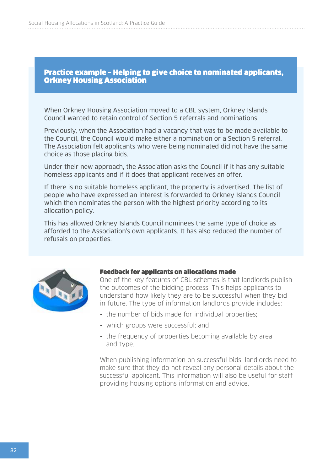#### Practice example – Helping to give choice to nominated applicants, Orkney Housing Association

When Orkney Housing Association moved to a CBL system, Orkney Islands Council wanted to retain control of Section 5 referrals and nominations.

Previously, when the Association had a vacancy that was to be made available to the Council, the Council would make either a nomination or a Section 5 referral. The Association felt applicants who were being nominated did not have the same choice as those placing bids.

Under their new approach, the Association asks the Council if it has any suitable homeless applicants and if it does that applicant receives an offer.

If there is no suitable homeless applicant, the property is advertised. The list of people who have expressed an interest is forwarded to Orkney Islands Council which then nominates the person with the highest priority according to its allocation policy.

This has allowed Orkney Islands Council nominees the same type of choice as afforded to the Association's own applicants. It has also reduced the number of refusals on properties.



#### Feedback for applicants on allocations made

One of the key features of CBL schemes is that landlords publish the outcomes of the bidding process. This helps applicants to understand how likely they are to be successful when they bid in future. The type of information landlords provide includes:

- the number of bids made for individual properties;
- which groups were successful; and
- the frequency of properties becoming available by area and type.

When publishing information on successful bids, landlords need to make sure that they do not reveal any personal details about the successful applicant. This information will also be useful for staff providing housing options information and advice.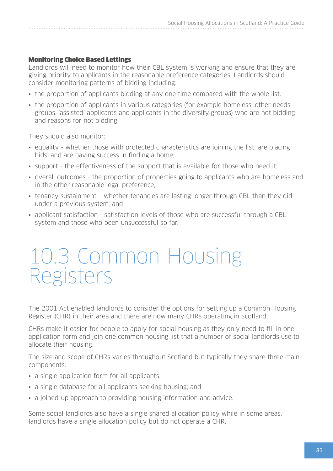#### Monitoring Choice Based Lettings

Landlords will need to monitor how their CBL system is working and ensure that they are giving priority to applicants in the reasonable preference categories. Landlords should consider monitoring patterns of bidding including:

- the proportion of applicants bidding at any one time compared with the whole list.
- the proportion of applicants in various categories (for example homeless, other needs groups, 'assisted' applicants and applicants in the diversity groups) who are not bidding and reasons for not bidding.

They should also monitor:

- equality whether those with protected characteristics are joining the list, are placing bids, and are having success in finding a home;
- support the effectiveness of the support that is available for those who need it;
- overall outcomes the proportion of properties going to applicants who are homeless and in the other reasonable legal preference;
- tenancy sustainment whether tenancies are lasting longer through CBL than they did under a previous system; and
- applicant satisfaction satisfaction levels of those who are successful through a CBL system and those who been unsuccessful so far.

### 10.3 Common Housing Registers

The 2001 Act enabled landlords to consider the options for setting up a Common Housing Register (CHR) in their area and there are now many CHRs operating in Scotland.

CHRs make it easier for people to apply for social housing as they only need to fill in one application form and join one common housing list that a number of social landlords use to allocate their housing.

The size and scope of CHRs varies throughout Scotland but typically they share three main components:

- a single application form for all applicants;
- a single database for all applicants seeking housing; and
- a joined-up approach to providing housing information and advice.

Some social landlords also have a single shared allocation policy while in some areas, landlords have a single allocation policy but do not operate a CHR.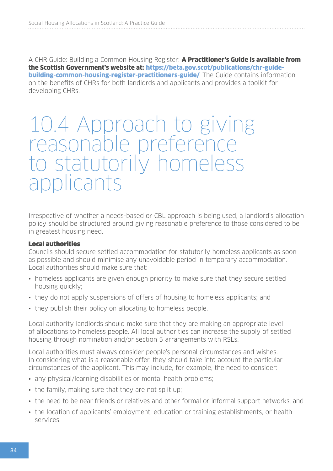A CHR Guide: Building a Common Housing Register: A Practitioner's Guide is available from the Scottish Government's website at: [https://beta.gov.scot/publications/chr-guide](https://beta.gov.scot/publications/chr-guide-building-common-housing-register-practitioners-guide/)**[building-common-housing-register-practitioners-guide/](https://beta.gov.scot/publications/chr-guide-building-common-housing-register-practitioners-guide/).** The Guide contains information on the benefits of CHRs for both landlords and applicants and provides a toolkit for developing CHRs.

### 10.4 Approach to giving reasonable preference to statutorily homeless applicants

Irrespective of whether a needs-based or CBL approach is being used, a landlord's allocation policy should be structured around giving reasonable preference to those considered to be in greatest housing need.

#### Local authorities

Councils should secure settled accommodation for statutorily homeless applicants as soon as possible and should minimise any unavoidable period in temporary accommodation. Local authorities should make sure that:

- homeless applicants are given enough priority to make sure that they secure settled housing quickly;
- they do not apply suspensions of offers of housing to homeless applicants; and
- they publish their policy on allocating to homeless people.

Local authority landlords should make sure that they are making an appropriate level of allocations to homeless people. All local authorities can increase the supply of settled housing through nomination and/or section 5 arrangements with RSLs.

Local authorities must always consider people's personal circumstances and wishes. In considering what is a reasonable offer, they should take into account the particular circumstances of the applicant. This may include, for example, the need to consider:

- any physical/learning disabilities or mental health problems;
- the family, making sure that they are not split up;
- the need to be near friends or relatives and other formal or informal support networks; and
- the location of applicants' employment, education or training establishments, or health services.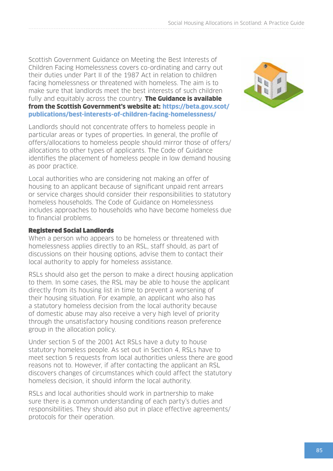Scottish Government Guidance on Meeting the Best Interests of Children Facing Homelessness covers co-ordinating and carry out their duties under Part II of the 1987 Act in relation to children facing homelessness or threatened with homeless. The aim is to make sure that landlords meet the best interests of such children fully and equitably across the country. **The Guidance is available** from the Scottish Government's website at: [https://beta.gov.scot/](https://beta.gov.scot/publications/best-interests-of-children-facing-homelessness/) [publications/best-interests-of-children-facing-homelessness/](https://beta.gov.scot/publications/best-interests-of-children-facing-homelessness/)

Landlords should not concentrate offers to homeless people in particular areas or types of properties. In general, the profile of offers/allocations to homeless people should mirror those of offers/ allocations to other types of applicants. The Code of Guidance identifies the placement of homeless people in low demand housing as poor practice.

Local authorities who are considering not making an offer of housing to an applicant because of significant unpaid rent arrears or service charges should consider their responsibilities to statutory homeless households. The Code of Guidance on Homelessness includes approaches to households who have become homeless due to financial problems.

#### Registered Social Landlords

When a person who appears to be homeless or threatened with homelessness applies directly to an RSL, staff should, as part of discussions on their housing options, advise them to contact their local authority to apply for homeless assistance.

RSLs should also get the person to make a direct housing application to them. In some cases, the RSL may be able to house the applicant directly from its housing list in time to prevent a worsening of their housing situation. For example, an applicant who also has a statutory homeless decision from the local authority because of domestic abuse may also receive a very high level of priority through the unsatisfactory housing conditions reason preference group in the allocation policy.

Under section 5 of the 2001 Act RSLs have a duty to house statutory homeless people. As set out in Section 4, RSLs have to meet section 5 requests from local authorities unless there are good reasons not to. However, if after contacting the applicant an RSL discovers changes of circumstances which could affect the statutory homeless decision, it should inform the local authority.

RSLs and local authorities should work in partnership to make sure there is a common understanding of each party's duties and responsibilities. They should also put in place effective agreements/ protocols for their operation.

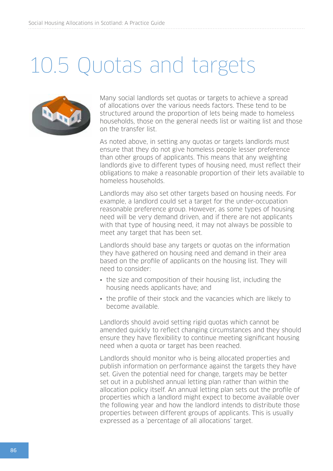## 10.5 Quotas and targets



Many social landlords set quotas or targets to achieve a spread of allocations over the various needs factors. These tend to be structured around the proportion of lets being made to homeless households, those on the general needs list or waiting list and those on the transfer list.

As noted above, in setting any quotas or targets landlords must ensure that they do not give homeless people lesser preference than other groups of applicants. This means that any weighting landlords give to different types of housing need, must reflect their obligations to make a reasonable proportion of their lets available to homeless households.

Landlords may also set other targets based on housing needs. For example, a landlord could set a target for the under-occupation reasonable preference group. However, as some types of housing need will be very demand driven, and if there are not applicants with that type of housing need, it may not always be possible to meet any target that has been set.

Landlords should base any targets or quotas on the information they have gathered on housing need and demand in their area based on the profile of applicants on the housing list. They will need to consider:

- the size and composition of their housing list, including the housing needs applicants have; and
- the profile of their stock and the vacancies which are likely to become available.

Landlords should avoid setting rigid quotas which cannot be amended quickly to reflect changing circumstances and they should ensure they have flexibility to continue meeting significant housing need when a quota or target has been reached.

Landlords should monitor who is being allocated properties and publish information on performance against the targets they have set. Given the potential need for change, targets may be better set out in a published annual letting plan rather than within the allocation policy itself. An annual letting plan sets out the profile of properties which a landlord might expect to become available over the following year and how the landlord intends to distribute those properties between different groups of applicants. This is usually expressed as a 'percentage of all allocations' target.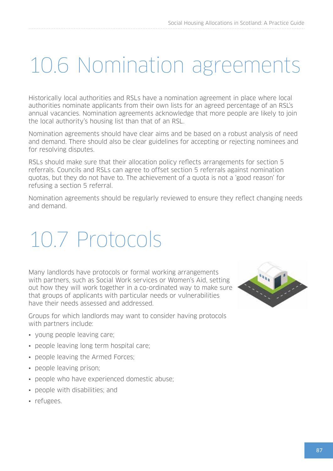## 10.6 Nomination agreements

Historically local authorities and RSLs have a nomination agreement in place where local authorities nominate applicants from their own lists for an agreed percentage of an RSL's annual vacancies. Nomination agreements acknowledge that more people are likely to join the local authority's housing list than that of an RSL.

Nomination agreements should have clear aims and be based on a robust analysis of need and demand. There should also be clear guidelines for accepting or rejecting nominees and for resolving disputes.

RSLs should make sure that their allocation policy reflects arrangements for section 5 referrals. Councils and RSLs can agree to offset section 5 referrals against nomination quotas, but they do not have to. The achievement of a quota is not a 'good reason' for refusing a section 5 referral.

Nomination agreements should be regularly reviewed to ensure they reflect changing needs and demand.

## 10.7 Protocols

Many landlords have protocols or formal working arrangements with partners, such as Social Work services or Women's Aid, setting out how they will work together in a co-ordinated way to make sure that groups of applicants with particular needs or vulnerabilities have their needs assessed and addressed.

Groups for which landlords may want to consider having protocols with partners include:

- young people leaving care;
- people leaving long term hospital care;
- people leaving the Armed Forces;
- people leaving prison;
- people who have experienced domestic abuse;
- people with disabilities; and
- refugees.

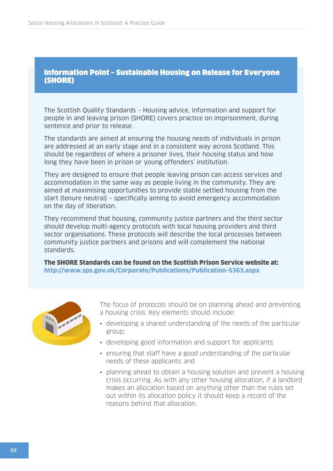#### Information Point – Sustainable Housing on Release for Everyone (SHORE)

The Scottish Quality Standards – Housing advice, information and support for people in and leaving prison (SHORE) covers practice on imprisonment, during sentence and prior to release.

The standards are aimed at ensuring the housing needs of individuals in prison are addressed at an early stage and in a consistent way across Scotland. This should be regardless of where a prisoner lives, their housing status and how long they have been in prison or young offenders' institution.

They are designed to ensure that people leaving prison can access services and accommodation in the same way as people living in the community. They are aimed at maximising opportunities to provide stable settled housing from the start (tenure neutral) – specifically aiming to avoid emergency accommodation on the day of liberation.

They recommend that housing, community justice partners and the third sector should develop multi-agency protocols with local housing providers and third sector organisations. These protocols will describe the local processes between community justice partners and prisons and will complement the national standards.

The SHORE Standards can be found on the Scottish Prison Service website at: <http://www.sps.gov.uk/Corporate/Publications/Publication-5363.aspx>



The focus of protocols should be on planning ahead and preventing a housing crisis. Key elements should include:

- developing a shared understanding of the needs of the particular group;
- developing good information and support for applicants;
- ensuring that staff have a good understanding of the particular needs of these applicants; and
- planning ahead to obtain a housing solution and prevent a housing crisis occurring. As with any other housing allocation, if a landlord makes an allocation based on anything other than the rules set out within its allocation policy it should keep a record of the reasons behind that allocation.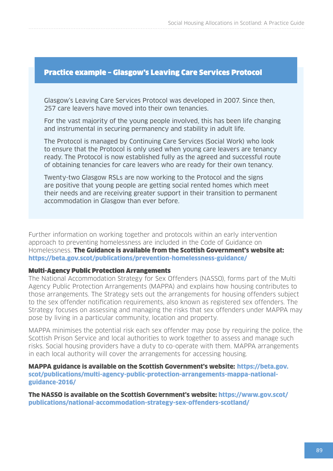#### Practice example – Glasgow's Leaving Care Services Protocol

Glasgow's Leaving Care Services Protocol was developed in 2007. Since then, 257 care leavers have moved into their own tenancies.

For the vast majority of the young people involved, this has been life changing and instrumental in securing permanency and stability in adult life.

The Protocol is managed by Continuing Care Services (Social Work) who look to ensure that the Protocol is only used when young care leavers are tenancy ready. The Protocol is now established fully as the agreed and successful route of obtaining tenancies for care leavers who are ready for their own tenancy.

Twenty-two Glasgow RSLs are now working to the Protocol and the signs are positive that young people are getting social rented homes which meet their needs and are receiving greater support in their transition to permanent accommodation in Glasgow than ever before.

Further information on working together and protocols within an early intervention approach to preventing homelessness are included in the Code of Guidance on Homelessness. The Guidance is available from the Scottish Government's website at: <https://beta.gov.scot/publications/prevention-homelessness-guidance/>

#### Multi-Agency Public Protection Arrangements

The National Accommodation Strategy for Sex Offenders (NASSO), forms part of the Multi Agency Public Protection Arrangements (MAPPA) and explains how housing contributes to those arrangements. The Strategy sets out the arrangements for housing offenders subject to the sex offender notification requirements, also known as registered sex offenders. The Strategy focuses on assessing and managing the risks that sex offenders under MAPPA may pose by living in a particular community, location and property.

MAPPA minimises the potential risk each sex offender may pose by requiring the police, the Scottish Prison Service and local authorities to work together to assess and manage such risks. Social housing providers have a duty to co-operate with them. MAPPA arrangements in each local authority will cover the arrangements for accessing housing.

MAPPA guidance is available on the Scottish Government's website: [https://beta.gov.](https://beta.gov.scot/publications/multi-agency-public-protection-arrangements-mappa-national-guidance-2016/) [scot/publications/multi-agency-public-protection-arrangements-mappa-national](https://beta.gov.scot/publications/multi-agency-public-protection-arrangements-mappa-national-guidance-2016/)[guidance-2016/](https://beta.gov.scot/publications/multi-agency-public-protection-arrangements-mappa-national-guidance-2016/)

The NASSO is available on the Scottish Government's website: [https://www.gov.scot/](https://www.gov.scot/publications/national-accommodation-strategy-sex-offenders-scotland/) [publications/national-accommodation-strategy-sex-offenders-scotland/](https://www.gov.scot/publications/national-accommodation-strategy-sex-offenders-scotland/)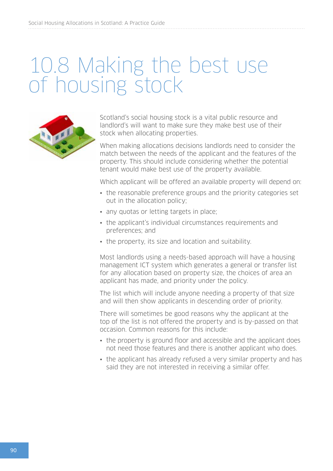## 10.8 Making the best use of housing stock



Scotland's social housing stock is a vital public resource and landlord's will want to make sure they make best use of their stock when allocating properties.

When making allocations decisions landlords need to consider the match between the needs of the applicant and the features of the property. This should include considering whether the potential tenant would make best use of the property available.

Which applicant will be offered an available property will depend on:

- the reasonable preference groups and the priority categories set out in the allocation policy;
- any quotas or letting targets in place;
- the applicant's individual circumstances requirements and preferences; and
- the property, its size and location and suitability.

Most landlords using a needs-based approach will have a housing management ICT system which generates a general or transfer list for any allocation based on property size, the choices of area an applicant has made, and priority under the policy.

The list which will include anyone needing a property of that size and will then show applicants in descending order of priority.

There will sometimes be good reasons why the applicant at the top of the list is not offered the property and is by-passed on that occasion. Common reasons for this include:

- the property is ground floor and accessible and the applicant does not need those features and there is another applicant who does.
- the applicant has already refused a very similar property and has said they are not interested in receiving a similar offer.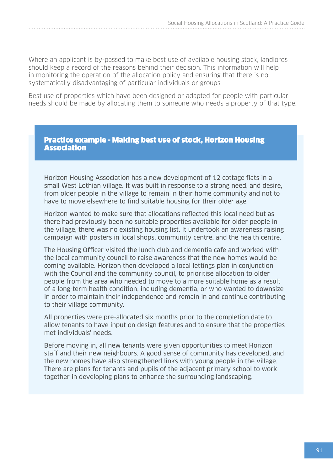Where an applicant is by-passed to make best use of available housing stock, landlords should keep a record of the reasons behind their decision. This information will help in monitoring the operation of the allocation policy and ensuring that there is no systematically disadvantaging of particular individuals or groups.

Best use of properties which have been designed or adapted for people with particular needs should be made by allocating them to someone who needs a property of that type.

#### Practice example - Making best use of stock, Horizon Housing **Association**

Horizon Housing Association has a new development of 12 cottage flats in a small West Lothian village. It was built in response to a strong need, and desire, from older people in the village to remain in their home community and not to have to move elsewhere to find suitable housing for their older age.

Horizon wanted to make sure that allocations reflected this local need but as there had previously been no suitable properties available for older people in the village, there was no existing housing list. It undertook an awareness raising campaign with posters in local shops, community centre, and the health centre.

The Housing Officer visited the lunch club and dementia cafe and worked with the local community council to raise awareness that the new homes would be coming available. Horizon then developed a local lettings plan in conjunction with the Council and the community council, to prioritise allocation to older people from the area who needed to move to a more suitable home as a result of a long-term health condition, including dementia, or who wanted to downsize in order to maintain their independence and remain in and continue contributing to their village community.

All properties were pre-allocated six months prior to the completion date to allow tenants to have input on design features and to ensure that the properties met individuals' needs.

Before moving in, all new tenants were given opportunities to meet Horizon staff and their new neighbours. A good sense of community has developed, and the new homes have also strengthened links with young people in the village. There are plans for tenants and pupils of the adjacent primary school to work together in developing plans to enhance the surrounding landscaping.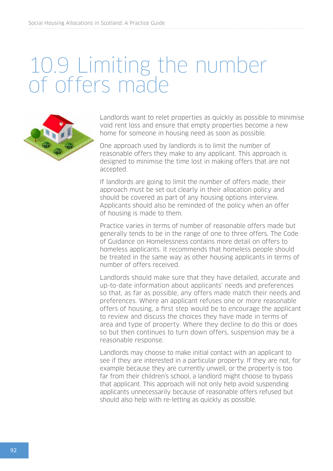## 10.9 Limiting the number of offers made



Landlords want to relet properties as quickly as possible to minimise void rent loss and ensure that empty properties become a new home for someone in housing need as soon as possible.

One approach used by landlords is to limit the number of reasonable offers they make to any applicant. This approach is designed to minimise the time lost in making offers that are not accepted.

If landlords are going to limit the number of offers made, their approach must be set out clearly in their allocation policy and should be covered as part of any housing options interview. Applicants should also be reminded of the policy when an offer of housing is made to them.

Practice varies in terms of number of reasonable offers made but generally tends to be in the range of one to three offers. The Code of Guidance on Homelessness contains more detail on offers to homeless applicants. It recommends that homeless people should be treated in the same way as other housing applicants in terms of number of offers received.

Landlords should make sure that they have detailed, accurate and up-to-date information about applicants' needs and preferences so that, as far as possible, any offers made match their needs and preferences. Where an applicant refuses one or more reasonable offers of housing, a first step would be to encourage the applicant to review and discuss the choices they have made in terms of area and type of property. Where they decline to do this or does so but then continues to turn down offers, suspension may be a reasonable response.

Landlords may choose to make initial contact with an applicant to see if they are interested in a particular property. If they are not, for example because they are currently unwell, or the property is too far from their children's school, a landlord might choose to bypass that applicant. This approach will not only help avoid suspending applicants unnecessarily because of reasonable offers refused but should also help with re-letting as quickly as possible.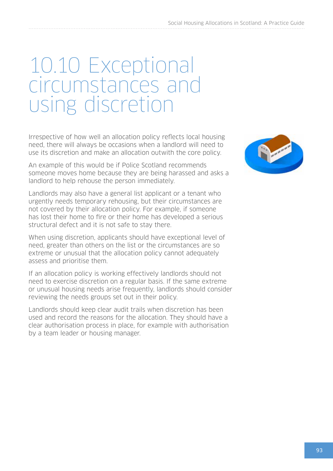## 10.10 Exceptional circumstances and using discretion

Irrespective of how well an allocation policy reflects local housing need, there will always be occasions when a landlord will need to use its discretion and make an allocation outwith the core policy.

An example of this would be if Police Scotland recommends someone moves home because they are being harassed and asks a landlord to help rehouse the person immediately.

Landlords may also have a general list applicant or a tenant who urgently needs temporary rehousing, but their circumstances are not covered by their allocation policy. For example, if someone has lost their home to fire or their home has developed a serious structural defect and it is not safe to stay there.

When using discretion, applicants should have exceptional level of need, greater than others on the list or the circumstances are so extreme or unusual that the allocation policy cannot adequately assess and prioritise them.

If an allocation policy is working effectively landlords should not need to exercise discretion on a regular basis. If the same extreme or unusual housing needs arise frequently, landlords should consider reviewing the needs groups set out in their policy.

Landlords should keep clear audit trails when discretion has been used and record the reasons for the allocation. They should have a clear authorisation process in place, for example with authorisation by a team leader or housing manager.

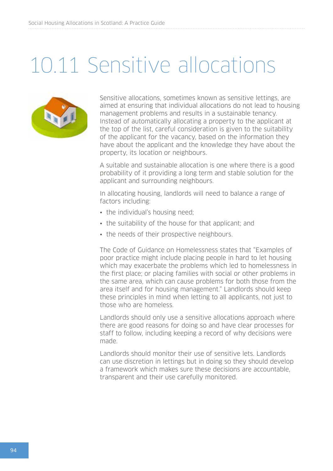## 10.11 Sensitive allocations



Sensitive allocations, sometimes known as sensitive lettings, are aimed at ensuring that individual allocations do not lead to housing management problems and results in a sustainable tenancy. Instead of automatically allocating a property to the applicant at the top of the list, careful consideration is given to the suitability of the applicant for the vacancy, based on the information they have about the applicant and the knowledge they have about the property, its location or neighbours.

A suitable and sustainable allocation is one where there is a good probability of it providing a long term and stable solution for the applicant and surrounding neighbours.

In allocating housing, landlords will need to balance a range of factors including:

- the individual's housing need;
- the suitability of the house for that applicant; and
- the needs of their prospective neighbours.

The Code of Guidance on Homelessness states that "Examples of poor practice might include placing people in hard to let housing which may exacerbate the problems which led to homelessness in the first place; or placing families with social or other problems in the same area, which can cause problems for both those from the area itself and for housing management." Landlords should keep these principles in mind when letting to all applicants, not just to those who are homeless.

Landlords should only use a sensitive allocations approach where there are good reasons for doing so and have clear processes for staff to follow, including keeping a record of why decisions were made.

Landlords should monitor their use of sensitive lets. Landlords can use discretion in lettings but in doing so they should develop a framework which makes sure these decisions are accountable, transparent and their use carefully monitored.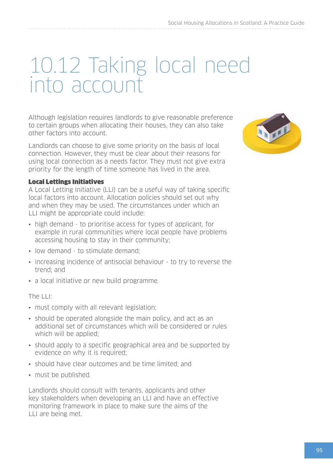## 10.12 Taking local need into account

Although legislation requires landlords to give reasonable preference to certain groups when allocating their houses, they can also take other factors into account.

Landlords can choose to give some priority on the basis of local connection. However, they must be clear about their reasons for using local connection as a needs factor. They must not give extra priority for the length of time someone has lived in the area.

#### Local Lettings Initiatives

A Local Letting Initiative (LLI) can be a useful way of taking specific local factors into account. Allocation policies should set out why and when they may be used. The circumstances under which an LLI might be appropriate could include:

- high demand to prioritise access for types of applicant, for example in rural communities where local people have problems accessing housing to stay in their community;
- low demand to stimulate demand:
- increasing incidence of antisocial behaviour to try to reverse the trend; and
- a local initiative or new build programme.

#### The LLI:

- must comply with all relevant legislation;
- should be operated alongside the main policy, and act as an additional set of circumstances which will be considered or rules which will be applied:
- should apply to a specific geographical area and be supported by evidence on why it is required;
- should have clear outcomes and be time limited; and
- must be published.

Landlords should consult with tenants, applicants and other key stakeholders when developing an LLI and have an effective monitoring framework in place to make sure the aims of the LLI are being met.

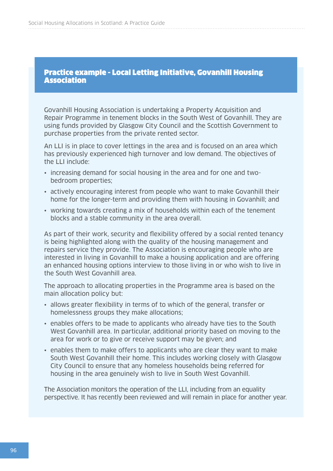#### Practice example - Local Letting Initiative, Govanhill Housing **Association**

Govanhill Housing Association is undertaking a Property Acquisition and Repair Programme in tenement blocks in the South West of Govanhill. They are using funds provided by Glasgow City Council and the Scottish Government to purchase properties from the private rented sector.

An LLI is in place to cover lettings in the area and is focused on an area which has previously experienced high turnover and low demand. The objectives of the LLI include:

- increasing demand for social housing in the area and for one and twobedroom properties;
- actively encouraging interest from people who want to make Govanhill their home for the longer-term and providing them with housing in Govanhill; and
- working towards creating a mix of households within each of the tenement blocks and a stable community in the area overall.

As part of their work, security and flexibility offered by a social rented tenancy is being highlighted along with the quality of the housing management and repairs service they provide. The Association is encouraging people who are interested in living in Govanhill to make a housing application and are offering an enhanced housing options interview to those living in or who wish to live in the South West Govanhill area.

The approach to allocating properties in the Programme area is based on the main allocation policy but:

- allows greater flexibility in terms of to which of the general, transfer or homelessness groups they make allocations;
- enables offers to be made to applicants who already have ties to the South West Govanhill area. In particular, additional priority based on moving to the area for work or to give or receive support may be given; and
- enables them to make offers to applicants who are clear they want to make South West Govanhill their home. This includes working closely with Glasgow City Council to ensure that any homeless households being referred for housing in the area genuinely wish to live in South West Govanhill.

The Association monitors the operation of the LLI, including from an equality perspective. It has recently been reviewed and will remain in place for another year.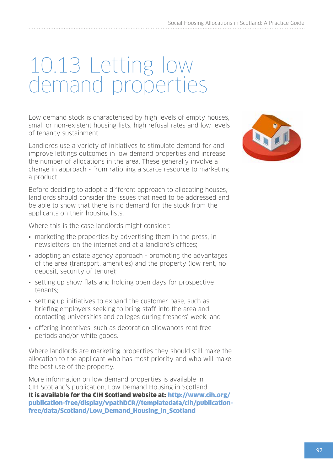## 10.13 Letting low demand properties

Low demand stock is characterised by high levels of empty houses, small or non-existent housing lists, high refusal rates and low levels of tenancy sustainment.

Landlords use a variety of initiatives to stimulate demand for and improve lettings outcomes in low demand properties and increase the number of allocations in the area. These generally involve a change in approach - from rationing a scarce resource to marketing a product.

Before deciding to adopt a different approach to allocating houses, landlords should consider the issues that need to be addressed and be able to show that there is no demand for the stock from the applicants on their housing lists.

Where this is the case landlords might consider:

- marketing the properties by advertising them in the press, in newsletters, on the internet and at a landlord's offices;
- adopting an estate agency approach promoting the advantages of the area (transport, amenities) and the property (low rent, no deposit, security of tenure);
- setting up show flats and holding open days for prospective tenants;
- setting up initiatives to expand the customer base, such as briefing employers seeking to bring staff into the area and contacting universities and colleges during freshers' week; and
- offering incentives, such as decoration allowances rent free periods and/or white goods.

Where landlords are marketing properties they should still make the allocation to the applicant who has most priority and who will make the best use of the property.

More information on low demand properties is available in CIH Scotland's publication, Low Demand Housing in Scotland. It is available for the CIH Scotland website at: [http://www.cih.org/](http://www.cih.org/publication-free/display/vpathDCR//templatedata/cih/publication-free/data/Scotland/Low_Demand_Housing_in_Scotland) [publication-free/display/vpathDCR//templatedata/cih/publication](http://www.cih.org/publication-free/display/vpathDCR//templatedata/cih/publication-free/data/Scotland/Low_Demand_Housing_in_Scotland)[free/data/Scotland/Low\\_Demand\\_Housing\\_in\\_Scotland](http://www.cih.org/publication-free/display/vpathDCR//templatedata/cih/publication-free/data/Scotland/Low_Demand_Housing_in_Scotland)

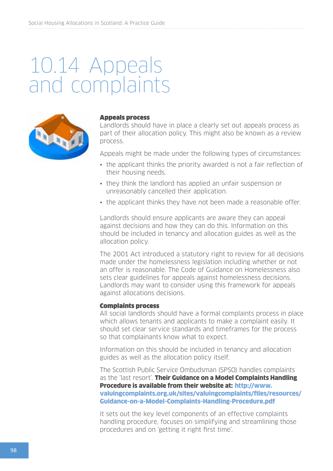## 10.14 Appeals and complaints



#### Appeals process

Landlords should have in place a clearly set out appeals process as part of their allocation policy. This might also be known as a review process.

Appeals might be made under the following types of circumstances:

- the applicant thinks the priority awarded is not a fair reflection of their housing needs.
- they think the landlord has applied an unfair suspension or unreasonably cancelled their application.
- the applicant thinks they have not been made a reasonable offer.

Landlords should ensure applicants are aware they can appeal against decisions and how they can do this. Information on this should be included in tenancy and allocation guides as well as the allocation policy.

The 2001 Act introduced a statutory right to review for all decisions made under the homelessness legislation including whether or not an offer is reasonable. The Code of Guidance on Homelessness also sets clear guidelines for appeals against homelessness decisions. Landlords may want to consider using this framework for appeals against allocations decisions.

#### Complaints process

All social landlords should have a formal complaints process in place which allows tenants and applicants to make a complaint easily. It should set clear service standards and timeframes for the process so that complainants know what to expect.

Information on this should be included in tenancy and allocation guides as well as the allocation policy itself.

The Scottish Public Service Ombudsman (SPSO) handles complaints as the 'last resort'. Their Guidance on a Model Complaints Handling Procedure is available from their website at: [http://www.](http://www.valuingcomplaints.org.uk/sites/valuingcomplaints/files/resources/Guidance-on-a-Model-Complaints-Handling-Procedure.pdf) [valuingcomplaints.org.uk/sites/valuingcomplaints/files/resources/](http://www.valuingcomplaints.org.uk/sites/valuingcomplaints/files/resources/Guidance-on-a-Model-Complaints-Handling-Procedure.pdf) [Guidance-on-a-Model-Complaints-Handling-Procedure.pdf](http://www.valuingcomplaints.org.uk/sites/valuingcomplaints/files/resources/Guidance-on-a-Model-Complaints-Handling-Procedure.pdf)

It sets out the key level components of an effective complaints handling procedure, focuses on simplifying and streamlining those procedures and on 'getting it right first time'.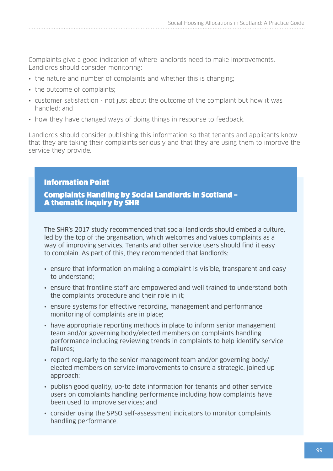Complaints give a good indication of where landlords need to make improvements. Landlords should consider monitoring:

- the nature and number of complaints and whether this is changing;
- the outcome of complaints;
- customer satisfaction not just about the outcome of the complaint but how it was handled; and
- how they have changed ways of doing things in response to feedback.

Landlords should consider publishing this information so that tenants and applicants know that they are taking their complaints seriously and that they are using them to improve the service they provide.

#### Information Point

Complaints Handling by Social Landlords in Scotland – A thematic inquiry by SHR

The SHR's 2017 study recommended that social landlords should embed a culture, led by the top of the organisation, which welcomes and values complaints as a way of improving services. Tenants and other service users should find it easy to complain. As part of this, they recommended that landlords:

- ensure that information on making a complaint is visible, transparent and easy to understand;
- ensure that frontline staff are empowered and well trained to understand both the complaints procedure and their role in it;
- ensure systems for effective recording, management and performance monitoring of complaints are in place;
- have appropriate reporting methods in place to inform senior management team and/or governing body/elected members on complaints handling performance including reviewing trends in complaints to help identify service failures;
- report regularly to the senior management team and/or governing body/ elected members on service improvements to ensure a strategic, joined up approach;
- publish good quality, up-to date information for tenants and other service users on complaints handling performance including how complaints have been used to improve services; and
- consider using the SPSO self-assessment indicators to monitor complaints handling performance.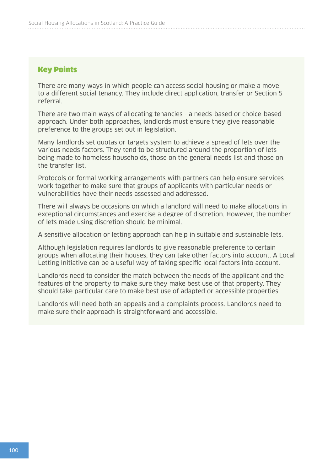#### Key Points

There are many ways in which people can access social housing or make a move to a different social tenancy. They include direct application, transfer or Section 5 referral.

There are two main ways of allocating tenancies - a needs-based or choice-based approach. Under both approaches, landlords must ensure they give reasonable preference to the groups set out in legislation.

Many landlords set quotas or targets system to achieve a spread of lets over the various needs factors. They tend to be structured around the proportion of lets being made to homeless households, those on the general needs list and those on the transfer list.

Protocols or formal working arrangements with partners can help ensure services work together to make sure that groups of applicants with particular needs or vulnerabilities have their needs assessed and addressed.

There will always be occasions on which a landlord will need to make allocations in exceptional circumstances and exercise a degree of discretion. However, the number of lets made using discretion should be minimal.

A sensitive allocation or letting approach can help in suitable and sustainable lets.

Although legislation requires landlords to give reasonable preference to certain groups when allocating their houses, they can take other factors into account. A Local Letting Initiative can be a useful way of taking specific local factors into account.

Landlords need to consider the match between the needs of the applicant and the features of the property to make sure they make best use of that property. They should take particular care to make best use of adapted or accessible properties.

Landlords will need both an appeals and a complaints process. Landlords need to make sure their approach is straightforward and accessible.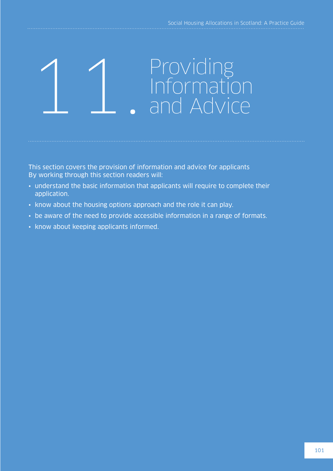# 1 Providing<br>
Information<br>
and Advice

This section covers the provision of information and advice for applicants By working through this section readers will:

- understand the basic information that applicants will require to complete their application.
- know about the housing options approach and the role it can play.
- be aware of the need to provide accessible information in a range of formats.
- know about keeping applicants informed.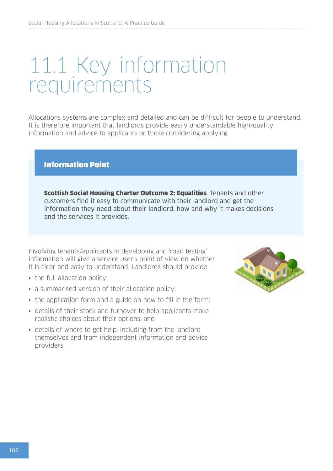## 11.1 Key information requirements

Allocations systems are complex and detailed and can be difficult for people to understand. It is therefore important that landlords provide easily understandable high-quality information and advice to applicants or those considering applying.

#### Information Point

Scottish Social Housing Charter Outcome 2: Equalities. Tenants and other customers find it easy to communicate with their landlord and get the information they need about their landlord, how and why it makes decisions and the services it provides.

Involving tenants/applicants in developing and 'road testing' information will give a service user's point of view on whether it is clear and easy to understand. Landlords should provide:

- the full allocation policy:
- a summarised version of their allocation policy;
- the application form and a guide on how to fill in the form;
- details of their stock and turnover to help applicants make realistic choices about their options; and
- details of where to get help, including from the landlord themselves and from independent information and advice providers.

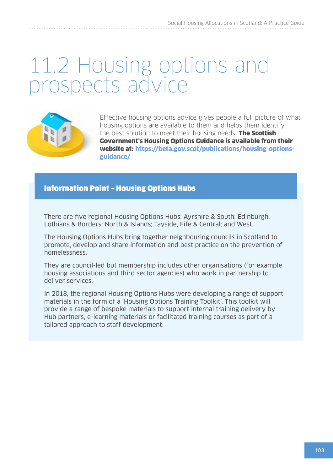## 11.2 Housing options and prospects advice



Effective housing options advice gives people a full picture of what housing options are available to them and helps them identify the best solution to meet their housing needs. **The Scottish** Government's Housing Options Guidance is available from their website at: [https://beta.gov.scot/publications/housing-options](https://beta.gov.scot/publications/housing-options-guidance/)[guidance/](https://beta.gov.scot/publications/housing-options-guidance/)

#### Information Point – Housing Options Hubs

There are five regional Housing Options Hubs: Ayrshire & South; Edinburgh, Lothians & Borders; North & Islands; Tayside, Fife & Central; and West.

The Housing Options Hubs bring together neighbouring councils in Scotland to promote, develop and share information and best practice on the prevention of homelessness.

They are council-led but membership includes other organisations (for example housing associations and third sector agencies) who work in partnership to deliver services.

In 2018, the regional Housing Options Hubs were developing a range of support materials in the form of a 'Housing Options Training Toolkit'. This toolkit will provide a range of bespoke materials to support internal training delivery by Hub partners, e-learning materials or facilitated training courses as part of a tailored approach to staff development.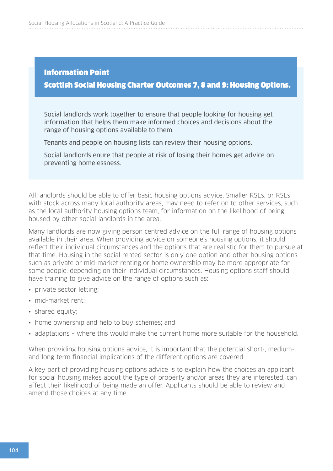#### Information Point Scottish Social Housing Charter Outcomes 7, 8 and 9: Housing Options.

Social landlords work together to ensure that people looking for housing get information that helps them make informed choices and decisions about the range of housing options available to them.

Tenants and people on housing lists can review their housing options.

Social landlords enure that people at risk of losing their homes get advice on preventing homelessness.

All landlords should be able to offer basic housing options advice. Smaller RSLs, or RSLs with stock across many local authority areas, may need to refer on to other services, such as the local authority housing options team, for information on the likelihood of being housed by other social landlords in the area.

Many landlords are now giving person centred advice on the full range of housing options available in their area. When providing advice on someone's housing options, it should reflect their individual circumstances and the options that are realistic for them to pursue at that time. Housing in the social rented sector is only one option and other housing options such as private or mid-market renting or home ownership may be more appropriate for some people, depending on their individual circumstances. Housing options staff should have training to give advice on the range of options such as:

- private sector letting;
- mid-market rent:
- shared equity;
- home ownership and help to buy schemes; and
- adaptations where this would make the current home more suitable for the household.

When providing housing options advice, it is important that the potential short-, mediumand long-term financial implications of the different options are covered.

A key part of providing housing options advice is to explain how the choices an applicant for social housing makes about the type of property and/or areas they are interested, can affect their likelihood of being made an offer. Applicants should be able to review and amend those choices at any time.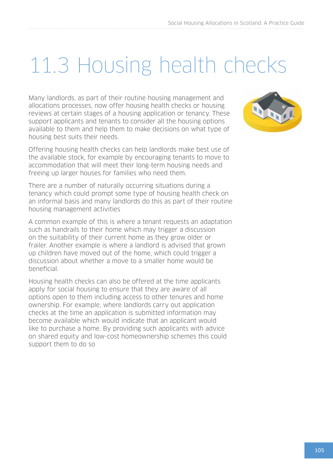## 11.3 Housing health checks

Many landlords, as part of their routine housing management and allocations processes, now offer housing health checks or housing reviews at certain stages of a housing application or tenancy. These support applicants and tenants to consider all the housing options available to them and help them to make decisions on what type of housing best suits their needs.

Offering housing health checks can help landlords make best use of the available stock, for example by encouraging tenants to move to accommodation that will meet their long-term housing needs and freeing up larger houses for families who need them.

There are a number of naturally occurring situations during a tenancy which could prompt some type of housing health check on an informal basis and many landlords do this as part of their routine housing management activities

A common example of this is where a tenant requests an adaptation such as handrails to their home which may trigger a discussion on the suitability of their current home as they grow older or frailer. Another example is where a landlord is advised that grown up children have moved out of the home, which could trigger a discussion about whether a move to a smaller home would be beneficial.

Housing health checks can also be offered at the time applicants apply for social housing to ensure that they are aware of all options open to them including access to other tenures and home ownership. For example, where landlords carry out application checks at the time an application is submitted information may become available which would indicate that an applicant would like to purchase a home. By providing such applicants with advice on shared equity and low-cost homeownership schemes this could support them to do so

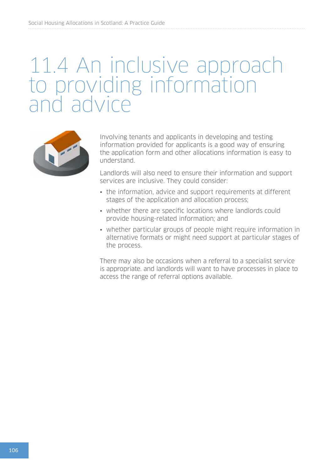## 11.4 An inclusive approach to providing information and advice



Involving tenants and applicants in developing and testing information provided for applicants is a good way of ensuring the application form and other allocations information is easy to understand.

Landlords will also need to ensure their information and support services are inclusive. They could consider:

- the information, advice and support requirements at different stages of the application and allocation process;
- whether there are specific locations where landlords could provide housing-related information; and
- whether particular groups of people might require information in alternative formats or might need support at particular stages of the process.

There may also be occasions when a referral to a specialist service is appropriate. and landlords will want to have processes in place to access the range of referral options available.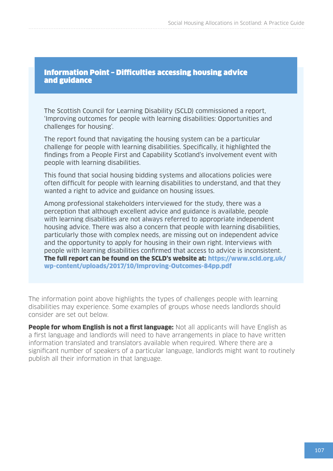Information Point – Difficulties accessing housing advice and guidance

The Scottish Council for Learning Disability (SCLD) commissioned a report, 'Improving outcomes for people with learning disabilities: Opportunities and challenges for housing'.

The report found that navigating the housing system can be a particular challenge for people with learning disabilities. Specifically, it highlighted the findings from a People First and Capability Scotland's involvement event with people with learning disabilities.

This found that social housing bidding systems and allocations policies were often difficult for people with learning disabilities to understand, and that they wanted a right to advice and guidance on housing issues.

Among professional stakeholders interviewed for the study, there was a perception that although excellent advice and guidance is available, people with learning disabilities are not always referred to appropriate independent housing advice. There was also a concern that people with learning disabilities, particularly those with complex needs, are missing out on independent advice and the opportunity to apply for housing in their own right. Interviews with people with learning disabilities confirmed that access to advice is inconsistent. The full report can be found on the SCLD's website at: [https://www.scld.org.uk/](https://www.scld.org.uk/wp-content/uploads/2017/10/Improving-Outcomes-84pp.pdf) [wp-content/uploads/2017/10/Improving-Outcomes-84pp.pdf](https://www.scld.org.uk/wp-content/uploads/2017/10/Improving-Outcomes-84pp.pdf)

The information point above highlights the types of challenges people with learning disabilities may experience. Some examples of groups whose needs landlords should consider are set out below.

**People for whom English is not a first language:** Not all applicants will have English as a first language and landlords will need to have arrangements in place to have written information translated and translators available when required. Where there are a significant number of speakers of a particular language, landlords might want to routinely publish all their information in that language.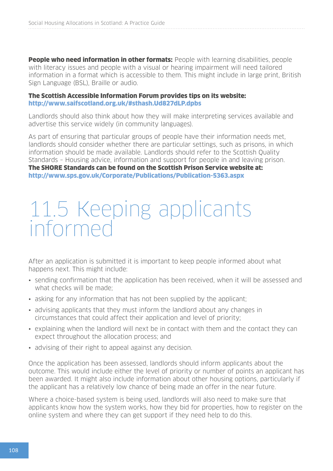**People who need information in other formats:** People with learning disabilities, people with literacy issues and people with a visual or hearing impairment will need tailored information in a format which is accessible to them. This might include in large print, British Sign Language (BSL), Braille or audio.

#### The Scottish Accessible Information Forum provides tips on its website: <http://www.saifscotland.org.uk/#sthash.Ud827dLP.dpbs>

Landlords should also think about how they will make interpreting services available and advertise this service widely (in community languages).

As part of ensuring that particular groups of people have their information needs met, landlords should consider whether there are particular settings, such as prisons, in which information should be made available. Landlords should refer to the Scottish Quality Standards – Housing advice, information and support for people in and leaving prison. The SHORE Standards can be found on the Scottish Prison Service website at: <http://www.sps.gov.uk/Corporate/Publications/Publication-5363.aspx>

## 11.5 Keeping applicants informed

After an application is submitted it is important to keep people informed about what happens next. This might include:

- sending confirmation that the application has been received, when it will be assessed and what checks will be made;
- asking for any information that has not been supplied by the applicant;
- advising applicants that they must inform the landlord about any changes in circumstances that could affect their application and level of priority;
- explaining when the landlord will next be in contact with them and the contact they can expect throughout the allocation process; and
- advising of their right to appeal against any decision.

Once the application has been assessed, landlords should inform applicants about the outcome. This would include either the level of priority or number of points an applicant has been awarded. It might also include information about other housing options, particularly if the applicant has a relatively low chance of being made an offer in the near future.

Where a choice-based system is being used, landlords will also need to make sure that applicants know how the system works, how they bid for properties, how to register on the online system and where they can get support if they need help to do this.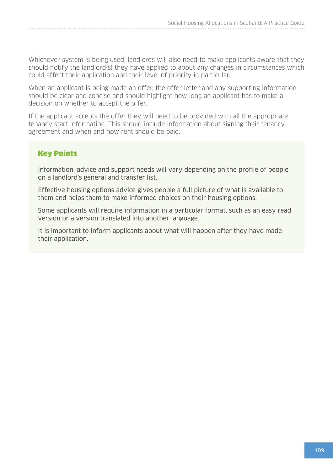Whichever system is being used, landlords will also need to make applicants aware that they should notify the landlord(s) they have applied to about any changes in circumstances which could affect their application and their level of priority in particular.

When an applicant is being made an offer, the offer letter and any supporting information should be clear and concise and should highlight how long an applicant has to make a decision on whether to accept the offer.

If the applicant accepts the offer they will need to be provided with all the appropriate tenancy start information. This should include information about signing their tenancy agreement and when and how rent should be paid.

#### Key Points

Information, advice and support needs will vary depending on the profile of people on a landlord's general and transfer list.

Effective housing options advice gives people a full picture of what is available to them and helps them to make informed choices on their housing options.

Some applicants will require information in a particular format, such as an easy read version or a version translated into another language.

It is important to inform applicants about what will happen after they have made their application.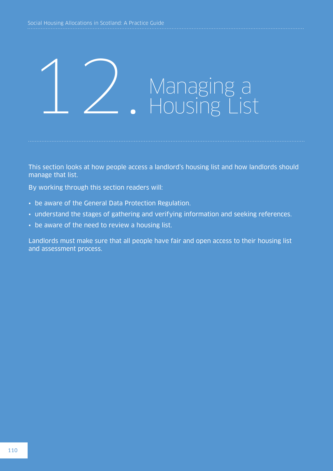## Managing a<br>Housing List

This section looks at how people access a landlord's housing list and how landlords should manage that list.

By working through this section readers will:

- be aware of the General Data Protection Regulation.
- understand the stages of gathering and verifying information and seeking references.
- be aware of the need to review a housing list.

Landlords must make sure that all people have fair and open access to their housing list and assessment process.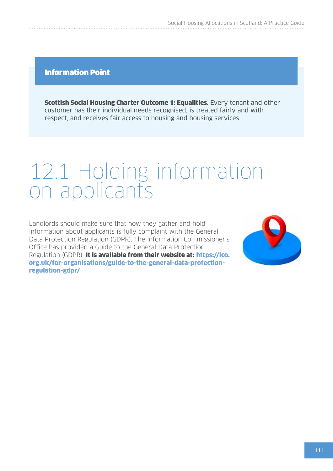#### Information Point

Scottish Social Housing Charter Outcome 1: Equalities. Every tenant and other customer has their individual needs recognised, is treated fairly and with respect, and receives fair access to housing and housing services.

## 12.1 Holding information on applicants

Landlords should make sure that how they gather and hold information about applicants is fully complaint with the General Data Protection Regulation (GDPR). The Information Commissioner's Office has provided a Guide to the General Data Protection Regulation (GDPR). It is available from their website at: [https://ico.](https://ico.org.uk/for-organisations/guide-to-the-general-data-protection-regulation-gdpr/) [org.uk/for-organisations/guide-to-the-general-data-protection](https://ico.org.uk/for-organisations/guide-to-the-general-data-protection-regulation-gdpr/)[regulation-gdpr/](https://ico.org.uk/for-organisations/guide-to-the-general-data-protection-regulation-gdpr/)

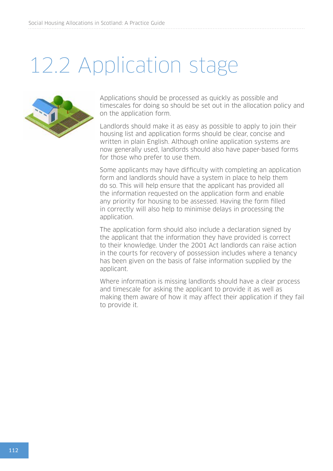## 12.2 Application stage



Applications should be processed as quickly as possible and timescales for doing so should be set out in the allocation policy and on the application form.

Landlords should make it as easy as possible to apply to join their housing list and application forms should be clear, concise and written in plain English. Although online application systems are now generally used, landlords should also have paper-based forms for those who prefer to use them.

Some applicants may have difficulty with completing an application form and landlords should have a system in place to help them do so. This will help ensure that the applicant has provided all the information requested on the application form and enable any priority for housing to be assessed. Having the form filled in correctly will also help to minimise delays in processing the application.

The application form should also include a declaration signed by the applicant that the information they have provided is correct to their knowledge. Under the 2001 Act landlords can raise action in the courts for recovery of possession includes where a tenancy has been given on the basis of false information supplied by the applicant.

Where information is missing landlords should have a clear process and timescale for asking the applicant to provide it as well as making them aware of how it may affect their application if they fail to provide it.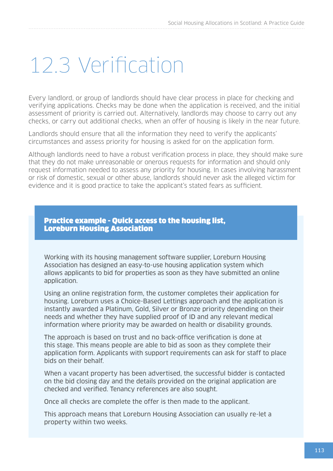## 12.3 Verification

Every landlord, or group of landlords should have clear process in place for checking and verifying applications. Checks may be done when the application is received, and the initial assessment of priority is carried out. Alternatively, landlords may choose to carry out any checks, or carry out additional checks, when an offer of housing is likely in the near future.

Landlords should ensure that all the information they need to verify the applicants' circumstances and assess priority for housing is asked for on the application form.

Although landlords need to have a robust verification process in place, they should make sure that they do not make unreasonable or onerous requests for information and should only request information needed to assess any priority for housing. In cases involving harassment or risk of domestic, sexual or other abuse, landlords should never ask the alleged victim for evidence and it is good practice to take the applicant's stated fears as sufficient.

Practice example - Quick access to the housing list, Loreburn Housing Association

Working with its housing management software supplier, Loreburn Housing Association has designed an easy-to-use housing application system which allows applicants to bid for properties as soon as they have submitted an online application.

Using an online registration form, the customer completes their application for housing. Loreburn uses a Choice-Based Lettings approach and the application is instantly awarded a Platinum, Gold, Silver or Bronze priority depending on their needs and whether they have supplied proof of ID and any relevant medical information where priority may be awarded on health or disability grounds.

The approach is based on trust and no back-office verification is done at this stage. This means people are able to bid as soon as they complete their application form. Applicants with support requirements can ask for staff to place bids on their behalf.

When a vacant property has been advertised, the successful bidder is contacted on the bid closing day and the details provided on the original application are checked and verified. Tenancy references are also sought.

Once all checks are complete the offer is then made to the applicant.

This approach means that Loreburn Housing Association can usually re-let a property within two weeks.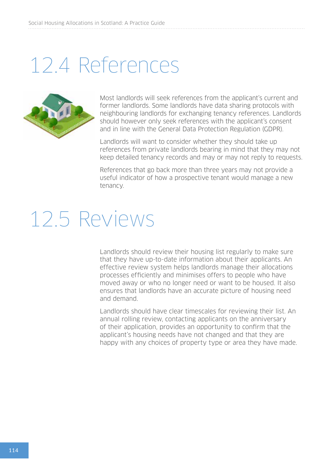## 12.4 References



Most landlords will seek references from the applicant's current and former landlords. Some landlords have data sharing protocols with neighbouring landlords for exchanging tenancy references. Landlords should however only seek references with the applicant's consent and in line with the General Data Protection Regulation (GDPR).

Landlords will want to consider whether they should take up references from private landlords bearing in mind that they may not keep detailed tenancy records and may or may not reply to requests.

References that go back more than three years may not provide a useful indicator of how a prospective tenant would manage a new tenancy.

## 12.5 Reviews

Landlords should review their housing list regularly to make sure that they have up-to-date information about their applicants. An effective review system helps landlords manage their allocations processes efficiently and minimises offers to people who have moved away or who no longer need or want to be housed. It also ensures that landlords have an accurate picture of housing need and demand.

Landlords should have clear timescales for reviewing their list. An annual rolling review, contacting applicants on the anniversary of their application, provides an opportunity to confirm that the applicant's housing needs have not changed and that they are happy with any choices of property type or area they have made.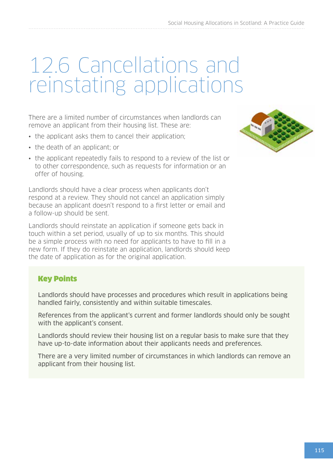## 12.6 Cancellations and reinstating applications

There are a limited number of circumstances when landlords can remove an applicant from their housing list. These are:

- the applicant asks them to cancel their application:
- the death of an applicant; or
- the applicant repeatedly fails to respond to a review of the list or to other correspondence, such as requests for information or an offer of housing.

Landlords should have a clear process when applicants don't respond at a review. They should not cancel an application simply because an applicant doesn't respond to a first letter or email and a follow-up should be sent.

Landlords should reinstate an application if someone gets back in touch within a set period, usually of up to six months. This should be a simple process with no need for applicants to have to fill in a new form. If they do reinstate an application, landlords should keep the date of application as for the original application.

#### Key Points

Landlords should have processes and procedures which result in applications being handled fairly, consistently and within suitable timescales.

References from the applicant's current and former landlords should only be sought with the applicant's consent.

Landlords should review their housing list on a regular basis to make sure that they have up-to-date information about their applicants needs and preferences.

There are a very limited number of circumstances in which landlords can remove an applicant from their housing list.

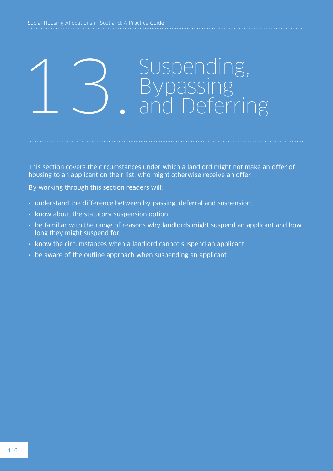# 13. Suspending, Suspending, Bypassing

This section covers the circumstances under which a landlord might not make an offer of housing to an applicant on their list, who might otherwise receive an offer.

By working through this section readers will:

- understand the difference between by-passing, deferral and suspension.
- know about the statutory suspension option.
- be familiar with the range of reasons why landlords might suspend an applicant and how long they might suspend for.
- know the circumstances when a landlord cannot suspend an applicant.
- be aware of the outline approach when suspending an applicant.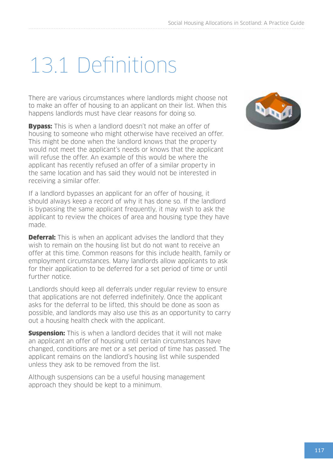## 13.1 Definitions

There are various circumstances where landlords might choose not to make an offer of housing to an applicant on their list. When this happens landlords must have clear reasons for doing so.

**Bypass:** This is when a landlord doesn't not make an offer of housing to someone who might otherwise have received an offer. This might be done when the landlord knows that the property would not meet the applicant's needs or knows that the applicant will refuse the offer. An example of this would be where the applicant has recently refused an offer of a similar property in the same location and has said they would not be interested in receiving a similar offer.

If a landlord bypasses an applicant for an offer of housing, it should always keep a record of why it has done so. If the landlord is bypassing the same applicant frequently, it may wish to ask the applicant to review the choices of area and housing type they have made.

**Deferral:** This is when an applicant advises the landlord that they wish to remain on the housing list but do not want to receive an offer at this time. Common reasons for this include health, family or employment circumstances. Many landlords allow applicants to ask for their application to be deferred for a set period of time or until further notice.

Landlords should keep all deferrals under regular review to ensure that applications are not deferred indefinitely. Once the applicant asks for the deferral to be lifted, this should be done as soon as possible, and landlords may also use this as an opportunity to carry out a housing health check with the applicant.

**Suspension:** This is when a landlord decides that it will not make an applicant an offer of housing until certain circumstances have changed, conditions are met or a set period of time has passed. The applicant remains on the landlord's housing list while suspended unless they ask to be removed from the list.

Although suspensions can be a useful housing management approach they should be kept to a minimum.

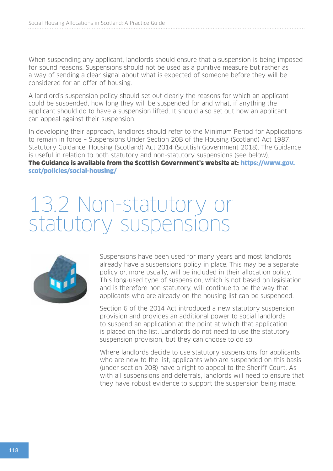When suspending any applicant, landlords should ensure that a suspension is being imposed for sound reasons. Suspensions should not be used as a punitive measure but rather as a way of sending a clear signal about what is expected of someone before they will be considered for an offer of housing.

A landlord's suspension policy should set out clearly the reasons for which an applicant could be suspended, how long they will be suspended for and what, if anything the applicant should do to have a suspension lifted. It should also set out how an applicant can appeal against their suspension.

In developing their approach, landlords should refer to the Minimum Period for Applications to remain in force – Suspensions Under Section 20B of the Housing (Scotland) Act 1987. Statutory Guidance, Housing (Scotland) Act 2014 (Scottish Government 2018). The Guidance is useful in relation to both statutory and non-statutory suspensions (see below).

The Guidance is available from the Scottish Government's website at: [https://www.gov.](https://www.gov.scot/policies/social-housing/) [scot/policies/social-housing/](https://www.gov.scot/policies/social-housing/)

## 13.2 Non-statutory or statutory suspensions



Suspensions have been used for many years and most landlords already have a suspensions policy in place. This may be a separate policy or, more usually, will be included in their allocation policy. This long-used type of suspension, which is not based on legislation and is therefore non-statutory, will continue to be the way that applicants who are already on the housing list can be suspended.

Section 6 of the 2014 Act introduced a new statutory suspension provision and provides an additional power to social landlords to suspend an application at the point at which that application is placed on the list. Landlords do not need to use the statutory suspension provision, but they can choose to do so.

Where landlords decide to use statutory suspensions for applicants who are new to the list, applicants who are suspended on this basis (under section 20B) have a right to appeal to the Sheriff Court. As with all suspensions and deferrals, landlords will need to ensure that they have robust evidence to support the suspension being made.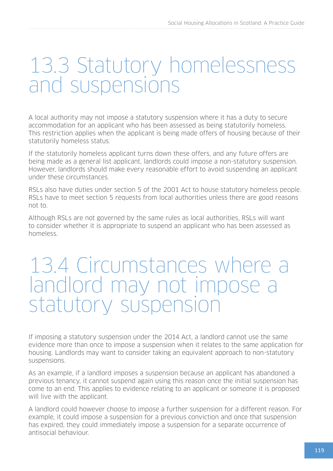## 13.3 Statutory homelessness and suspensions

A local authority may not impose a statutory suspension where it has a duty to secure accommodation for an applicant who has been assessed as being statutorily homeless. This restriction applies when the applicant is being made offers of housing because of their statutorily homeless status.

If the statutorily homeless applicant turns down these offers, and any future offers are being made as a general list applicant, landlords could impose a non-statutory suspension. However, landlords should make every reasonable effort to avoid suspending an applicant under these circumstances.

RSLs also have duties under section 5 of the 2001 Act to house statutory homeless people. RSLs have to meet section 5 requests from local authorities unless there are good reasons not to.

Although RSLs are not governed by the same rules as local authorities, RSLs will want to consider whether it is appropriate to suspend an applicant who has been assessed as homeless.

### 13.4 Circumstances where a landlord may not impose a statutory suspension

If imposing a statutory suspension under the 2014 Act, a landlord cannot use the same evidence more than once to impose a suspension when it relates to the same application for housing. Landlords may want to consider taking an equivalent approach to non-statutory suspensions.

As an example, if a landlord imposes a suspension because an applicant has abandoned a previous tenancy, it cannot suspend again using this reason once the initial suspension has come to an end. This applies to evidence relating to an applicant or someone it is proposed will live with the applicant.

A landlord could however choose to impose a further suspension for a different reason. For example, it could impose a suspension for a previous conviction and once that suspension has expired, they could immediately impose a suspension for a separate occurrence of antisocial behaviour.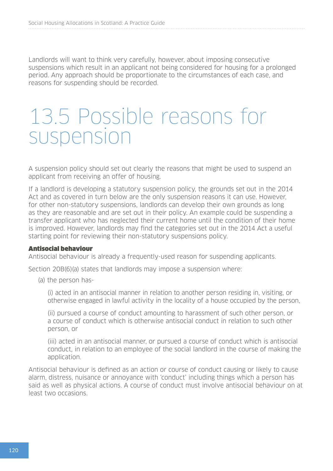Landlords will want to think very carefully, however, about imposing consecutive suspensions which result in an applicant not being considered for housing for a prolonged period. Any approach should be proportionate to the circumstances of each case, and reasons for suspending should be recorded.

## 13.5 Possible reasons for suspension

A suspension policy should set out clearly the reasons that might be used to suspend an applicant from receiving an offer of housing.

If a landlord is developing a statutory suspension policy, the grounds set out in the 2014 Act and as covered in turn below are the only suspension reasons it can use. However, for other non-statutory suspensions, landlords can develop their own grounds as long as they are reasonable and are set out in their policy. An example could be suspending a transfer applicant who has neglected their current home until the condition of their home is improved. However, landlords may find the categories set out in the 2014 Act a useful starting point for reviewing their non-statutory suspensions policy.

#### Antisocial behaviour

Antisocial behaviour is already a frequently-used reason for suspending applicants.

Section 20B(6)(a) states that landlords may impose a suspension where:

(a) the person has-

(i) acted in an antisocial manner in relation to another person residing in, visiting, or otherwise engaged in lawful activity in the locality of a house occupied by the person,

(ii) pursued a course of conduct amounting to harassment of such other person, or a course of conduct which is otherwise antisocial conduct in relation to such other person, or

(iii) acted in an antisocial manner, or pursued a course of conduct which is antisocial conduct, in relation to an employee of the social landlord in the course of making the application.

Antisocial behaviour is defined as an action or course of conduct causing or likely to cause alarm, distress, nuisance or annoyance with 'conduct' including things which a person has said as well as physical actions. A course of conduct must involve antisocial behaviour on at least two occasions.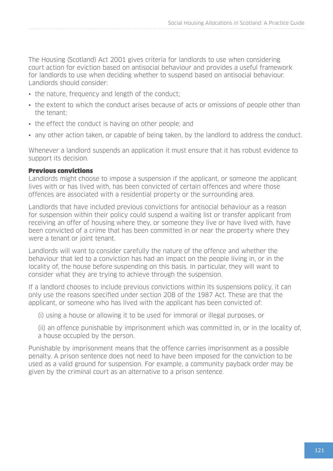The Housing (Scotland) Act 2001 gives criteria for landlords to use when considering court action for eviction based on antisocial behaviour and provides a useful framework for landlords to use when deciding whether to suspend based on antisocial behaviour. Landlords should consider:

- the nature, frequency and length of the conduct;
- the extent to which the conduct arises because of acts or omissions of people other than the tenant;
- the effect the conduct is having on other people; and
- any other action taken, or capable of being taken, by the landlord to address the conduct.

Whenever a landlord suspends an application it must ensure that it has robust evidence to support its decision.

#### Previous convictions

Landlords might choose to impose a suspension if the applicant, or someone the applicant lives with or has lived with, has been convicted of certain offences and where those offences are associated with a residential property or the surrounding area.

Landlords that have included previous convictions for antisocial behaviour as a reason for suspension within their policy could suspend a waiting list or transfer applicant from receiving an offer of housing where they, or someone they live or have lived with, have been convicted of a crime that has been committed in or near the property where they were a tenant or joint tenant.

Landlords will want to consider carefully the nature of the offence and whether the behaviour that led to a conviction has had an impact on the people living in, or in the locality of, the house before suspending on this basis. In particular, they will want to consider what they are trying to achieve through the suspension.

If a landlord chooses to include previous convictions within its suspensions policy, it can only use the reasons specified under section 20B of the 1987 Act. These are that the applicant, or someone who has lived with the applicant has been convicted of:

- (i) using a house or allowing it to be used for immoral or illegal purposes, or
- (ii) an offence punishable by imprisonment which was committed in, or in the locality of, a house occupied by the person.

Punishable by imprisonment means that the offence carries imprisonment as a possible penalty. A prison sentence does not need to have been imposed for the conviction to be used as a valid ground for suspension. For example, a community payback order may be given by the criminal court as an alternative to a prison sentence.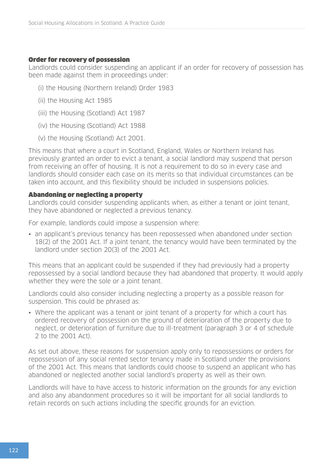#### Order for recovery of possession

Landlords could consider suspending an applicant if an order for recovery of possession has been made against them in proceedings under:

- (i) the Housing (Northern Ireland) Order 1983
- (ii) the Housing Act 1985
- (iii) the Housing (Scotland) Act 1987
- (iv) the Housing (Scotland) Act 1988
- (v) the Housing (Scotland) Act 2001.

This means that where a court in Scotland, England, Wales or Northern Ireland has previously granted an order to evict a tenant, a social landlord may suspend that person from receiving an offer of housing. It is not a requirement to do so in every case and landlords should consider each case on its merits so that individual circumstances can be taken into account, and this flexibility should be included in suspensions policies.

#### Abandoning or neglecting a property

Landlords could consider suspending applicants when, as either a tenant or joint tenant, they have abandoned or neglected a previous tenancy.

For example, landlords could impose a suspension where:

• an applicant's previous tenancy has been repossessed when abandoned under section 18(2) of the 2001 Act. If a joint tenant, the tenancy would have been terminated by the landlord under section 20(3) of the 2001 Act.

This means that an applicant could be suspended if they had previously had a property repossessed by a social landlord because they had abandoned that property. It would apply whether they were the sole or a joint tenant.

Landlords could also consider including neglecting a property as a possible reason for suspension. This could be phrased as:

• Where the applicant was a tenant or joint tenant of a property for which a court has ordered recovery of possession on the ground of deterioration of the property due to neglect, or deterioration of furniture due to ill-treatment (paragraph 3 or 4 of schedule 2 to the 2001 Act).

As set out above, these reasons for suspension apply only to repossessions or orders for repossession of any social rented sector tenancy made in Scotland under the provisions of the 2001 Act. This means that landlords could choose to suspend an applicant who has abandoned or neglected another social landlord's property as well as their own.

Landlords will have to have access to historic information on the grounds for any eviction and also any abandonment procedures so it will be important for all social landlords to retain records on such actions including the specific grounds for an eviction.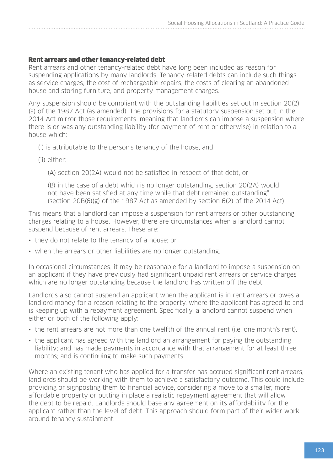#### Rent arrears and other tenancy-related debt

Rent arrears and other tenancy-related debt have long been included as reason for suspending applications by many landlords. Tenancy-related debts can include such things as service charges, the cost of rechargeable repairs, the costs of clearing an abandoned house and storing furniture, and property management charges.

Any suspension should be compliant with the outstanding liabilities set out in section 20(2) (a) of the 1987 Act (as amended). The provisions for a statutory suspension set out in the 2014 Act mirror those requirements, meaning that landlords can impose a suspension where there is or was any outstanding liability (for payment of rent or otherwise) in relation to a house which:

- (i) is attributable to the person's tenancy of the house, and
- (ii) either:
	- (A) section 20(2A) would not be satisfied in respect of that debt, or

(B) in the case of a debt which is no longer outstanding, section 20(2A) would not have been satisfied at any time while that debt remained outstanding"  $(section\ 20B(6)(g)$  of the 1987 Act as amended by section 6(2) of the 2014 Act)

This means that a landlord can impose a suspension for rent arrears or other outstanding charges relating to a house. However, there are circumstances when a landlord cannot suspend because of rent arrears. These are:

- they do not relate to the tenancy of a house; or
- when the arrears or other liabilities are no longer outstanding.

In occasional circumstances, it may be reasonable for a landlord to impose a suspension on an applicant if they have previously had significant unpaid rent arrears or service charges which are no longer outstanding because the landlord has written off the debt.

Landlords also cannot suspend an applicant when the applicant is in rent arrears or owes a landlord money for a reason relating to the property, where the applicant has agreed to and is keeping up with a repayment agreement. Specifically, a landlord cannot suspend when either or both of the following apply:

- the rent arrears are not more than one twelfth of the annual rent (i.e. one month's rent).
- the applicant has agreed with the landlord an arrangement for paying the outstanding liability; and has made payments in accordance with that arrangement for at least three months; and is continuing to make such payments.

Where an existing tenant who has applied for a transfer has accrued significant rent arrears, landlords should be working with them to achieve a satisfactory outcome. This could include providing or signposting them to financial advice, considering a move to a smaller, more affordable property or putting in place a realistic repayment agreement that will allow the debt to be repaid. Landlords should base any agreement on its affordability for the applicant rather than the level of debt. This approach should form part of their wider work around tenancy sustainment.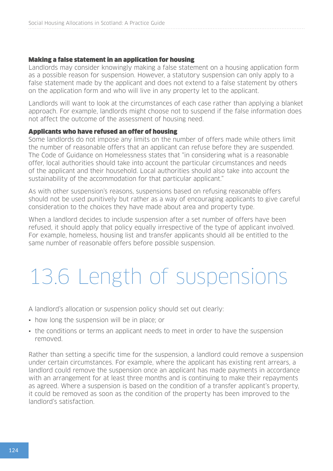#### Making a false statement in an application for housing

Landlords may consider knowingly making a false statement on a housing application form as a possible reason for suspension. However, a statutory suspension can only apply to a false statement made by the applicant and does not extend to a false statement by others on the application form and who will live in any property let to the applicant.

Landlords will want to look at the circumstances of each case rather than applying a blanket approach. For example, landlords might choose not to suspend if the false information does not affect the outcome of the assessment of housing need.

#### Applicants who have refused an offer of housing

Some landlords do not impose any limits on the number of offers made while others limit the number of reasonable offers that an applicant can refuse before they are suspended. The Code of Guidance on Homelessness states that "in considering what is a reasonable offer, local authorities should take into account the particular circumstances and needs of the applicant and their household. Local authorities should also take into account the sustainability of the accommodation for that particular applicant."

As with other suspension's reasons, suspensions based on refusing reasonable offers should not be used punitively but rather as a way of encouraging applicants to give careful consideration to the choices they have made about area and property type.

When a landlord decides to include suspension after a set number of offers have been refused, it should apply that policy equally irrespective of the type of applicant involved. For example, homeless, housing list and transfer applicants should all be entitled to the same number of reasonable offers before possible suspension.

## 13.6 Length of suspensions

A landlord's allocation or suspension policy should set out clearly:

- how long the suspension will be in place; or
- the conditions or terms an applicant needs to meet in order to have the suspension removed.

Rather than setting a specific time for the suspension, a landlord could remove a suspension under certain circumstances. For example, where the applicant has existing rent arrears, a landlord could remove the suspension once an applicant has made payments in accordance with an arrangement for at least three months and is continuing to make their repayments as agreed. Where a suspension is based on the condition of a transfer applicant's property, it could be removed as soon as the condition of the property has been improved to the landlord's satisfaction.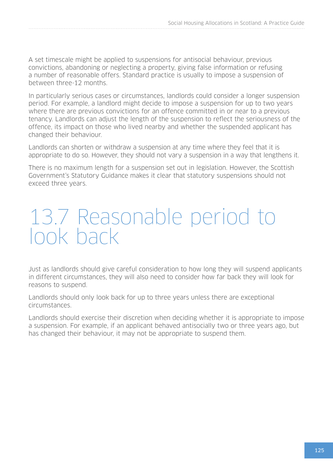A set timescale might be applied to suspensions for antisocial behaviour, previous convictions, abandoning or neglecting a property, giving false information or refusing a number of reasonable offers. Standard practice is usually to impose a suspension of between three-12 months.

In particularly serious cases or circumstances, landlords could consider a longer suspension period. For example, a landlord might decide to impose a suspension for up to two years where there are previous convictions for an offence committed in or near to a previous tenancy. Landlords can adjust the length of the suspension to reflect the seriousness of the offence, its impact on those who lived nearby and whether the suspended applicant has changed their behaviour.

Landlords can shorten or withdraw a suspension at any time where they feel that it is appropriate to do so. However, they should not vary a suspension in a way that lengthens it.

There is no maximum length for a suspension set out in legislation. However, the Scottish Government's Statutory Guidance makes it clear that statutory suspensions should not exceed three years.

## 13.7 Reasonable period to look back

Just as landlords should give careful consideration to how long they will suspend applicants in different circumstances, they will also need to consider how far back they will look for reasons to suspend.

Landlords should only look back for up to three years unless there are exceptional circumstances.

Landlords should exercise their discretion when deciding whether it is appropriate to impose a suspension. For example, if an applicant behaved antisocially two or three years ago, but has changed their behaviour, it may not be appropriate to suspend them.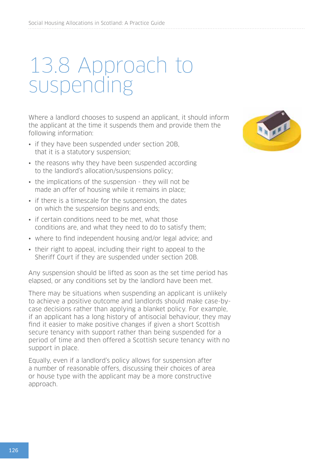## 13.8 Approach to suspending

Where a landlord chooses to suspend an applicant, it should inform the applicant at the time it suspends them and provide them the following information:

- if they have been suspended under section 20B, that it is a statutory suspension;
- the reasons why they have been suspended according to the landlord's allocation/suspensions policy;
- the implications of the suspension they will not be made an offer of housing while it remains in place;
- if there is a timescale for the suspension, the dates on which the suspension begins and ends;
- if certain conditions need to be met, what those conditions are, and what they need to do to satisfy them;
- where to find independent housing and/or legal advice; and
- their right to appeal, including their right to appeal to the Sheriff Court if they are suspended under section 20B.

Any suspension should be lifted as soon as the set time period has elapsed, or any conditions set by the landlord have been met.

There may be situations when suspending an applicant is unlikely to achieve a positive outcome and landlords should make case-bycase decisions rather than applying a blanket policy. For example, if an applicant has a long history of antisocial behaviour, they may find it easier to make positive changes if given a short Scottish secure tenancy with support rather than being suspended for a period of time and then offered a Scottish secure tenancy with no support in place.

Equally, even if a landlord's policy allows for suspension after a number of reasonable offers, discussing their choices of area or house type with the applicant may be a more constructive approach.

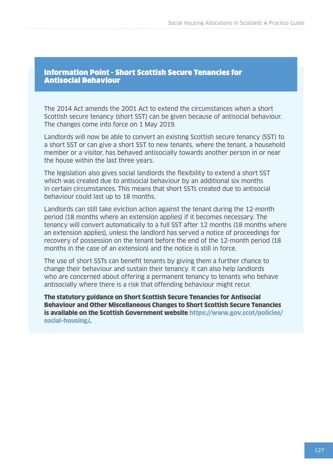Information Point - Short Scottish Secure Tenancies for Antisocial Behaviour

The 2014 Act amends the 2001 Act to extend the circumstances when a short Scottish secure tenancy (short SST) can be given because of antisocial behaviour. The changes come into force on 1 May 2019.

Landlords will now be able to convert an existing Scottish secure tenancy (SST) to a short SST or can give a short SST to new tenants, where the tenant, a household member or a visitor, has behaved antisocially towards another person in or near the house within the last three years.

The legislation also gives social landlords the flexibility to extend a short SST which was created due to antisocial behaviour by an additional six months in certain circumstances. This means that short SSTs created due to antisocial behaviour could last up to 18 months.

Landlords can still take eviction action against the tenant during the 12-month period (18 months where an extension applies) if it becomes necessary. The tenancy will convert automatically to a full SST after 12 months (18 months where an extension applies), unless the landlord has served a notice of proceedings for recovery of possession on the tenant before the end of the 12-month period (18 months in the case of an extension) and the notice is still in force.

The use of short SSTs can benefit tenants by giving them a further chance to change their behaviour and sustain their tenancy. It can also help landlords who are concerned about offering a permanent tenancy to tenants who behave antisocially where there is a risk that offending behaviour might recur.

The statutory guidance on Short Scottish Secure Tenancies for Antisocial Behaviour and Other Miscellaneous Changes to Short Scottish Secure Tenancies is available on the Scottish Government website [https://www.gov.scot/policies/](https://www.gov.scot/policies/social-housing/) [social-housing/](https://www.gov.scot/policies/social-housing/).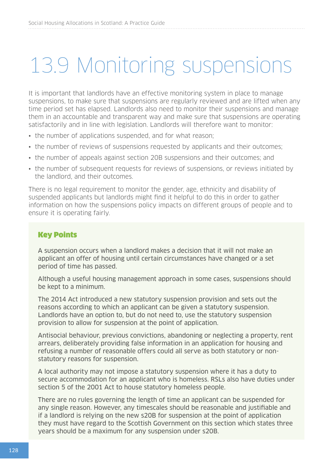## 13.9 Monitoring suspensions

It is important that landlords have an effective monitoring system in place to manage suspensions, to make sure that suspensions are regularly reviewed and are lifted when any time period set has elapsed. Landlords also need to monitor their suspensions and manage them in an accountable and transparent way and make sure that suspensions are operating satisfactorily and in line with legislation. Landlords will therefore want to monitor:

- the number of applications suspended, and for what reason;
- the number of reviews of suspensions requested by applicants and their outcomes:
- the number of appeals against section 20B suspensions and their outcomes; and
- the number of subsequent requests for reviews of suspensions, or reviews initiated by the landlord, and their outcomes.

There is no legal requirement to monitor the gender, age, ethnicity and disability of suspended applicants but landlords might find it helpful to do this in order to gather information on how the suspensions policy impacts on different groups of people and to ensure it is operating fairly.

#### Key Points

A suspension occurs when a landlord makes a decision that it will not make an applicant an offer of housing until certain circumstances have changed or a set period of time has passed.

Although a useful housing management approach in some cases, suspensions should be kept to a minimum.

The 2014 Act introduced a new statutory suspension provision and sets out the reasons according to which an applicant can be given a statutory suspension. Landlords have an option to, but do not need to, use the statutory suspension provision to allow for suspension at the point of application.

Antisocial behaviour, previous convictions, abandoning or neglecting a property, rent arrears, deliberately providing false information in an application for housing and refusing a number of reasonable offers could all serve as both statutory or nonstatutory reasons for suspension.

A local authority may not impose a statutory suspension where it has a duty to secure accommodation for an applicant who is homeless. RSLs also have duties under section 5 of the 2001 Act to house statutory homeless people.

There are no rules governing the length of time an applicant can be suspended for any single reason. However, any timescales should be reasonable and justifiable and if a landlord is relying on the new s20B for suspension at the point of application they must have regard to the Scottish Government on this section which states three years should be a maximum for any suspension under s20B.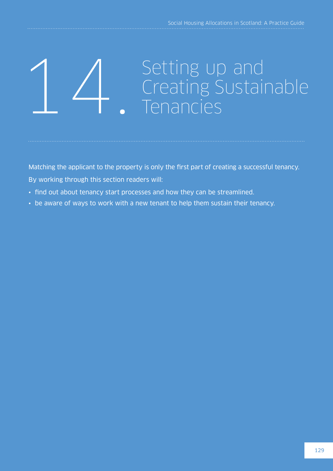## 1 / Setting up and<br>
Creating Sustainable<br>
Tenancies

Matching the applicant to the property is only the first part of creating a successful tenancy. By working through this section readers will:

- find out about tenancy start processes and how they can be streamlined.
- be aware of ways to work with a new tenant to help them sustain their tenancy.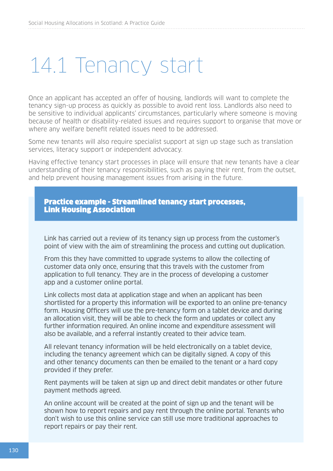## 14.1 Tenancy start

Once an applicant has accepted an offer of housing, landlords will want to complete the tenancy sign-up process as quickly as possible to avoid rent loss. Landlords also need to be sensitive to individual applicants' circumstances, particularly where someone is moving because of health or disability-related issues and requires support to organise that move or where any welfare benefit related issues need to be addressed.

Some new tenants will also require specialist support at sign up stage such as translation services, literacy support or independent advocacy.

Having effective tenancy start processes in place will ensure that new tenants have a clear understanding of their tenancy responsibilities, such as paying their rent, from the outset, and help prevent housing management issues from arising in the future.



Link has carried out a review of its tenancy sign up process from the customer's point of view with the aim of streamlining the process and cutting out duplication.

From this they have committed to upgrade systems to allow the collecting of customer data only once, ensuring that this travels with the customer from application to full tenancy. They are in the process of developing a customer app and a customer online portal.

Link collects most data at application stage and when an applicant has been shortlisted for a property this information will be exported to an online pre-tenancy form. Housing Officers will use the pre-tenancy form on a tablet device and during an allocation visit, they will be able to check the form and updates or collect any further information required. An online income and expenditure assessment will also be available, and a referral instantly created to their advice team.

All relevant tenancy information will be held electronically on a tablet device, including the tenancy agreement which can be digitally signed. A copy of this and other tenancy documents can then be emailed to the tenant or a hard copy provided if they prefer.

Rent payments will be taken at sign up and direct debit mandates or other future payment methods agreed.

An online account will be created at the point of sign up and the tenant will be shown how to report repairs and pay rent through the online portal. Tenants who don't wish to use this online service can still use more traditional approaches to report repairs or pay their rent.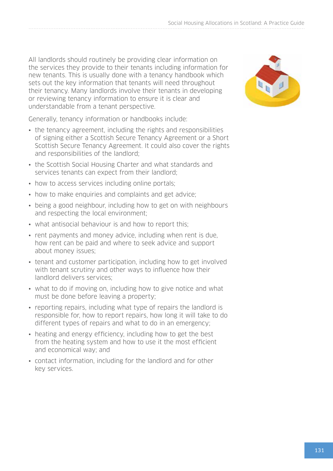All landlords should routinely be providing clear information on the services they provide to their tenants including information for new tenants. This is usually done with a tenancy handbook which sets out the key information that tenants will need throughout their tenancy. Many landlords involve their tenants in developing or reviewing tenancy information to ensure it is clear and understandable from a tenant perspective.

Generally, tenancy information or handbooks include:

- the tenancy agreement, including the rights and responsibilities of signing either a Scottish Secure Tenancy Agreement or a Short Scottish Secure Tenancy Agreement. It could also cover the rights and responsibilities of the landlord;
- the Scottish Social Housing Charter and what standards and services tenants can expect from their landlord;
- how to access services including online portals;
- how to make enquiries and complaints and get advice:
- being a good neighbour, including how to get on with neighbours and respecting the local environment;
- what antisocial behaviour is and how to report this:
- rent payments and money advice, including when rent is due, how rent can be paid and where to seek advice and support about money issues;
- tenant and customer participation, including how to get involved with tenant scrutiny and other ways to influence how their landlord delivers services;
- what to do if moving on, including how to give notice and what must be done before leaving a property;
- reporting repairs, including what type of repairs the landlord is responsible for, how to report repairs, how long it will take to do different types of repairs and what to do in an emergency;
- heating and energy efficiency, including how to get the best from the heating system and how to use it the most efficient and economical way; and
- contact information, including for the landlord and for other key services.

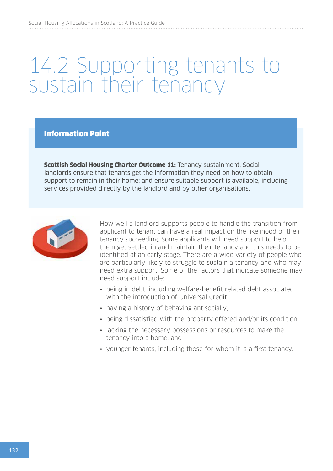## 14.2 Supporting tenants to sustain their tenancy

Information Point

**Scottish Social Housing Charter Outcome 11: Tenancy sustainment. Social** landlords ensure that tenants get the information they need on how to obtain support to remain in their home; and ensure suitable support is available, including services provided directly by the landlord and by other organisations.



How well a landlord supports people to handle the transition from applicant to tenant can have a real impact on the likelihood of their tenancy succeeding. Some applicants will need support to help them get settled in and maintain their tenancy and this needs to be identified at an early stage. There are a wide variety of people who are particularly likely to struggle to sustain a tenancy and who may need extra support. Some of the factors that indicate someone may need support include:

- being in debt, including welfare-benefit related debt associated with the introduction of Universal Credit;
- having a history of behaving antisocially;
- being dissatisfied with the property offered and/or its condition;
- lacking the necessary possessions or resources to make the tenancy into a home; and
- younger tenants, including those for whom it is a first tenancy.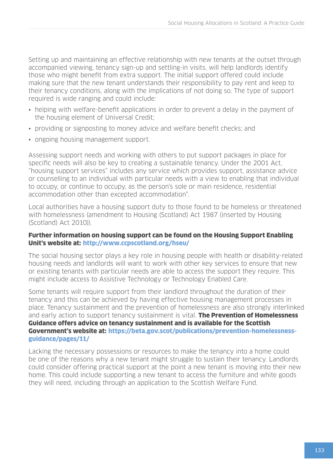Setting up and maintaining an effective relationship with new tenants at the outset through accompanied viewing, tenancy sign-up and settling-in visits, will help landlords identify those who might benefit from extra support. The initial support offered could include making sure that the new tenant understands their responsibility to pay rent and keep to their tenancy conditions, along with the implications of not doing so. The type of support required is wide ranging and could include:

- helping with welfare-benefit applications in order to prevent a delay in the payment of the housing element of Universal Credit;
- providing or signposting to money advice and welfare benefit checks; and
- ongoing housing management support.

Assessing support needs and working with others to put support packages in place for specific needs will also be key to creating a sustainable tenancy. Under the 2001 Act, "housing support services" includes any service which provides support, assistance advice or counselling to an individual with particular needs with a view to enabling that individual to occupy, or continue to occupy, as the person's sole or main residence, residential accommodation other than excepted accommodation".

Local authorities have a housing support duty to those found to be homeless or threatened with homelessness (amendment to Housing (Scotland) Act 1987 (inserted by Housing (Scotland) Act 2010)).

#### Further information on housing support can be found on the Housing Support Enabling Unit's website at: <http://www.ccpscotland.org/hseu/>

The social housing sector plays a key role in housing people with health or disability-related housing needs and landlords will want to work with other key services to ensure that new or existing tenants with particular needs are able to access the support they require. This might include access to Assistive Technology or Technology Enabled Care.

Some tenants will require support from their landlord throughout the duration of their tenancy and this can be achieved by having effective housing management processes in place. Tenancy sustainment and the prevention of homelessness are also strongly interlinked and early action to support tenancy sustainment is vital. The Prevention of Homelessness Guidance offers advice on tenancy sustainment and is available for the Scottish Government's website at: [https://beta.gov.scot/publications/prevention-homelessness](https://beta.gov.scot/publications/prevention-homelessness-guidance/pages/11/)[guidance/pages/11/](https://beta.gov.scot/publications/prevention-homelessness-guidance/pages/11/)

Lacking the necessary possessions or resources to make the tenancy into a home could be one of the reasons why a new tenant might struggle to sustain their tenancy. Landlords could consider offering practical support at the point a new tenant is moving into their new home. This could include supporting a new tenant to access the furniture and white goods they will need, including through an application to the Scottish Welfare Fund.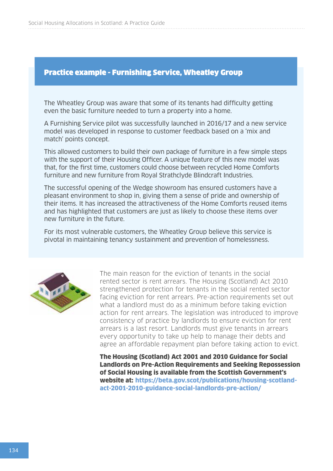#### Practice example - Furnishing Service, Wheatley Group

The Wheatley Group was aware that some of its tenants had difficulty getting even the basic furniture needed to turn a property into a home.

A Furnishing Service pilot was successfully launched in 2016/17 and a new service model was developed in response to customer feedback based on a 'mix and match' points concept.

This allowed customers to build their own package of furniture in a few simple steps with the support of their Housing Officer. A unique feature of this new model was that, for the first time, customers could choose between recycled Home Comforts furniture and new furniture from Royal Strathclyde Blindcraft Industries.

The successful opening of the Wedge showroom has ensured customers have a pleasant environment to shop in, giving them a sense of pride and ownership of their items. It has increased the attractiveness of the Home Comforts reused items and has highlighted that customers are just as likely to choose these items over new furniture in the future.

For its most vulnerable customers, the Wheatley Group believe this service is pivotal in maintaining tenancy sustainment and prevention of homelessness.



The main reason for the eviction of tenants in the social rented sector is rent arrears. The Housing (Scotland) Act 2010 strengthened protection for tenants in the social rented sector facing eviction for rent arrears. Pre-action requirements set out what a landlord must do as a minimum before taking eviction action for rent arrears. The legislation was introduced to improve consistency of practice by landlords to ensure eviction for rent arrears is a last resort. Landlords must give tenants in arrears every opportunity to take up help to manage their debts and agree an affordable repayment plan before taking action to evict.

The Housing (Scotland) Act 2001 and 2010 Guidance for Social Landlords on Pre-Action Requirements and Seeking Repossession of Social Housing is available from the Scottish Government's website at: [https://beta.gov.scot/publications/housing-scotland](https://beta.gov.scot/publications/housing-scotland-act-2001-2010-guidance-social-landlords-pre-action/)[act-2001-2010-guidance-social-landlords-pre-action/](https://beta.gov.scot/publications/housing-scotland-act-2001-2010-guidance-social-landlords-pre-action/)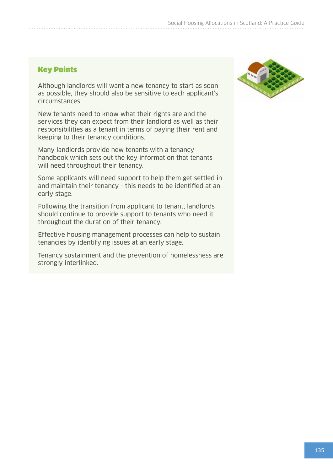#### Key Points

Although landlords will want a new tenancy to start as soon as possible, they should also be sensitive to each applicant's circumstances.

New tenants need to know what their rights are and the services they can expect from their landlord as well as their responsibilities as a tenant in terms of paying their rent and keeping to their tenancy conditions.

Many landlords provide new tenants with a tenancy handbook which sets out the key information that tenants will need throughout their tenancy.

Some applicants will need support to help them get settled in and maintain their tenancy - this needs to be identified at an early stage.

Following the transition from applicant to tenant, landlords should continue to provide support to tenants who need it throughout the duration of their tenancy.

Effective housing management processes can help to sustain tenancies by identifying issues at an early stage.

Tenancy sustainment and the prevention of homelessness are strongly interlinked.